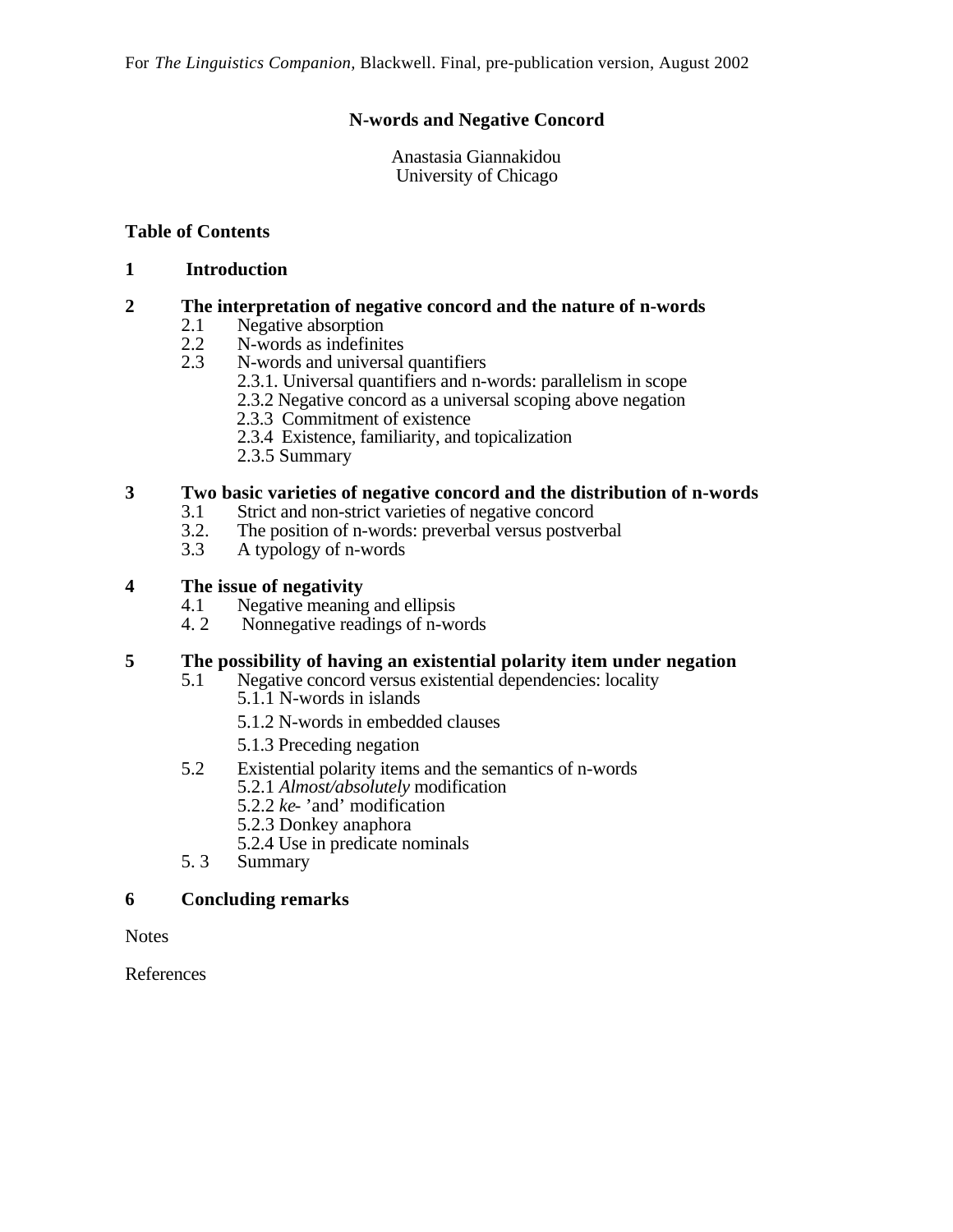For *The Linguistics Companion,* Blackwell. Final, pre-publication version, August 2002

## **N-words and Negative Concord**

Anastasia Giannakidou University of Chicago

## **Table of Contents**

## **1 Introduction**

# **2 The interpretation of negative concord and the nature of n-words**<br>2.1 **Negative absorption**

- 2.1 Negative absorption<br>2.2 N-words as indefinit
- 2.2 N-words as indefinites<br>2.3 N-words and universal
- N-words and universal quantifiers
	- 2.3.1. Universal quantifiers and n-words: parallelism in scope
	- 2.3.2 Negative concord as a universal scoping above negation
	- 2.3.3 Commitment of existence
	- 2.3.4 Existence, familiarity, and topicalization
	- 2.3.5 Summary

# **3 Two basic varieties of negative concord and the distribution of n-words** 3.1 Strict and non-strict varieties of negative concord

- 3.1 Strict and non-strict varieties of negative concord<br>3.2. The position of n-words: preverbal versus postver
- 3.2. The position of n-words: preverbal versus postverbal  $\overline{3.3}$  A typology of n-words
- 3.3 A typology of n-words

## **4 The issue of negativity**

- 4.1 Negative meaning and ellipsis<br>4.2 Nonnegative readings of n-wo
- Nonnegative readings of n-words

# **5 The possibility of having an existential polarity item under negation**<br>5.1 Negative concord versus existential dependencies: locality

- Negative concord versus existential dependencies: locality
	- 5.1.1 N-words in islands
	- 5.1.2 N-words in embedded clauses
	- 5.1.3 Preceding negation
- 5.2 Existential polarity items and the semantics of n-words
	- 5.2.1 *Almost/absolutely* modification
	- 5.2.2 *ke* 'and' modification
	- 5.2.3 Donkey anaphora
	- 5.2.4 Use in predicate nominals
- 5. 3 Summary

## **6 Concluding remarks**

**Notes** 

References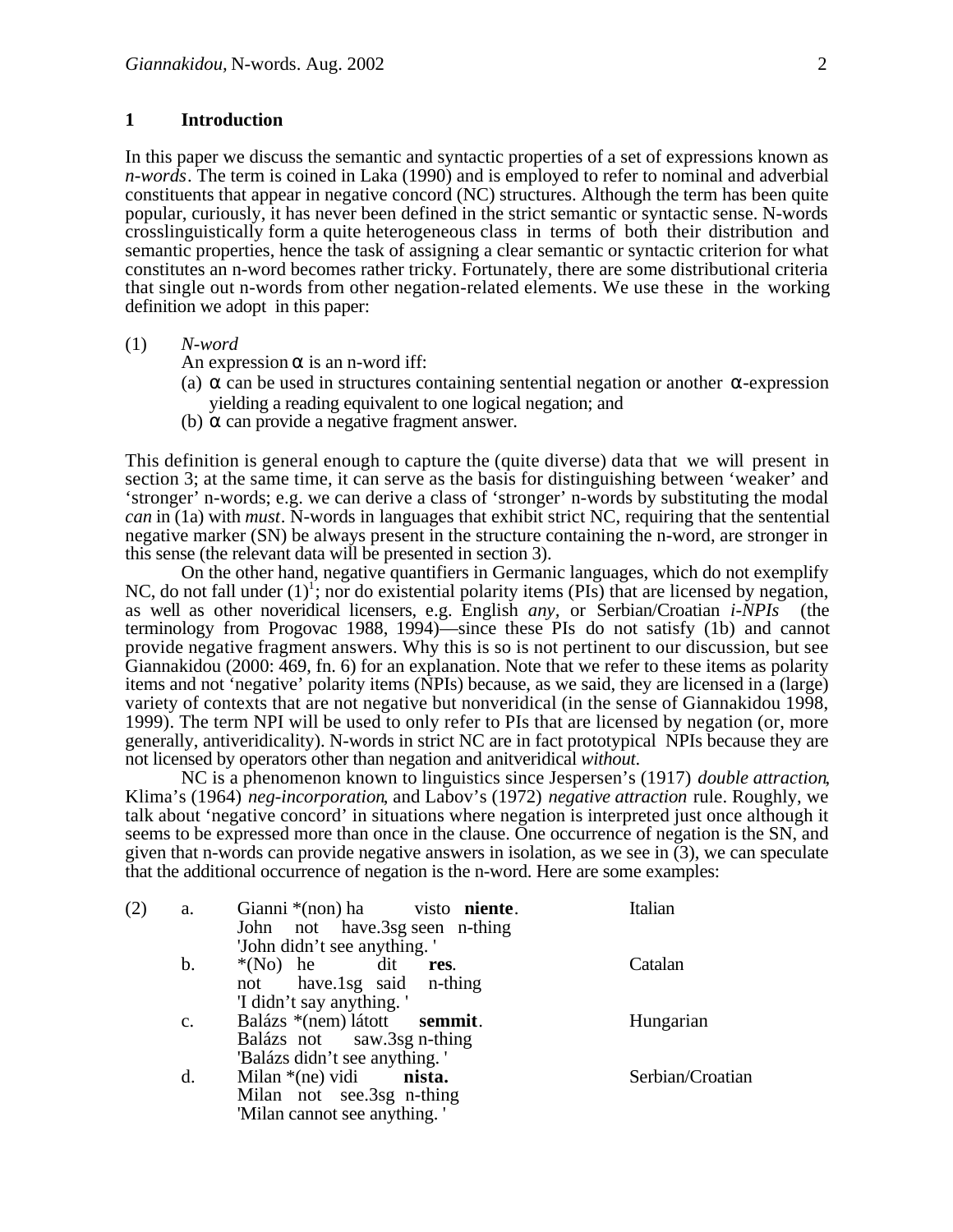#### **1 Introduction**

In this paper we discuss the semantic and syntactic properties of a set of expressions known as *n-words*. The term is coined in Laka (1990) and is employed to refer to nominal and adverbial constituents that appear in negative concord (NC) structures. Although the term has been quite popular, curiously, it has never been defined in the strict semantic or syntactic sense. N-words crosslinguistically form a quite heterogeneous class in terms of both their distribution and semantic properties, hence the task of assigning a clear semantic or syntactic criterion for what constitutes an n-word becomes rather tricky. Fortunately, there are some distributional criteria that single out n-words from other negation-related elements. We use these in the working definition we adopt in this paper:

(1) *N-word*

An expression is an n-word iff:

- (a) can be used in structures containing sentential negation or another -expression yielding a reading equivalent to one logical negation; and
- (b) can provide a negative fragment answer.

This definition is general enough to capture the (quite diverse) data that we will present in section 3; at the same time, it can serve as the basis for distinguishing between 'weaker' and 'stronger' n-words; e.g. we can derive a class of 'stronger' n-words by substituting the modal *can* in (1a) with *must*. N-words in languages that exhibit strict NC, requiring that the sentential negative marker (SN) be always present in the structure containing the n-word, are stronger in this sense (the relevant data will be presented in section 3).

On the other hand, negative quantifiers in Germanic languages, which do not exemplify NC, do not fall under  $(1)^1$ ; nor do existential polarity items (PIs) that are licensed by negation, as well as other noveridical licensers, e.g. English *any,* or Serbian/Croatian *i-NPIs* (the terminology from Progovac 1988, 1994)—since these PIs do not satisfy (1b) and cannot provide negative fragment answers. Why this is so is not pertinent to our discussion, but see Giannakidou (2000: 469, fn. 6) for an explanation. Note that we refer to these items as polarity items and not 'negative' polarity items (NPIs) because, as we said, they are licensed in a (large) variety of contexts that are not negative but nonveridical (in the sense of Giannakidou 1998, 1999). The term NPI will be used to only refer to PIs that are licensed by negation (or, more generally, antiveridicality). N-words in strict NC are in fact prototypical NPIs because they are not licensed by operators other than negation and anitveridical *without*.

NC is a phenomenon known to linguistics since Jespersen's (1917) *double attraction*, Klima's (1964) *neg-incorporation*, and Labov's (1972) *negative attraction* rule. Roughly, we talk about 'negative concord' in situations where negation is interpreted just once although it seems to be expressed more than once in the clause. One occurrence of negation is the SN, and given that n-words can provide negative answers in isolation, as we see in (3), we can speculate that the additional occurrence of negation is the n-word. Here are some examples:

| (2)<br>a.      | Gianni $*(\text{non})$ ha visto <b>niente</b> .<br>John not have.3sg seen n-thing                                             | Italian          |
|----------------|-------------------------------------------------------------------------------------------------------------------------------|------------------|
| b.             | 'John didn't see anything.'<br>$*(No)$ he dit<br>res.<br>not have.1sg said n-thing                                            | Catalan          |
| $\mathbf{c}$ . | 'I didn't say anything.'<br>Balázs *(nem) látott semmit.<br>Balázs not saw.3sg n-thing                                        | Hungarian        |
| d.             | "Balázs didn't see anything."<br>Milan $*(ne)$ vidi <b>nista.</b><br>Milan not see.3sg n-thing<br>'Milan cannot see anything. | Serbian/Croatian |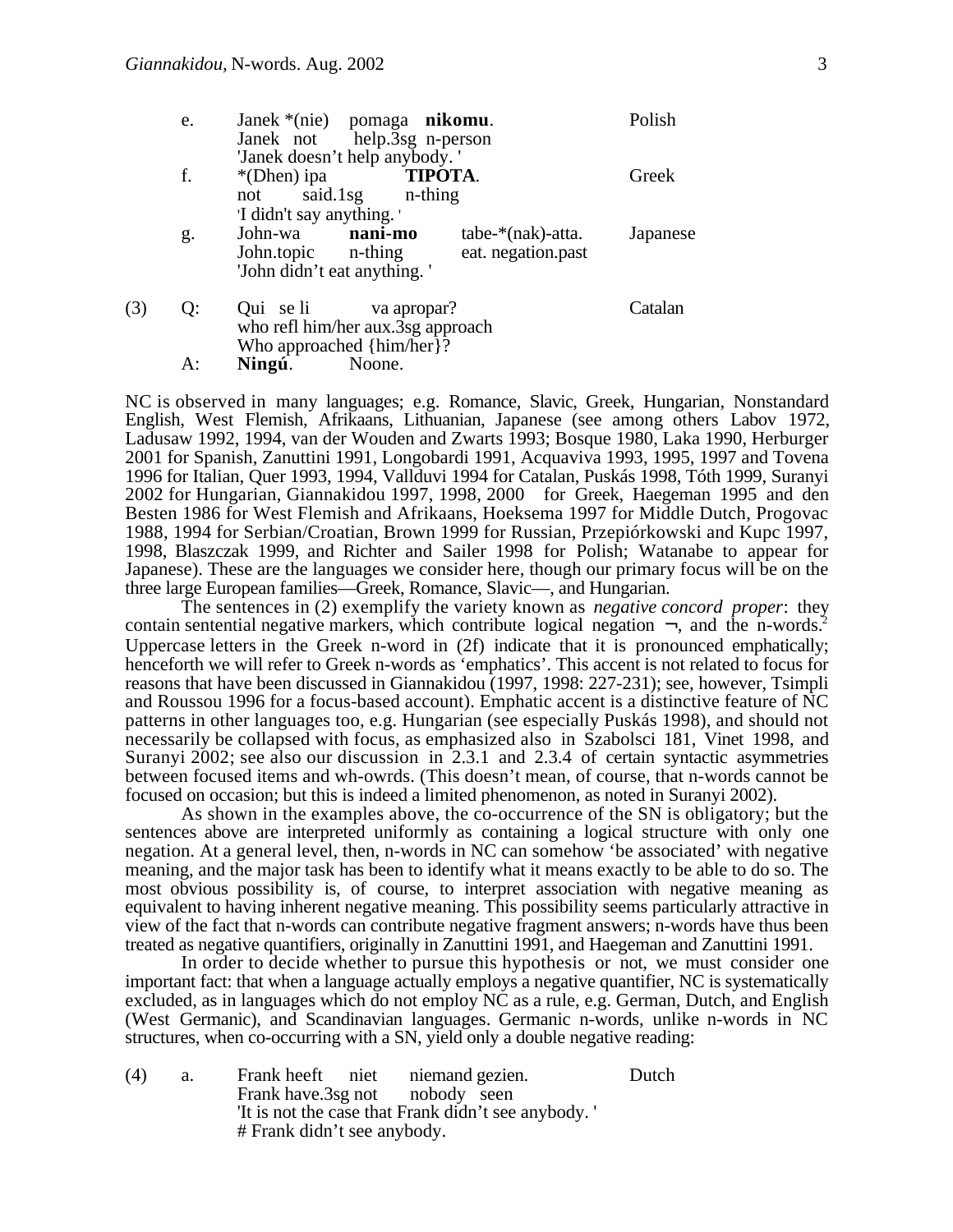|     | e. | Janek *(nie) pomaga nikomu.<br>Janek not help.3sg n-person                              |                                                                               |                                                  | Polish   |
|-----|----|-----------------------------------------------------------------------------------------|-------------------------------------------------------------------------------|--------------------------------------------------|----------|
|     | f. | *(Dhen) ipa<br>not said.1sg                                                             | 'Janek doesn't help anybody.'<br><b>TIPOTA.</b><br>n-thing                    |                                                  | Greek    |
|     | g. | 'I didn't say anything.<br>John-wa<br>John.topic n-thing<br>'John didn't eat anything.' | nani-mo                                                                       | $\text{tabe-*(nak)-atta.}$<br>eat. negation.past | Japanese |
| (3) | Q: | Qui se li                                                                               | va apropar?<br>who refl him/her aux.3sg approach<br>Who approached {him/her}? |                                                  | Catalan  |

A: **Ningú**. Noone.

NC is observed in many languages; e.g. Romance, Slavic, Greek, Hungarian, Nonstandard English, West Flemish, Afrikaans, Lithuanian, Japanese (see among others Labov 1972, Ladusaw 1992, 1994, van der Wouden and Zwarts 1993; Bosque 1980, Laka 1990, Herburger 2001 for Spanish, Zanuttini 1991, Longobardi 1991, Acquaviva 1993, 1995, 1997 and Tovena 1996 for Italian, Quer 1993, 1994, Vallduvi 1994 for Catalan, Puskás 1998, Tóth 1999, Suranyi 2002 for Hungarian, Giannakidou 1997, 1998, 2000 for Greek, Haegeman 1995 and den Besten 1986 for West Flemish and Afrikaans, Hoeksema 1997 for Middle Dutch, Progovac 1988, 1994 for Serbian/Croatian, Brown 1999 for Russian, Przepiórkowski and Kupc 1997, 1998, Blaszczak 1999, and Richter and Sailer 1998 for Polish; Watanabe to appear for Japanese). These are the languages we consider here, though our primary focus will be on the three large European families—Greek, Romance, Slavic—, and Hungarian.

The sentences in (2) exemplify the variety known as *negative concord proper*: they contain sentential negative markers, which contribute logical negation  $\neg$ , and the n-words.<sup>2</sup> Uppercase letters in the Greek n-word in (2f) indicate that it is pronounced emphatically; henceforth we will refer to Greek n-words as 'emphatics'. This accent is not related to focus for reasons that have been discussed in Giannakidou (1997, 1998: 227-231); see, however, Tsimpli and Roussou 1996 for a focus-based account). Emphatic accent is a distinctive feature of NC patterns in other languages too, e.g. Hungarian (see especially Puskás 1998), and should not necessarily be collapsed with focus, as emphasized also in Szabolsci 181, Vinet 1998, and Suranyi 2002; see also our discussion in 2.3.1 and 2.3.4 of certain syntactic asymmetries between focused items and wh-owrds. (This doesn't mean, of course, that n-words cannot be focused on occasion; but this is indeed a limited phenomenon, as noted in Suranyi 2002).

As shown in the examples above, the co-occurrence of the SN is obligatory; but the sentences above are interpreted uniformly as containing a logical structure with only one negation. At a general level, then, n-words in NC can somehow 'be associated' with negative meaning, and the major task has been to identify what it means exactly to be able to do so. The most obvious possibility is, of course, to interpret association with negative meaning as equivalent to having inherent negative meaning. This possibility seems particularly attractive in view of the fact that n-words can contribute negative fragment answers; n-words have thus been treated as negative quantifiers, originally in Zanuttini 1991, and Haegeman and Zanuttini 1991.

In order to decide whether to pursue this hypothesis or not, we must consider one important fact: that when a language actually employs a negative quantifier, NC is systematically excluded, as in languages which do not employ NC as a rule, e.g. German, Dutch, and English (West Germanic), and Scandinavian languages. Germanic n-words, unlike n-words in NC structures, when co-occurring with a SN, yield only a double negative reading:

| (4)<br>а. |  | Frank heeft niet niemand gezien.                    |  | Dutch |
|-----------|--|-----------------------------------------------------|--|-------|
|           |  | Frank have.3sg not nobody seen                      |  |       |
|           |  | "It is not the case that Frank didn't see anybody." |  |       |
|           |  | # Frank didn't see anybody.                         |  |       |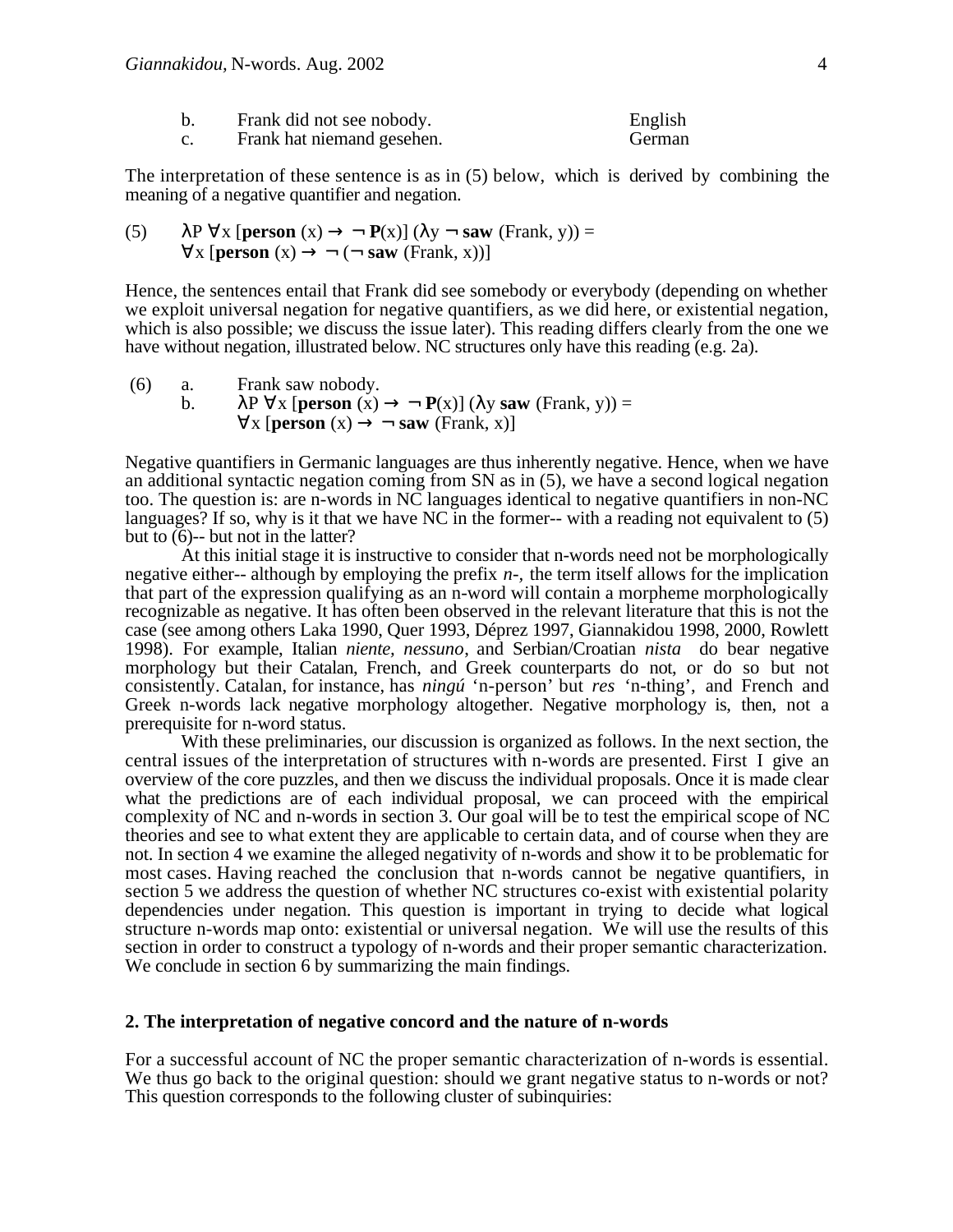|    | Frank did not see nobody.  | English |
|----|----------------------------|---------|
| c. | Frank hat niemand gesehen. | German  |

The interpretation of these sentence is as in (5) below, which is derived by combining the meaning of a negative quantifier and negation.

(5) **P** x [**person** (x)  $\rightarrow$  **P**(x)] (  $y \rightarrow$  **saw** (Frank, y)) =  $x$  [**person** (x)  $\rightarrow$  ( $\rightarrow$  **saw** (Frank, x))]

Hence, the sentences entail that Frank did see somebody or everybody (depending on whether we exploit universal negation for negative quantifiers, as we did here, or existential negation, which is also possible; we discuss the issue later). This reading differs clearly from the one we have without negation, illustrated below. NC structures only have this reading (e.g. 2a).

 (6) a. Frank saw nobody. b. **P** x [**person** (x)  $\neg$  **P**(x)] ( y **saw** (Frank, y)) =  $x$  [**person** (x)  $\rightarrow$  **saw** (Frank, x)]

Negative quantifiers in Germanic languages are thus inherently negative. Hence, when we have an additional syntactic negation coming from SN as in (5), we have a second logical negation too. The question is: are n-words in NC languages identical to negative quantifiers in non-NC languages? If so, why is it that we have NC in the former-- with a reading not equivalent to (5) but to (6)-- but not in the latter?

At this initial stage it is instructive to consider that n-words need not be morphologically negative either-- although by employing the prefix *n-,* the term itself allows for the implication that part of the expression qualifying as an n-word will contain a morpheme morphologically recognizable as negative. It has often been observed in the relevant literature that this is not the case (see among others Laka 1990, Quer 1993, Déprez 1997, Giannakidou 1998, 2000, Rowlett 1998). For example, Italian *niente, nessuno*, and Serbian/Croatian *nista* do bear negative morphology but their Catalan, French, and Greek counterparts do not, or do so but not consistently. Catalan, for instance, has *ningú* 'n-person' but *res* 'n-thing', and French and Greek n-words lack negative morphology altogether. Negative morphology is, then, not a prerequisite for n-word status.

With these preliminaries, our discussion is organized as follows. In the next section, the central issues of the interpretation of structures with n-words are presented. First I give an overview of the core puzzles, and then we discuss the individual proposals. Once it is made clear what the predictions are of each individual proposal, we can proceed with the empirical complexity of NC and n-words in section 3. Our goal will be to test the empirical scope of NC theories and see to what extent they are applicable to certain data, and of course when they are not. In section 4 we examine the alleged negativity of n-words and show it to be problematic for most cases. Having reached the conclusion that n-words cannot be negative quantifiers, in section 5 we address the question of whether NC structures co-exist with existential polarity dependencies under negation. This question is important in trying to decide what logical structure n-words map onto: existential or universal negation. We will use the results of this section in order to construct a typology of n-words and their proper semantic characterization. We conclude in section 6 by summarizing the main findings.

#### **2. The interpretation of negative concord and the nature of n-words**

For a successful account of NC the proper semantic characterization of n-words is essential. We thus go back to the original question: should we grant negative status to n-words or not? This question corresponds to the following cluster of subinquiries: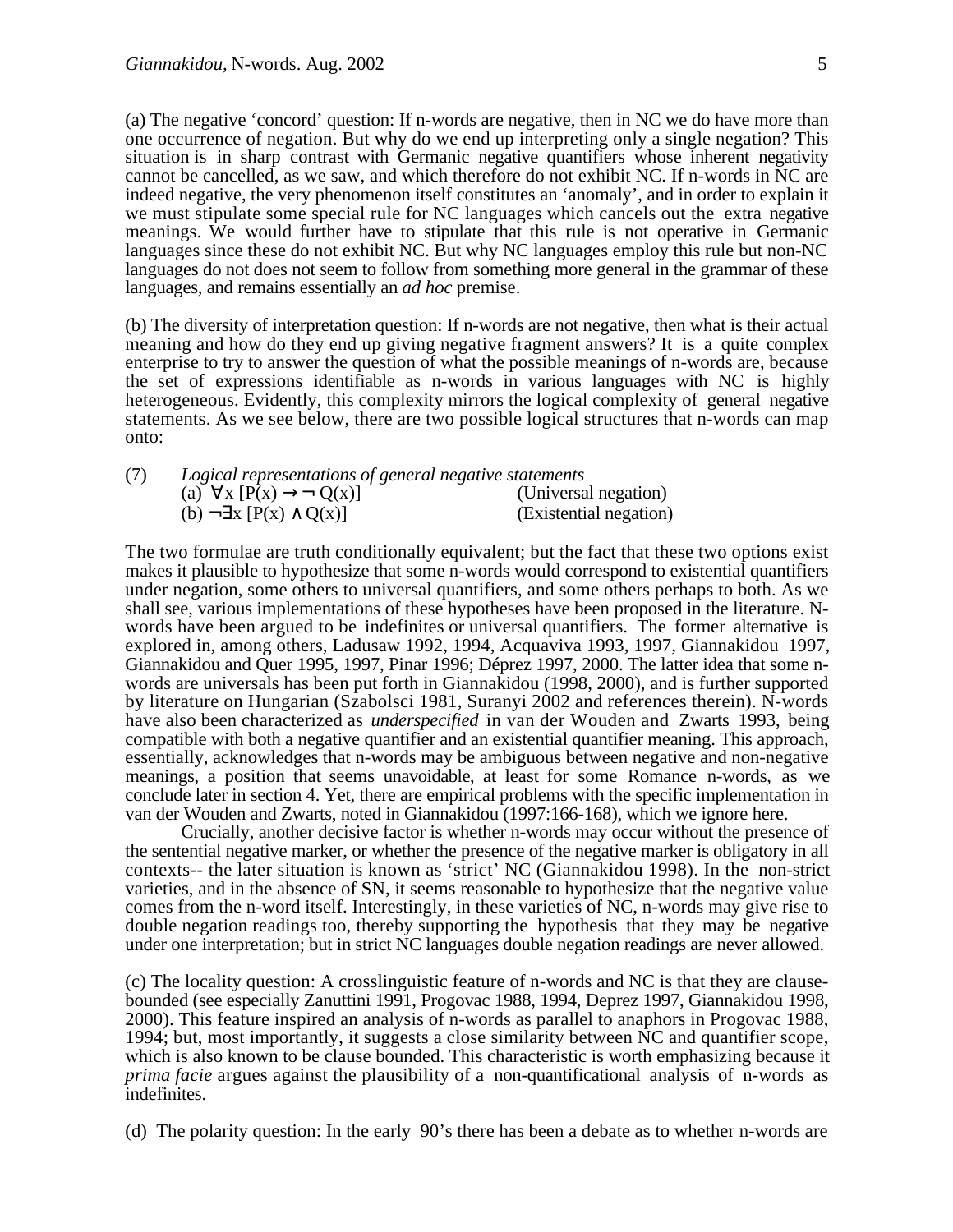(a) The negative 'concord' question: If n-words are negative, then in NC we do have more than one occurrence of negation. But why do we end up interpreting only a single negation? This situation is in sharp contrast with Germanic negative quantifiers whose inherent negativity cannot be cancelled, as we saw, and which therefore do not exhibit NC. If n-words in NC are indeed negative, the very phenomenon itself constitutes an 'anomaly', and in order to explain it we must stipulate some special rule for NC languages which cancels out the extra negative meanings. We would further have to stipulate that this rule is not operative in Germanic languages since these do not exhibit NC. But why NC languages employ this rule but non-NC languages do not does not seem to follow from something more general in the grammar of these languages, and remains essentially an *ad hoc* premise.

(b) The diversity of interpretation question: If n-words are not negative, then what is their actual meaning and how do they end up giving negative fragment answers? It is a quite complex enterprise to try to answer the question of what the possible meanings of n-words are, because the set of expressions identifiable as n-words in various languages with NC is highly heterogeneous. Evidently, this complexity mirrors the logical complexity of general negative statements. As we see below, there are two possible logical structures that n-words can map onto:

| Logical representations of general negative statements |                        |
|--------------------------------------------------------|------------------------|
| (a) $X [P(X) - Q(X)]$                                  | (Universal negation)   |
| (b) $- x [P(x) Q(x)]$                                  | (Existential negation) |

The two formulae are truth conditionally equivalent; but the fact that these two options exist makes it plausible to hypothesize that some n-words would correspond to existential quantifiers under negation, some others to universal quantifiers, and some others perhaps to both. As we shall see, various implementations of these hypotheses have been proposed in the literature. Nwords have been argued to be indefinites or universal quantifiers. The former alternative is explored in, among others, Ladusaw 1992, 1994, Acquaviva 1993, 1997, Giannakidou 1997, Giannakidou and Quer 1995, 1997, Pinar 1996; Déprez 1997, 2000. The latter idea that some nwords are universals has been put forth in Giannakidou (1998, 2000), and is further supported by literature on Hungarian (Szabolsci 1981, Suranyi 2002 and references therein). N-words have also been characterized as *underspecified* in van der Wouden and Zwarts 1993, being compatible with both a negative quantifier and an existential quantifier meaning. This approach, essentially, acknowledges that n-words may be ambiguous between negative and non-negative meanings, a position that seems unavoidable, at least for some Romance n-words, as we conclude later in section 4. Yet, there are empirical problems with the specific implementation in van der Wouden and Zwarts, noted in Giannakidou (1997:166-168), which we ignore here.

Crucially, another decisive factor is whether n-words may occur without the presence of the sentential negative marker, or whether the presence of the negative marker is obligatory in all contexts-- the later situation is known as 'strict' NC (Giannakidou 1998). In the non-strict varieties, and in the absence of SN, it seems reasonable to hypothesize that the negative value comes from the n-word itself. Interestingly, in these varieties of NC, n-words may give rise to double negation readings too, thereby supporting the hypothesis that they may be negative under one interpretation; but in strict NC languages double negation readings are never allowed.

(c) The locality question: A crosslinguistic feature of n-words and NC is that they are clausebounded (see especially Zanuttini 1991, Progovac 1988, 1994, Deprez 1997, Giannakidou 1998, 2000). This feature inspired an analysis of n-words as parallel to anaphors in Progovac 1988, 1994; but, most importantly, it suggests a close similarity between NC and quantifier scope, which is also known to be clause bounded. This characteristic is worth emphasizing because it *prima facie* argues against the plausibility of a non-quantificational analysis of n-words as indefinites.

(d) The polarity question: In the early 90's there has been a debate as to whether n-words are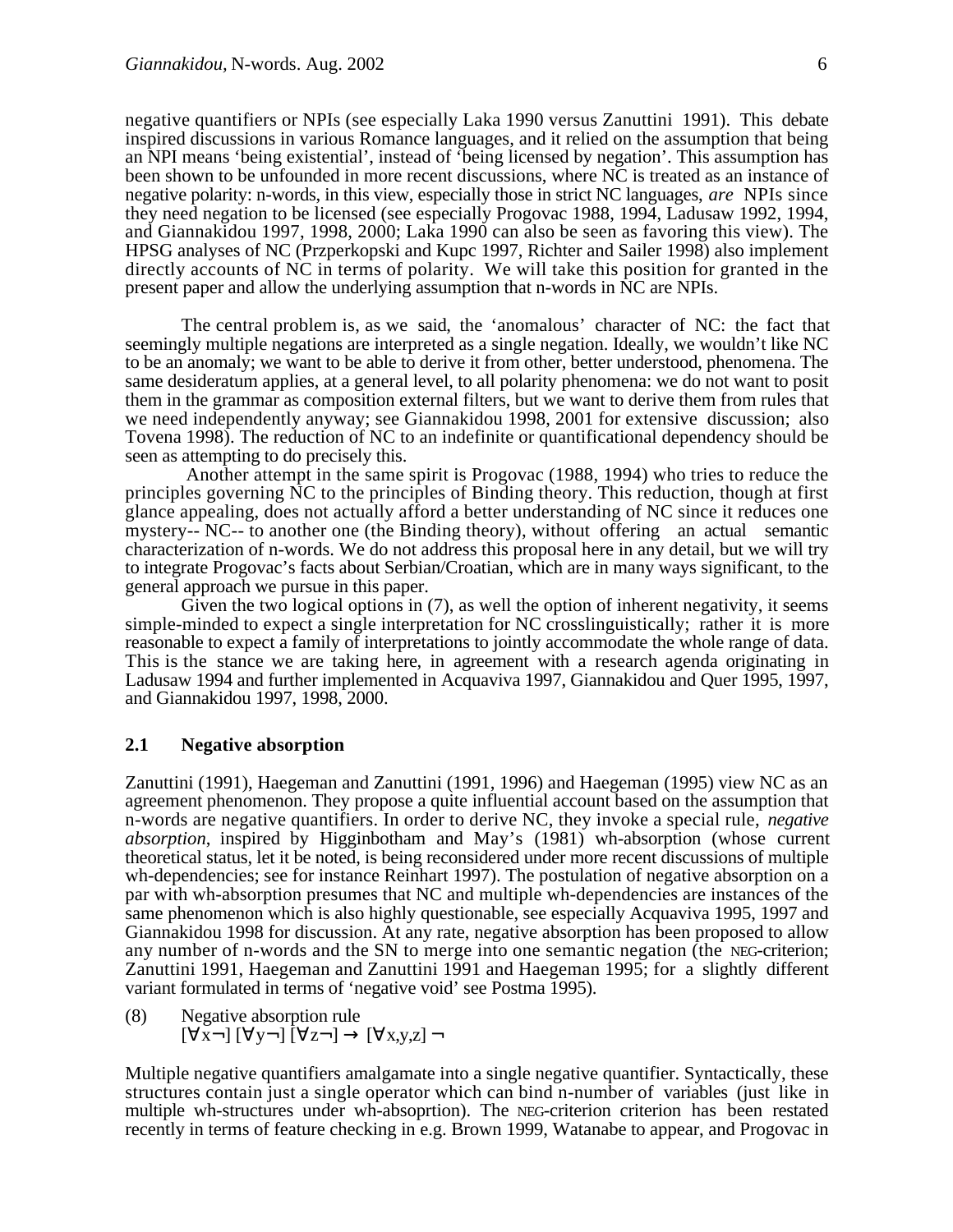negative quantifiers or NPIs (see especially Laka 1990 versus Zanuttini 1991). This debate inspired discussions in various Romance languages, and it relied on the assumption that being an NPI means 'being existential', instead of 'being licensed by negation'. This assumption has been shown to be unfounded in more recent discussions, where NC is treated as an instance of negative polarity: n-words, in this view, especially those in strict NC languages, *are* NPIs since they need negation to be licensed (see especially Progovac 1988, 1994, Ladusaw 1992, 1994, and Giannakidou 1997, 1998, 2000; Laka 1990 can also be seen as favoring this view). The HPSG analyses of NC (Przperkopski and Kupc 1997, Richter and Sailer 1998) also implement directly accounts of NC in terms of polarity. We will take this position for granted in the present paper and allow the underlying assumption that n-words in NC are NPIs.

The central problem is, as we said, the 'anomalous' character of NC: the fact that seemingly multiple negations are interpreted as a single negation. Ideally, we wouldn't like NC to be an anomaly; we want to be able to derive it from other, better understood, phenomena. The same desideratum applies, at a general level, to all polarity phenomena: we do not want to posit them in the grammar as composition external filters, but we want to derive them from rules that we need independently anyway; see Giannakidou 1998, 2001 for extensive discussion; also Tovena 1998). The reduction of NC to an indefinite or quantificational dependency should be seen as attempting to do precisely this.

 Another attempt in the same spirit is Progovac (1988, 1994) who tries to reduce the principles governing NC to the principles of Binding theory. This reduction, though at first glance appealing, does not actually afford a better understanding of NC since it reduces one mystery-- NC-- to another one (the Binding theory), without offering an actual semantic characterization of n-words. We do not address this proposal here in any detail, but we will try to integrate Progovac's facts about Serbian/Croatian, which are in many ways significant, to the general approach we pursue in this paper.

Given the two logical options in (7), as well the option of inherent negativity, it seems simple-minded to expect a single interpretation for NC crosslinguistically; rather it is more reasonable to expect a family of interpretations to jointly accommodate the whole range of data. This is the stance we are taking here, in agreement with a research agenda originating in Ladusaw 1994 and further implemented in Acquaviva 1997, Giannakidou and Quer 1995, 1997, and Giannakidou 1997, 1998, 2000.

#### **2.1 Negative absorption**

Zanuttini (1991), Haegeman and Zanuttini (1991, 1996) and Haegeman (1995) view NC as an agreement phenomenon. They propose a quite influential account based on the assumption that n-words are negative quantifiers. In order to derive NC, they invoke a special rule, *negative absorption*, inspired by Higginbotham and May's (1981) wh-absorption (whose current theoretical status, let it be noted, is being reconsidered under more recent discussions of multiple wh-dependencies; see for instance Reinhart 1997). The postulation of negative absorption on a par with wh-absorption presumes that NC and multiple wh-dependencies are instances of the same phenomenon which is also highly questionable, see especially Acquaviva 1995, 1997 and Giannakidou 1998 for discussion. At any rate, negative absorption has been proposed to allow any number of n-words and the SN to merge into one semantic negation (the NEG-criterion; Zanuttini 1991, Haegeman and Zanuttini 1991 and Haegeman 1995; for a slightly different variant formulated in terms of 'negative void' see Postma 1995).

(8) Negative absorption rule  $\begin{bmatrix} x \rightarrow \end{bmatrix} \begin{bmatrix} y \rightarrow \end{bmatrix} \begin{bmatrix} z \rightarrow \end{bmatrix} \begin{bmatrix} x,y,z \end{bmatrix}$ 

Multiple negative quantifiers amalgamate into a single negative quantifier. Syntactically, these structures contain just a single operator which can bind n-number of variables (just like in multiple wh-structures under wh-absoprtion). The NEG-criterion criterion has been restated recently in terms of feature checking in e.g. Brown 1999, Watanabe to appear, and Progovac in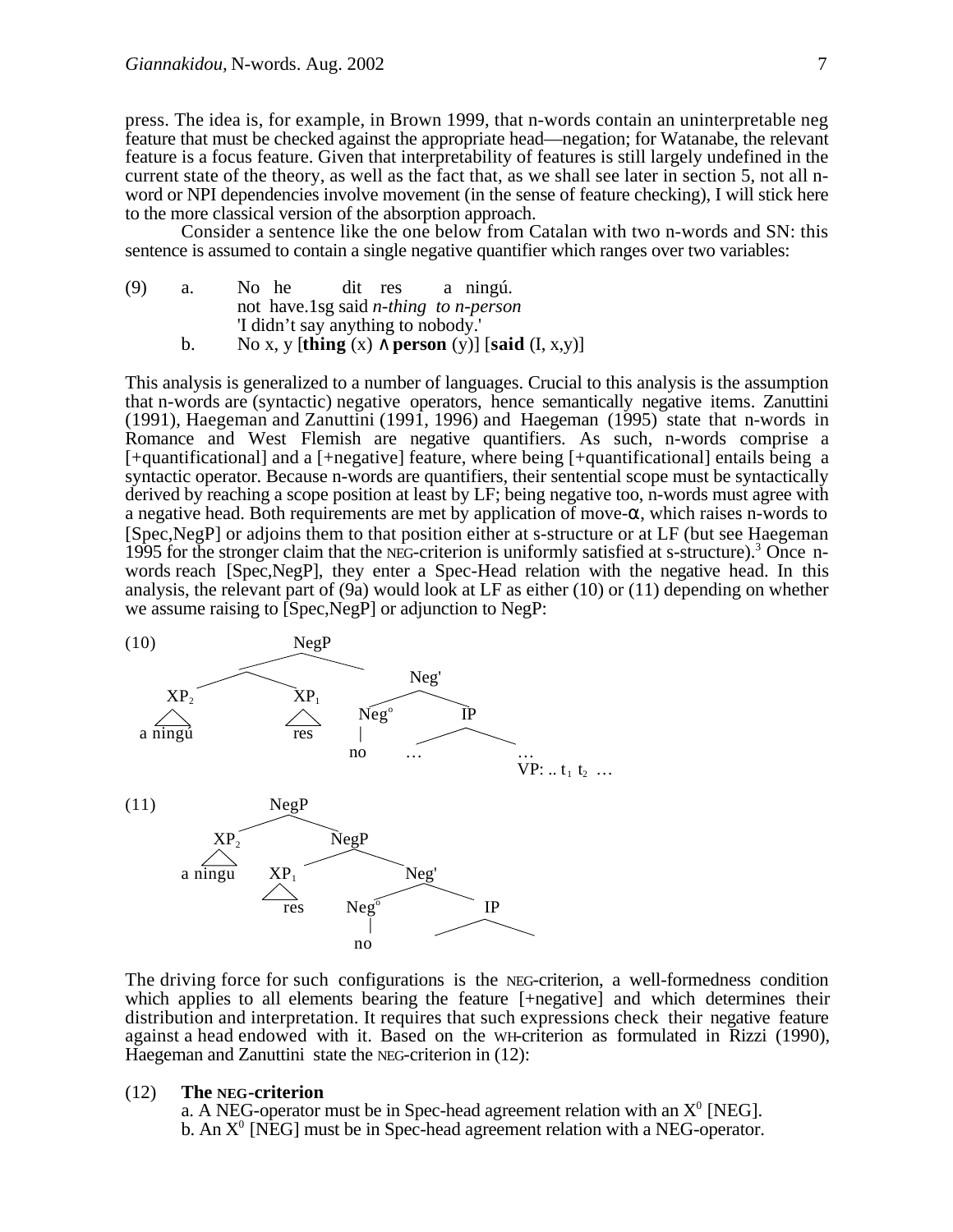press. The idea is, for example, in Brown 1999, that n-words contain an uninterpretable neg feature that must be checked against the appropriate head—negation; for Watanabe, the relevant feature is a focus feature. Given that interpretability of features is still largely undefined in the current state of the theory, as well as the fact that, as we shall see later in section 5, not all nword or NPI dependencies involve movement (in the sense of feature checking), I will stick here to the more classical version of the absorption approach.

Consider a sentence like the one below from Catalan with two n-words and SN: this sentence is assumed to contain a single negative quantifier which ranges over two variables:

| (9) | a. | dit res<br>No he<br>a ningú.                            |
|-----|----|---------------------------------------------------------|
|     |    | not have lsg said <i>n</i> -thing to <i>n</i> -person   |
|     |    | 'I didn't say anything to nobody.'                      |
|     |    | No x, y [thing $(x)$ person $(y)$ ] [said $(I, x, y)$ ] |

This analysis is generalized to a number of languages. Crucial to this analysis is the assumption that n-words are (syntactic) negative operators, hence semantically negative items. Zanuttini (1991), Haegeman and Zanuttini (1991, 1996) and Haegeman (1995) state that n-words in Romance and West Flemish are negative quantifiers. As such, n-words comprise a [+quantificational] and a [+negative] feature, where being [+quantificational] entails being a syntactic operator. Because n-words are quantifiers, their sentential scope must be syntactically derived by reaching a scope position at least by LF; being negative too, n-words must agree with a negative head. Both requirements are met by application of move- , which raises n-words to [Spec,NegP] or adjoins them to that position either at s-structure or at LF (but see Haegeman 1995 for the stronger claim that the NEG-criterion is uniformly satisfied at s-structure).<sup>3</sup> Once nwords reach [Spec,NegP], they enter a Spec-Head relation with the negative head. In this analysis, the relevant part of (9a) would look at LF as either (10) or (11) depending on whether we assume raising to [Spec,NegP] or adjunction to NegP:



The driving force for such configurations is the NEG-criterion, a well-formedness condition which applies to all elements bearing the feature [+negative] and which determines their distribution and interpretation. It requires that such expressions check their negative feature against a head endowed with it. Based on the WH-criterion as formulated in Rizzi (1990), Haegeman and Zanuttini state the NEG-criterion in (12):

#### (12) **The NEG-criterion**

a. A NEG-operator must be in Spec-head agreement relation with an  $X^0$  [NEG]. b. An  $X^0$  [NEG] must be in Spec-head agreement relation with a NEG-operator.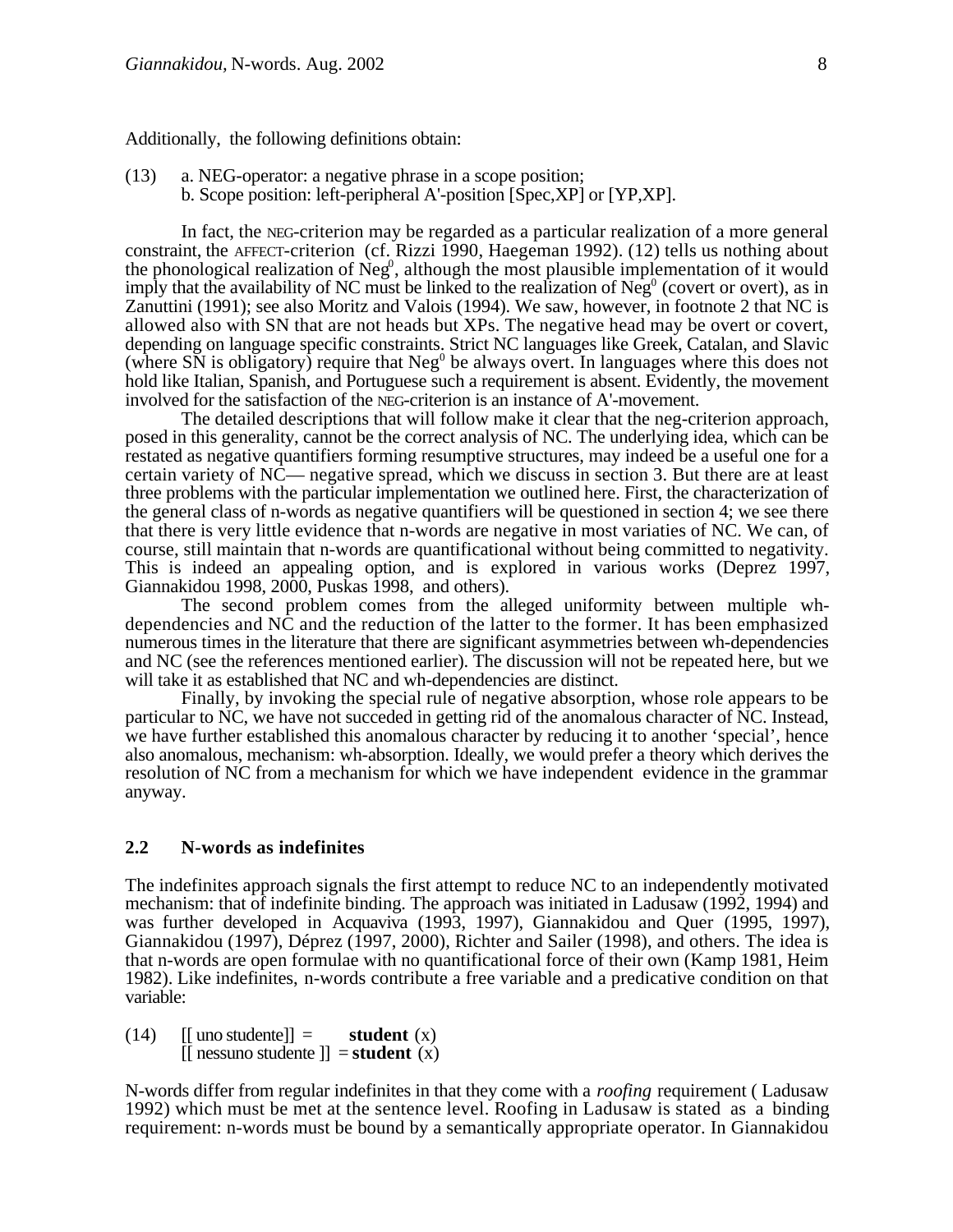Additionally, the following definitions obtain:

(13) a. NEG-operator: a negative phrase in a scope position; b. Scope position: left-peripheral A'-position [Spec,XP] or [YP,XP].

In fact, the NEG-criterion may be regarded as a particular realization of a more general constraint, the AFFECT-criterion (cf. Rizzi 1990, Haegeman 1992). (12) tells us nothing about the phonological realization of  $Neg^0$ , although the most plausible implementation of it would imply that the availability of NC must be linked to the realization of  $Neg^0$  (covert or overt), as in Zanuttini (1991); see also Moritz and Valois (1994). We saw, however, in footnote 2 that NC is allowed also with SN that are not heads but XPs. The negative head may be overt or covert, depending on language specific constraints. Strict NC languages like Greek, Catalan, and Slavic (where SN is obligatory) require that  $Neg^0$  be always overt. In languages where this does not hold like Italian, Spanish, and Portuguese such a requirement is absent. Evidently, the movement involved for the satisfaction of the NEG-criterion is an instance of A'-movement.

The detailed descriptions that will follow make it clear that the neg-criterion approach, posed in this generality, cannot be the correct analysis of NC. The underlying idea, which can be restated as negative quantifiers forming resumptive structures, may indeed be a useful one for a certain variety of NC— negative spread, which we discuss in section 3. But there are at least three problems with the particular implementation we outlined here. First, the characterization of the general class of n-words as negative quantifiers will be questioned in section 4; we see there that there is very little evidence that n-words are negative in most variaties of NC. We can, of course, still maintain that n-words are quantificational without being committed to negativity. This is indeed an appealing option, and is explored in various works (Deprez 1997, Giannakidou 1998, 2000, Puskas 1998, and others).

The second problem comes from the alleged uniformity between multiple whdependencies and NC and the reduction of the latter to the former. It has been emphasized numerous times in the literature that there are significant asymmetries between wh-dependencies and NC (see the references mentioned earlier). The discussion will not be repeated here, but we will take it as established that NC and wh-dependencies are distinct.

Finally, by invoking the special rule of negative absorption, whose role appears to be particular to NC, we have not succeded in getting rid of the anomalous character of NC. Instead, we have further established this anomalous character by reducing it to another 'special', hence also anomalous, mechanism: wh-absorption. Ideally, we would prefer a theory which derives the resolution of NC from a mechanism for which we have independent evidence in the grammar anyway.

## **2.2 N-words as indefinites**

The indefinites approach signals the first attempt to reduce NC to an independently motivated mechanism: that of indefinite binding. The approach was initiated in Ladusaw (1992, 1994) and was further developed in Acquaviva (1993, 1997), Giannakidou and Quer (1995, 1997), Giannakidou (1997), Déprez (1997, 2000), Richter and Sailer (1998), and others. The idea is that n-words are open formulae with no quantificational force of their own (Kamp 1981, Heim 1982). Like indefinites, n-words contribute a free variable and a predicative condition on that variable:

(14)  $[[$  uno studente $]] =$  **student**  $(x)$  $[$ [ nessuno studente  $]$ ] = **student**  $(x)$ 

N-words differ from regular indefinites in that they come with a *roofing* requirement ( Ladusaw 1992) which must be met at the sentence level. Roofing in Ladusaw is stated as a binding requirement: n-words must be bound by a semantically appropriate operator. In Giannakidou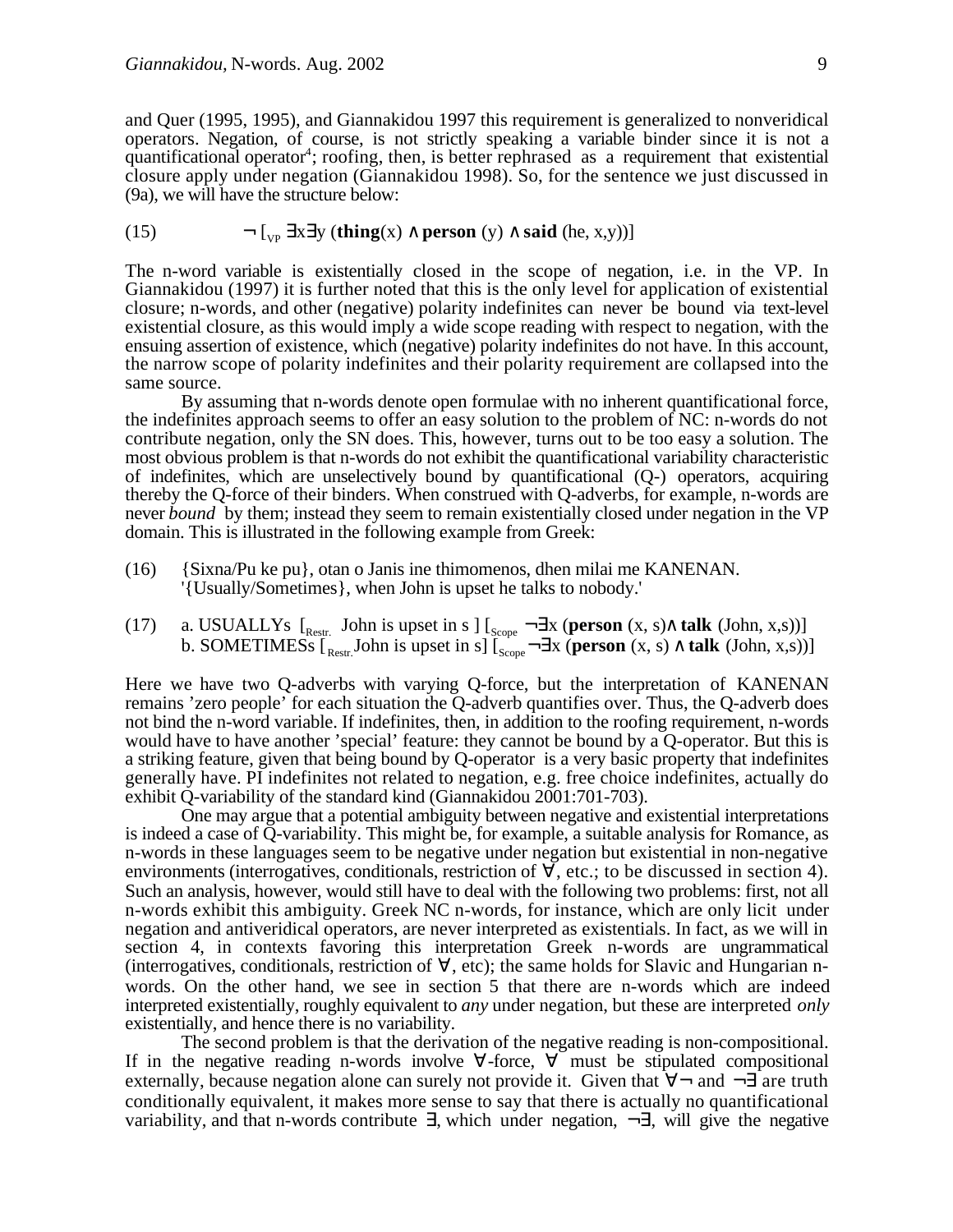and Quer (1995, 1995), and Giannakidou 1997 this requirement is generalized to nonveridical operators. Negation, of course, is not strictly speaking a variable binder since it is not a quantificational operator<sup>4</sup>; roofing, then, is better rephrased as a requirement that existential closure apply under negation (Giannakidou 1998). So, for the sentence we just discussed in (9a), we will have the structure below:

# (15)  $\qquad \qquad \neg \left[ \begin{array}{ccc} y & x \end{array} \right]$  (**thing**(x) **person** (y) **said** (he, x,y))]

The n-word variable is existentially closed in the scope of negation, i.e. in the VP. In Giannakidou (1997) it is further noted that this is the only level for application of existential closure; n-words, and other (negative) polarity indefinites can never be bound via text-level existential closure, as this would imply a wide scope reading with respect to negation, with the ensuing assertion of existence, which (negative) polarity indefinites do not have. In this account, the narrow scope of polarity indefinites and their polarity requirement are collapsed into the same source.

By assuming that n-words denote open formulae with no inherent quantificational force, the indefinites approach seems to offer an easy solution to the problem of NC: n-words do not contribute negation, only the SN does. This, however, turns out to be too easy a solution. The most obvious problem is that n-words do not exhibit the quantificational variability characteristic of indefinites, which are unselectively bound by quantificational (Q-) operators, acquiring thereby the Q-force of their binders. When construed with Q-adverbs, for example, n-words are never *bound* by them; instead they seem to remain existentially closed under negation in the VP domain. This is illustrated in the following example from Greek:

- (16) {Sixna/Pu ke pu}, otan o Janis ine thimomenos, dhen milai me KANENAN. '{Usually/Sometimes}, when John is upset he talks to nobody.'
- (17) a. USUALLYs  $\begin{bmatrix} R_{\text{esstr.}} \end{bmatrix}$  John is upset in s  $\begin{bmatrix} S_{\text{cope}} \end{bmatrix}$  x (**person** (x, s) **talk** (John, x,s))] b. SOMETIMESs  $\left[\begin{smallmatrix}R\text{estr}\end{smallmatrix}\right]$ John is upset in s $\left[\begin{smallmatrix}R\text{estr}\end{smallmatrix}\right]$  x (**person** (x, s) **talk** (John, x,s))]

Here we have two Q-adverbs with varying Q-force, but the interpretation of KANENAN remains 'zero people' for each situation the Q-adverb quantifies over. Thus, the Q-adverb does not bind the n-word variable. If indefinites, then, in addition to the roofing requirement, n-words would have to have another 'special' feature: they cannot be bound by a Q-operator. But this is a striking feature, given that being bound by Q-operator is a very basic property that indefinites generally have. PI indefinites not related to negation, e.g. free choice indefinites, actually do exhibit Q-variability of the standard kind (Giannakidou 2001:701-703).

One may argue that a potential ambiguity between negative and existential interpretations is indeed a case of Q-variability. This might be, for example, a suitable analysis for Romance, as n-words in these languages seem to be negative under negation but existential in non-negative environments (interrogatives, conditionals, restriction of , etc.; to be discussed in section 4). Such an analysis, however, would still have to deal with the following two problems: first, not all n-words exhibit this ambiguity. Greek NC n-words, for instance, which are only licit under negation and antiveridical operators, are never interpreted as existentials. In fact, as we will in section 4, in contexts favoring this interpretation Greek n-words are ungrammatical (interrogatives, conditionals, restriction of , etc); the same holds for Slavic and Hungarian nwords. On the other hand, we see in section 5 that there are n-words which are indeed interpreted existentially, roughly equivalent to *any* under negation, but these are interpreted *only* existentially, and hence there is no variability.

The second problem is that the derivation of the negative reading is non-compositional. If in the negative reading n-words involve -force, must be stipulated compositional externally, because negation alone can surely not provide it. Given that  $\neg$  and  $\neg$  are truth conditionally equivalent, it makes more sense to say that there is actually no quantificational variability, and that n-words contribute , which under negation, ¬, will give the negative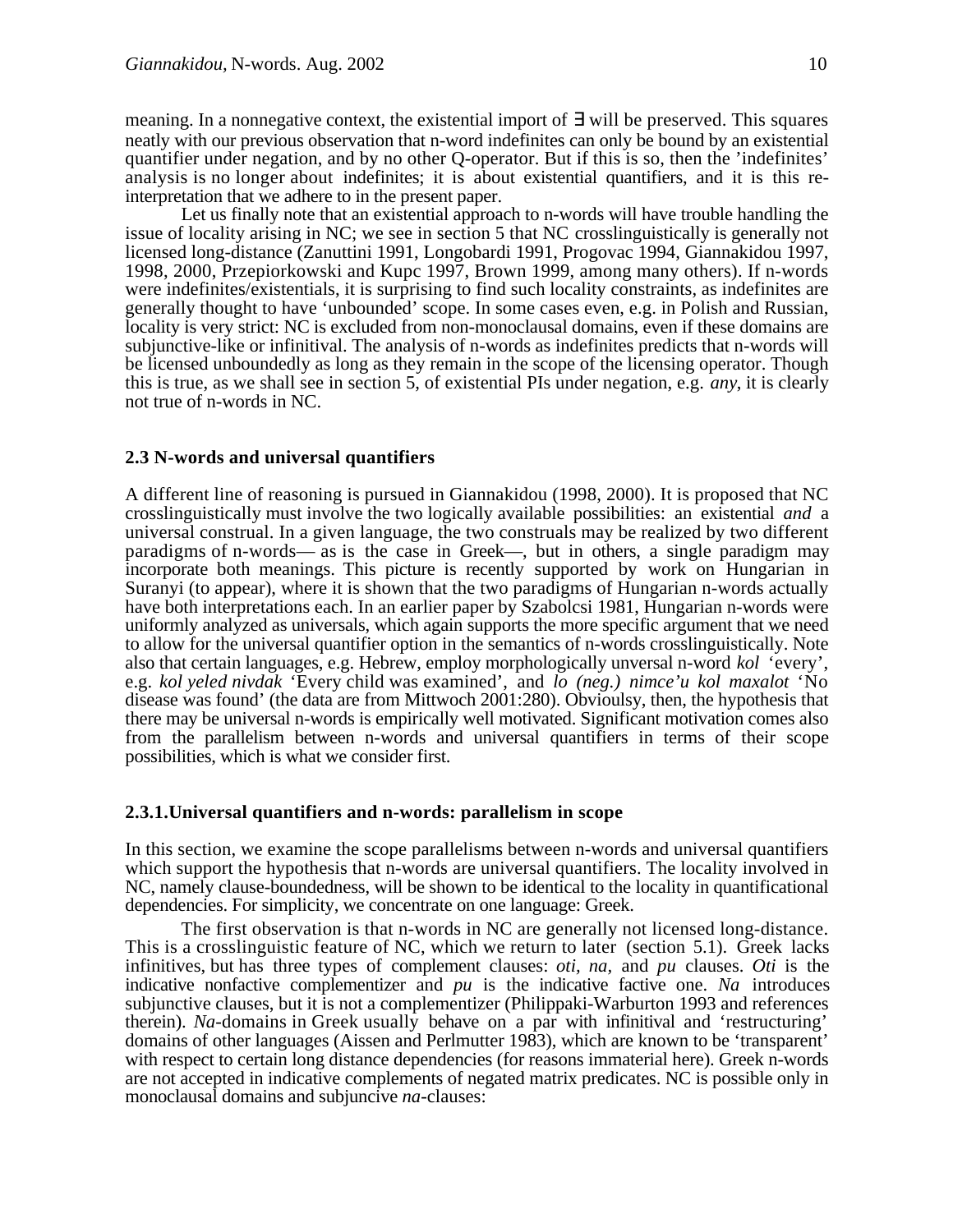meaning. In a nonnegative context, the existential import of will be preserved. This squares neatly with our previous observation that n-word indefinites can only be bound by an existential quantifier under negation, and by no other Q-operator. But if this is so, then the 'indefinites' analysis is no longer about indefinites; it is about existential quantifiers, and it is this reinterpretation that we adhere to in the present paper.

Let us finally note that an existential approach to n-words will have trouble handling the issue of locality arising in NC; we see in section 5 that NC crosslinguistically is generally not licensed long-distance (Zanuttini 1991, Longobardi 1991, Progovac 1994, Giannakidou 1997, 1998, 2000, Przepiorkowski and Kupc 1997, Brown 1999, among many others). If n-words were indefinites/existentials, it is surprising to find such locality constraints, as indefinites are generally thought to have 'unbounded' scope. In some cases even, e.g. in Polish and Russian, locality is very strict: NC is excluded from non-monoclausal domains, even if these domains are subjunctive-like or infinitival. The analysis of n-words as indefinites predicts that n-words will be licensed unboundedly as long as they remain in the scope of the licensing operator. Though this is true, as we shall see in section 5, of existential PIs under negation, e.g. *any*, it is clearly not true of n-words in NC.

#### **2.3 N-words and universal quantifiers**

A different line of reasoning is pursued in Giannakidou (1998, 2000). It is proposed that NC crosslinguistically must involve the two logically available possibilities: an existential *and* a universal construal. In a given language, the two construals may be realized by two different paradigms of n-words— as is the case in Greek—, but in others, a single paradigm may incorporate both meanings. This picture is recently supported by work on Hungarian in Suranyi (to appear), where it is shown that the two paradigms of Hungarian n-words actually have both interpretations each. In an earlier paper by Szabolcsi 1981, Hungarian n-words were uniformly analyzed as universals, which again supports the more specific argument that we need to allow for the universal quantifier option in the semantics of n-words crosslinguistically. Note also that certain languages, e.g. Hebrew, employ morphologically unversal n-word *kol* 'every', e.g. *kol yeled nivdak* 'Every child was examined', and *lo (neg.) nimce'u kol maxalot* 'No disease was found' (the data are from Mittwoch 2001:280). Obvioulsy, then, the hypothesis that there may be universal n-words is empirically well motivated. Significant motivation comes also from the parallelism between n-words and universal quantifiers in terms of their scope possibilities, which is what we consider first.

#### **2.3.1.Universal quantifiers and n-words: parallelism in scope**

In this section, we examine the scope parallelisms between n-words and universal quantifiers which support the hypothesis that n-words are universal quantifiers. The locality involved in NC, namely clause-boundedness, will be shown to be identical to the locality in quantificational dependencies. For simplicity, we concentrate on one language: Greek.

The first observation is that n-words in NC are generally not licensed long-distance. This is a crosslinguistic feature of NC, which we return to later (section 5.1). Greek lacks infinitives, but has three types of complement clauses: *oti, na,* and *pu* clauses. *Oti* is the indicative nonfactive complementizer and *pu* is the indicative factive one. *Na* introduces subjunctive clauses, but it is not a complementizer (Philippaki-Warburton 1993 and references therein). *Na*-domains in Greek usually behave on a par with infinitival and 'restructuring' domains of other languages (Aissen and Perlmutter 1983), which are known to be 'transparent' with respect to certain long distance dependencies (for reasons immaterial here). Greek n-words are not accepted in indicative complements of negated matrix predicates. NC is possible only in monoclausal domains and subjuncive *na-*clauses: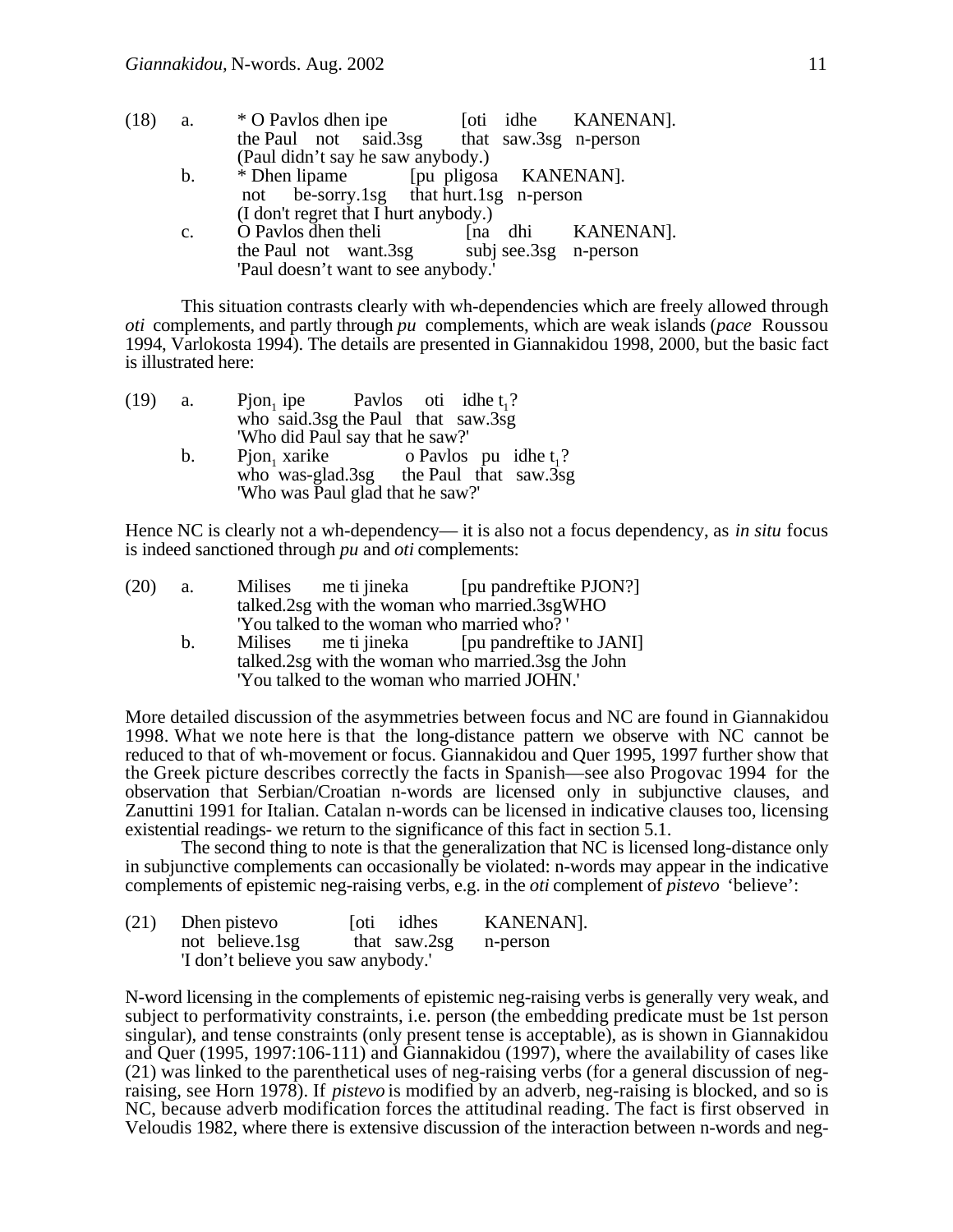| (18) | a.             | * O Pavlos dhen ipe                         |                       | [oti idhe KANENAN]. |
|------|----------------|---------------------------------------------|-----------------------|---------------------|
|      |                | the Paul not said.3sg that saw.3sg n-person |                       |                     |
|      |                | (Paul didn't say he saw anybody.)           |                       |                     |
| b.   |                | * Dhen lipame [pu pligosa KANENAN].         |                       |                     |
|      |                | not be-sorry.1sg that hurt.1sg n-person     |                       |                     |
|      |                | (I don't regret that I hurt anybody.)       |                       |                     |
|      | $\mathbf{c}$ . | O Paylos dhen the li                        |                       | [na dhi KANENAN].   |
|      |                | the Paul not want.3sg                       | subj see.3sg n-person |                     |
|      |                |                                             |                       |                     |

'Paul doesn't want to see anybody.'

This situation contrasts clearly with wh-dependencies which are freely allowed through *oti* complements, and partly through *pu* complements, which are weak islands (*pace* Roussou 1994, Varlokosta 1994). The details are presented in Giannakidou 1998, 2000, but the basic fact is illustrated here:

| $(19)$ a. |             | $P$ ion, ipe Pavlos oti idhe t <sub>1</sub> ? |                                        |
|-----------|-------------|-----------------------------------------------|----------------------------------------|
|           |             | who said.3sg the Paul that saw.3sg            |                                        |
|           |             | 'Who did Paul say that he saw?'               |                                        |
|           | $b_{\cdot}$ | $P$ jon, xarike                               | o Pavlos pu idhe $t_1$ ?               |
|           |             |                                               | who was-glad.3sg the Paul that saw.3sg |
|           |             | 'Who was Paul glad that he saw?'              |                                        |

Hence NC is clearly not a wh-dependency— it is also not a focus dependency, as *in situ* focus is indeed sanctioned through *pu* and *oti* complements:

| $(20)$ a. |                                                                 |                                                    |                                              | Milises me ti jineka [pu pandreftike PJON?] |  |  |
|-----------|-----------------------------------------------------------------|----------------------------------------------------|----------------------------------------------|---------------------------------------------|--|--|
|           |                                                                 |                                                    | talked.2sg with the woman who married.3sgWHO |                                             |  |  |
|           |                                                                 | "You talked to the woman who married who?"         |                                              |                                             |  |  |
|           | Milises me ti jineka [pu pandreftike to JANI]<br>$\mathbf{b}$ . |                                                    |                                              |                                             |  |  |
|           |                                                                 | talked.2sg with the woman who married.3sg the John |                                              |                                             |  |  |
|           |                                                                 |                                                    |                                              | 'You talked to the woman who married JOHN.' |  |  |

More detailed discussion of the asymmetries between focus and NC are found in Giannakidou 1998. What we note here is that the long-distance pattern we observe with NC cannot be reduced to that of wh-movement or focus. Giannakidou and Quer 1995, 1997 further show that the Greek picture describes correctly the facts in Spanish—see also Progovac 1994 for the observation that Serbian/Croatian n-words are licensed only in subjunctive clauses, and Zanuttini 1991 for Italian. Catalan n-words can be licensed in indicative clauses too, licensing existential readings- we return to the significance of this fact in section 5.1.

The second thing to note is that the generalization that NC is licensed long-distance only in subjunctive complements can occasionally be violated: n-words may appear in the indicative complements of epistemic neg-raising verbs, e.g. in the *oti* complement of *pistevo* 'believe':

| (21) | Dhen pistevo                       | foti idhes   | <b>KANENAN].</b> |
|------|------------------------------------|--------------|------------------|
|      | not believe.1sg                    | that saw.2sg | n-person         |
|      | 'I don't believe you saw anybody.' |              |                  |

N-word licensing in the complements of epistemic neg-raising verbs is generally very weak, and subject to performativity constraints, i.e. person (the embedding predicate must be 1st person singular), and tense constraints (only present tense is acceptable), as is shown in Giannakidou and Quer (1995, 1997:106-111) and Giannakidou (1997), where the availability of cases like (21) was linked to the parenthetical uses of neg-raising verbs (for a general discussion of negraising, see Horn 1978). If *pistevo* is modified by an adverb, neg-raising is blocked, and so is NC, because adverb modification forces the attitudinal reading. The fact is first observed in Veloudis 1982, where there is extensive discussion of the interaction between n-words and neg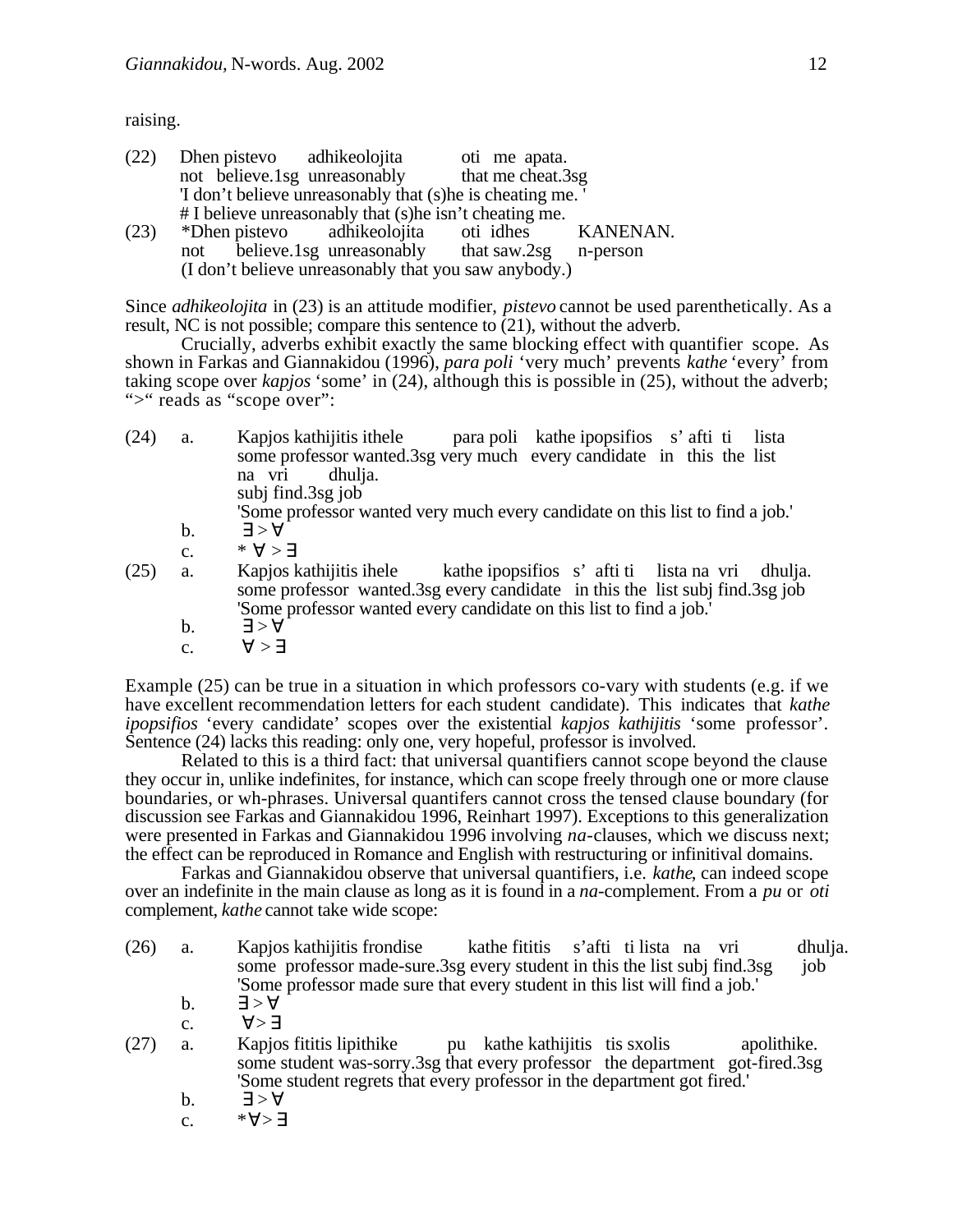raising.

- (22) Dhen pistevo adhikeolojita oti me apata. not believe.1sg unreasonably that me cheat.3sg 'I don't believe unreasonably that (s)he is cheating me. ' # I believe unreasonably that (s)he isn't cheating me. (23) \*Dhen pistevo adhikeolojita oti idhes KANENAN.
	- not believe.1sg unreasonably that saw.2sg n-person (I don't believe unreasonably that you saw anybody.)

Since *adhikeolojita* in (23) is an attitude modifier, *pistevo* cannot be used parenthetically. As a result, NC is not possible; compare this sentence to  $(21)$ , without the adverb.

Crucially, adverbs exhibit exactly the same blocking effect with quantifier scope. As shown in Farkas and Giannakidou (1996), *para poli* 'very much' prevents *kathe* 'every' from taking scope over *kapjos* 'some' in (24), although this is possible in (25), without the adverb; ">" reads as "scope over":

- (24) a. Kapjos kathijitis ithele para poli kathe ipopsifios s' afti ti lista some professor wanted.3sg very much every candidate in this the list na vri dhulja. subj find.3sg job 'Some professor wanted very much every candidate on this list to find a job.' b.  $\Rightarrow$ 
	- c.  $*$  >
- (25) a. Kapjos kathijitis ihele kathe ipopsifios s' afti ti lista na vri dhulja. some professor wanted.3sg every candidate in this the list subj find.3sg job 'Some professor wanted every candidate on this list to find a job.'
	- b.  $>$
	- c.  $>$

Example (25) can be true in a situation in which professors co-vary with students (e.g. if we have excellent recommendation letters for each student candidate). This indicates that *kathe ipopsifios* 'every candidate' scopes over the existential *kapjos kathijitis* 'some professor'. Sentence (24) lacks this reading: only one, very hopeful, professor is involved.

Related to this is a third fact: that universal quantifiers cannot scope beyond the clause they occur in, unlike indefinites, for instance, which can scope freely through one or more clause boundaries, or wh-phrases. Universal quantifers cannot cross the tensed clause boundary (for discussion see Farkas and Giannakidou 1996, Reinhart 1997). Exceptions to this generalization were presented in Farkas and Giannakidou 1996 involving *na-*clauses, which we discuss next; the effect can be reproduced in Romance and English with restructuring or infinitival domains.

Farkas and Giannakidou observe that universal quantifiers, i.e. *kathe*, can indeed scope over an indefinite in the main clause as long as it is found in a *na*-complement. From a *pu* or *oti* complement, *kathe* cannot take wide scope:

- (26) a. Kapjos kathijitis frondise kathe fititis s'afti ti lista na vri dhulja. some professor made-sure.3sg every student in this the list subj find.3sg iob 'Some professor made sure that every student in this list will find a job.'
	- $b. >$ c.  $>$
- (27) a. Kapjos fititis lipithike pu kathe kathijitis tis sxolis apolithike. some student was-sorry.3sg that every professor the department got-fired.3sg 'Some student regrets that every professor in the department got fired.'
	- b.  $>$
	- c.  $* >$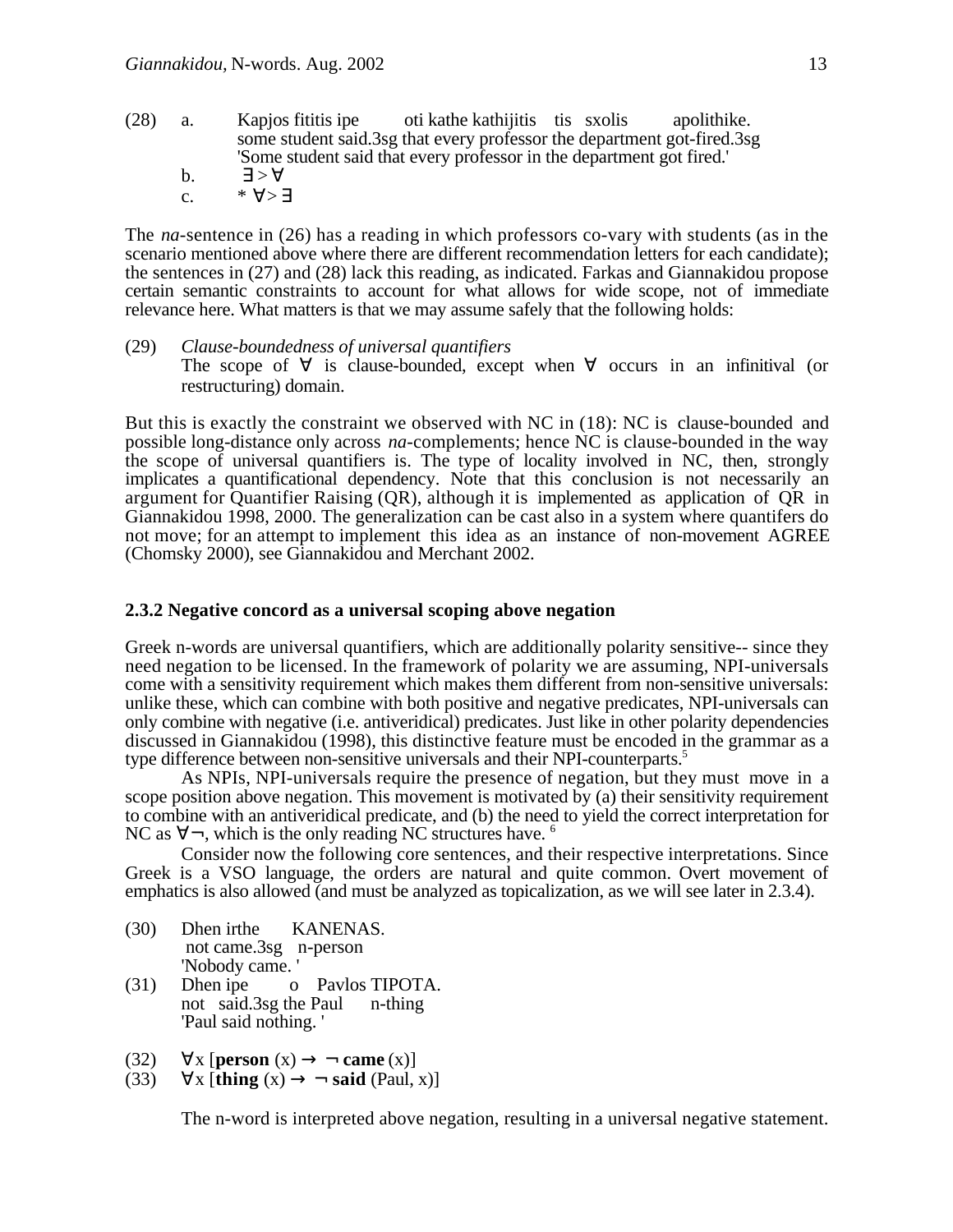- (28) a. Kapjos fititis ipe oti kathe kathijitis tis sxolis apolithike. some student said.3sg that every professor the department got-fired.3sg 'Some student said that every professor in the department got fired.'
	- $\mathbf b$ . c.  $*$  >

The *na*-sentence in (26) has a reading in which professors co-vary with students (as in the scenario mentioned above where there are different recommendation letters for each candidate); the sentences in (27) and (28) lack this reading, as indicated. Farkas and Giannakidou propose certain semantic constraints to account for what allows for wide scope, not of immediate relevance here. What matters is that we may assume safely that the following holds:

(29) *Clause-boundedness of universal quantifiers* The scope of is clause-bounded, except when occurs in an infinitival (or restructuring) domain.

But this is exactly the constraint we observed with NC in (18): NC is clause-bounded and possible long-distance only across *na*-complements; hence NC is clause-bounded in the way the scope of universal quantifiers is. The type of locality involved in NC, then, strongly implicates a quantificational dependency. Note that this conclusion is not necessarily an argument for Quantifier Raising (QR), although it is implemented as application of QR in Giannakidou 1998, 2000. The generalization can be cast also in a system where quantifers do not move; for an attempt to implement this idea as an instance of non-movement AGREE (Chomsky 2000), see Giannakidou and Merchant 2002.

## **2.3.2 Negative concord as a universal scoping above negation**

Greek n-words are universal quantifiers, which are additionally polarity sensitive-- since they need negation to be licensed. In the framework of polarity we are assuming, NPI-universals come with a sensitivity requirement which makes them different from non-sensitive universals: unlike these, which can combine with both positive and negative predicates, NPI-universals can only combine with negative (i.e. antiveridical) predicates. Just like in other polarity dependencies discussed in Giannakidou (1998), this distinctive feature must be encoded in the grammar as a type difference between non-sensitive universals and their NPI-counterparts.<sup>5</sup>

As NPIs, NPI-universals require the presence of negation, but they must move in a scope position above negation. This movement is motivated by (a) their sensitivity requirement to combine with an antiveridical predicate, and (b) the need to yield the correct interpretation for NC as  $\lnot$ , which is the only reading NC structures have.  $\lnot$ 

Consider now the following core sentences, and their respective interpretations. Since Greek is a VSO language, the orders are natural and quite common. Overt movement of emphatics is also allowed (and must be analyzed as topicalization, as we will see later in 2.3.4).

- (30) Dhen irthe KANENAS. not came.3sg n-person 'Nobody came. '
- (31) Dhen ipe o Pavlos TIPOTA. not said.3sg the Paul n-thing 'Paul said nothing. '

(32)  $x$  [**person** (x)  $\rightarrow$  **came** (x)]

(33)  $x \left[ \text{thing}(x) \rightarrow \text{said} (\text{Paul}, x) \right]$ 

The n-word is interpreted above negation, resulting in a universal negative statement.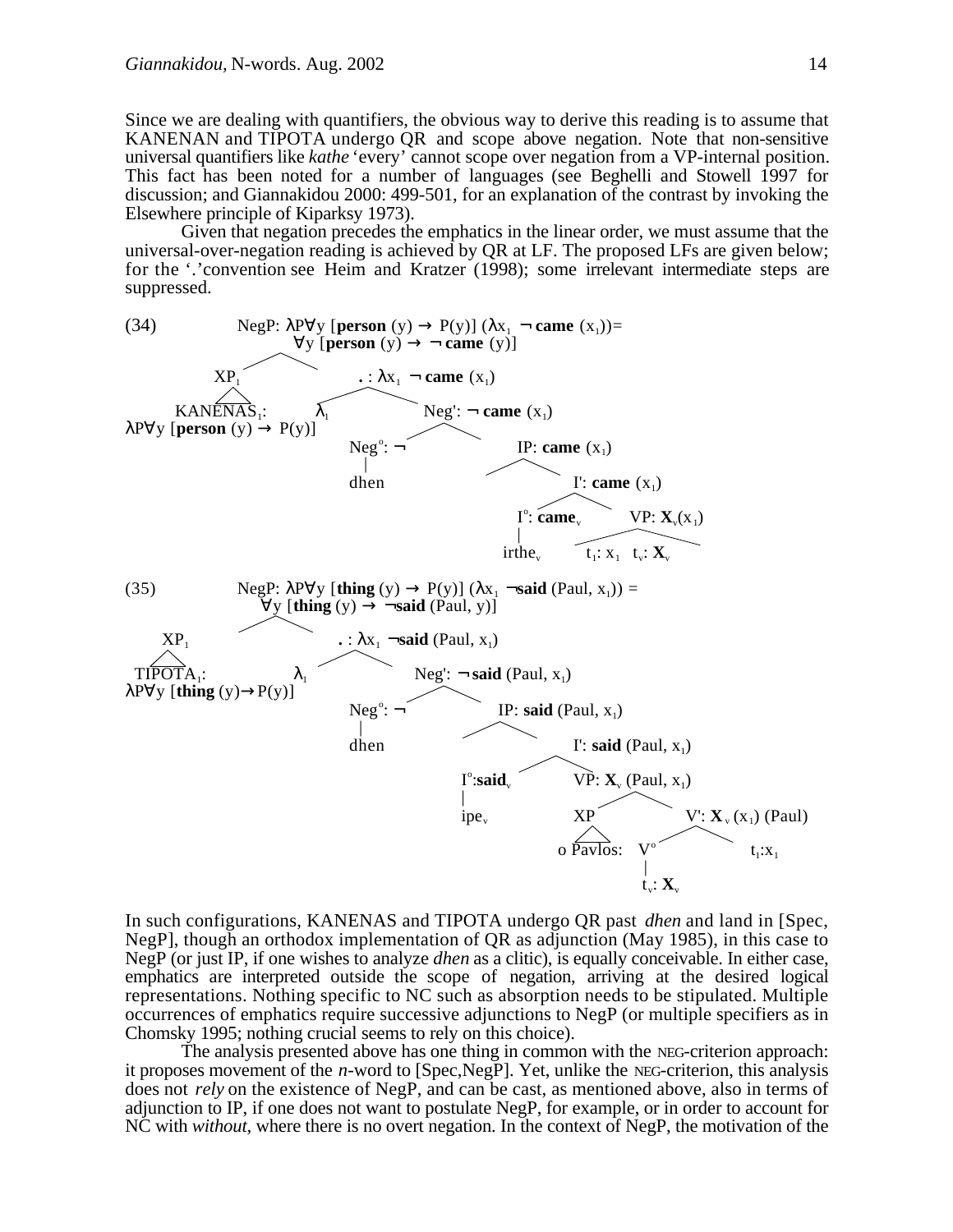Since we are dealing with quantifiers, the obvious way to derive this reading is to assume that KANENAN and TIPOTA undergo QR and scope above negation. Note that non-sensitive universal quantifiers like *kathe* 'every' cannot scope over negation from a VP-internal position. This fact has been noted for a number of languages (see Beghelli and Stowell 1997 for discussion; and Giannakidou 2000: 499-501, for an explanation of the contrast by invoking the Elsewhere principle of Kiparksy 1973).

Given that negation precedes the emphatics in the linear order, we must assume that the universal-over-negation reading is achieved by QR at LF. The proposed LFs are given below; for the '*.*'convention see Heim and Kratzer (1998); some irrelevant intermediate steps are suppressed.



In such configurations, KANENAS and TIPOTA undergo QR past *dhen* and land in [Spec, NegP], though an orthodox implementation of QR as adjunction (May 1985), in this case to NegP (or just IP, if one wishes to analyze *dhen* as a clitic), is equally conceivable. In either case, emphatics are interpreted outside the scope of negation, arriving at the desired logical representations. Nothing specific to NC such as absorption needs to be stipulated. Multiple occurrences of emphatics require successive adjunctions to NegP (or multiple specifiers as in Chomsky 1995; nothing crucial seems to rely on this choice).

The analysis presented above has one thing in common with the NEG-criterion approach: it proposes movement of the *n*-word to [Spec,NegP]. Yet, unlike the NEG-criterion, this analysis does not *rely* on the existence of NegP, and can be cast, as mentioned above, also in terms of adjunction to IP, if one does not want to postulate NegP, for example, or in order to account for NC with *without,* where there is no overt negation. In the context of NegP, the motivation of the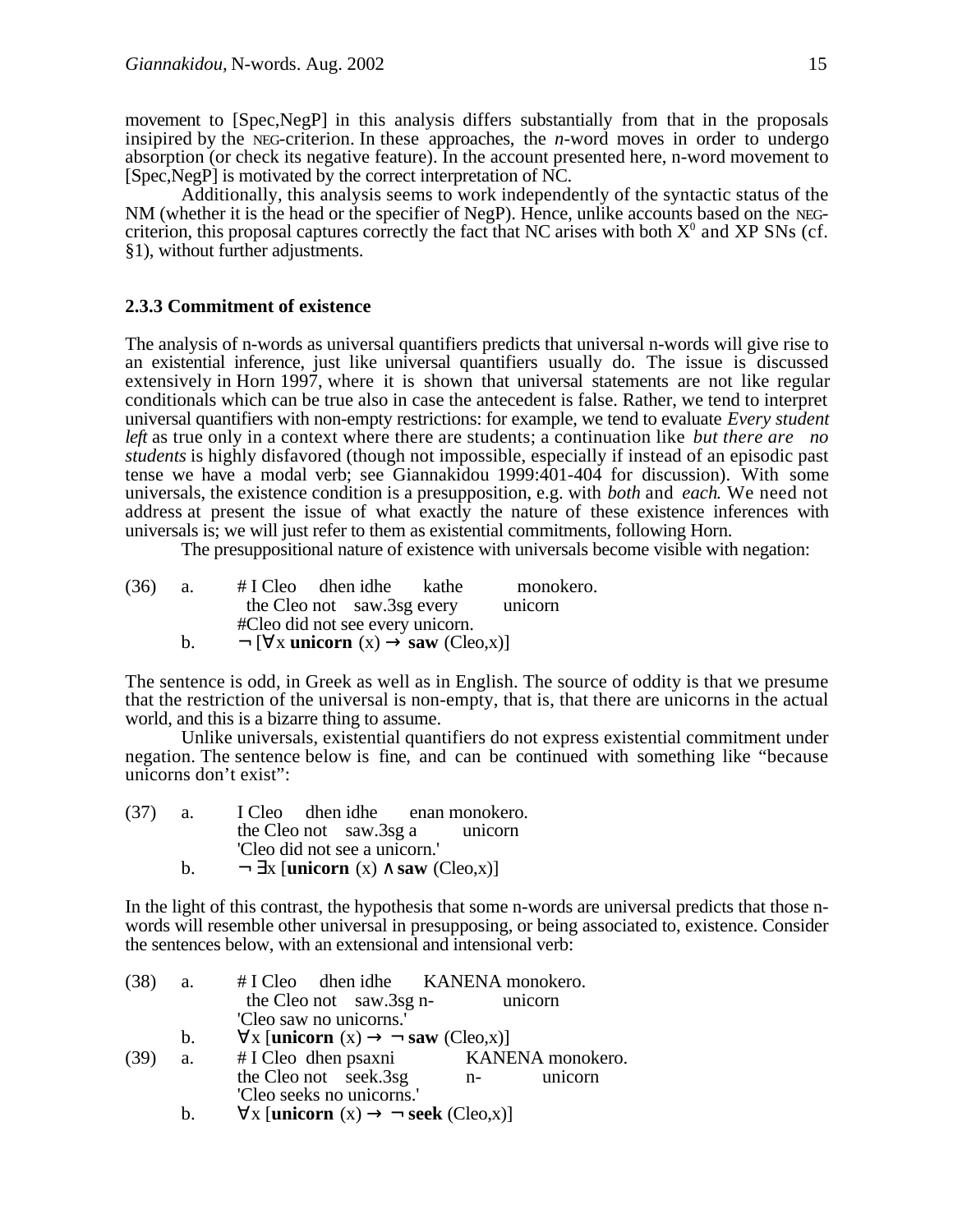movement to [Spec,NegP] in this analysis differs substantially from that in the proposals insipired by the NEG-criterion. In these approaches, the *n*-word moves in order to undergo absorption (or check its negative feature). In the account presented here, n-word movement to [Spec,NegP] is motivated by the correct interpretation of NC.

Additionally, this analysis seems to work independently of the syntactic status of the NM (whether it is the head or the specifier of NegP). Hence, unlike accounts based on the NEGcriterion, this proposal captures correctly the fact that NC arises with both  $X^0$  and XP SNs (cf. §1), without further adjustments.

#### **2.3.3 Commitment of existence**

The analysis of n-words as universal quantifiers predicts that universal n-words will give rise to an existential inference, just like universal quantifiers usually do. The issue is discussed extensively in Horn 1997, where it is shown that universal statements are not like regular conditionals which can be true also in case the antecedent is false. Rather, we tend to interpret universal quantifiers with non-empty restrictions: for example, we tend to evaluate *Every student left* as true only in a context where there are students; a continuation like *but there are no students* is highly disfavored (though not impossible, especially if instead of an episodic past tense we have a modal verb; see Giannakidou 1999:401-404 for discussion). With some universals, the existence condition is a presupposition, e.g. with *both* and *each*. We need not address at present the issue of what exactly the nature of these existence inferences with universals is; we will just refer to them as existential commitments, following Horn.

The presuppositional nature of existence with universals become visible with negation:

| (36) | $\alpha$ and $\alpha$ | $\#$ I Cleo dhen idhe kathe          | monokero. |
|------|-----------------------|--------------------------------------|-----------|
|      |                       | the Cleo not saw.3sg every           | unicorn   |
|      |                       | #Cleo did not see every unicorn.     |           |
|      | b.                    | $\neg$ [ x unicorn (x) saw (Cleo,x)] |           |

The sentence is odd, in Greek as well as in English. The source of oddity is that we presume that the restriction of the universal is non-empty, that is, that there are unicorns in the actual world, and this is a bizarre thing to assume.

Unlike universals, existential quantifiers do not express existential commitment under negation. The sentence below is fine, and can be continued with something like "because unicorns don't exist":

| $(37)$ a. |                                                                                  |  | I Cleo dhen idhe enan monokero. |  |
|-----------|----------------------------------------------------------------------------------|--|---------------------------------|--|
|           | the Cleo not saw.3sg a unicorn                                                   |  |                                 |  |
|           | 'Cleo did not see a unicorn.'                                                    |  |                                 |  |
|           | $\blacksquare$ . The contract of $\blacksquare$ . The contract of $\blacksquare$ |  |                                 |  |

b.  $\rightarrow$  **x** [unicorn (x) **saw** (Cleo,x)]

In the light of this contrast, the hypothesis that some n-words are universal predicts that those nwords will resemble other universal in presupposing, or being associated to, existence. Consider the sentences below, with an extensional and intensional verb:

| (38) | $\alpha$ . | # I Cleo dhen idhe KANENA monokero.              |                  |  |
|------|------------|--------------------------------------------------|------------------|--|
|      |            | the Cleo not saw.3sg n-                          | unicorn          |  |
|      |            | 'Cleo saw no unicorns.'                          |                  |  |
|      | b.         | x [unicorn $(x)$ $\rightarrow$ saw $(Cleo,x)$ ]  |                  |  |
| (39) | a.         | $#$ I Cleo dhen psaxni                           | KANENA monokero. |  |
|      |            | the Cleo not seek.3sg                            | unicorn<br>$n-$  |  |
|      |            | 'Cleo seeks no unicorns.'                        |                  |  |
|      | b.         | x [unicorn $(x)$ $\rightarrow$ seek $(Cleo,x)$ ] |                  |  |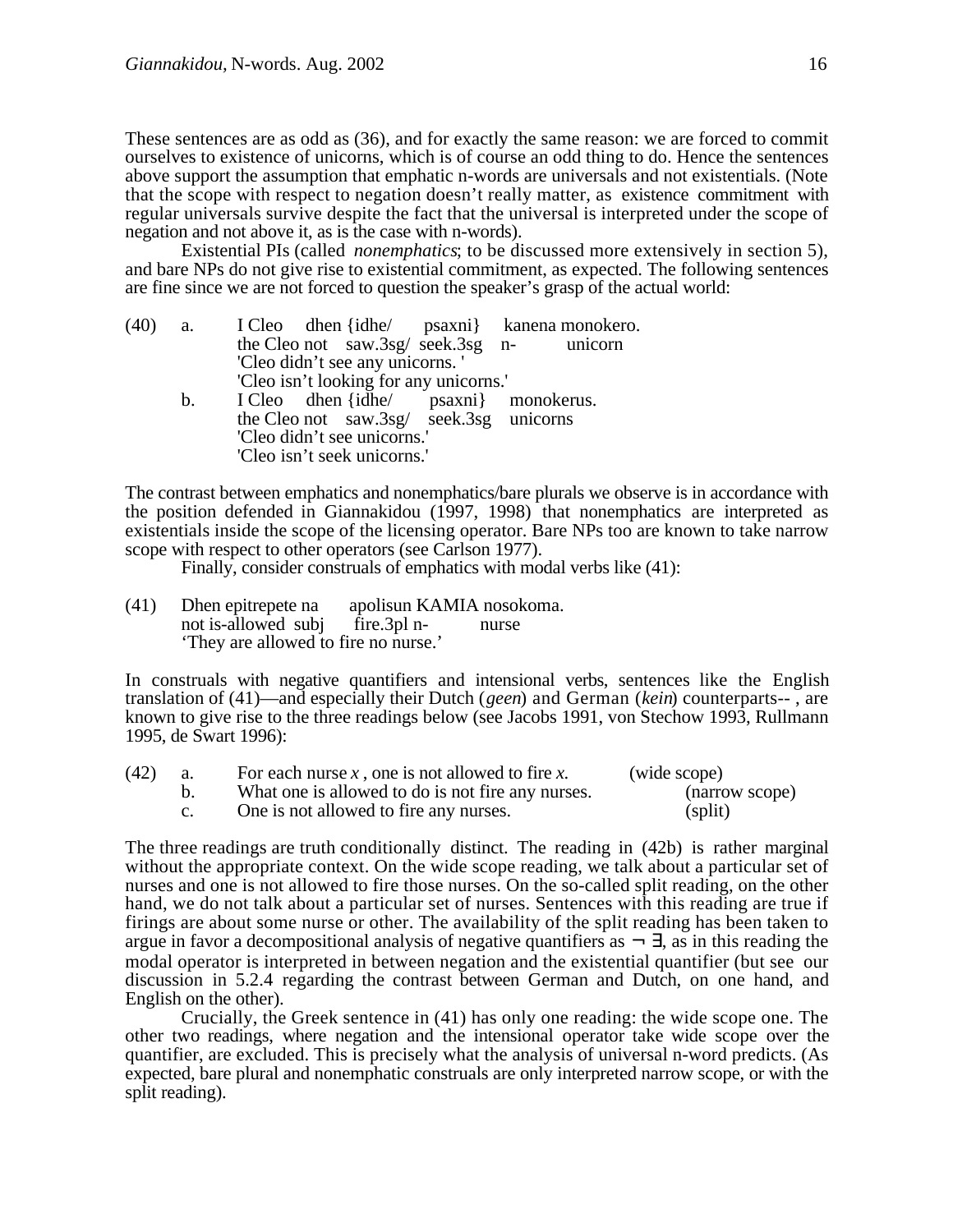These sentences are as odd as (36), and for exactly the same reason: we are forced to commit ourselves to existence of unicorns, which is of course an odd thing to do. Hence the sentences above support the assumption that emphatic n-words are universals and not existentials. (Note that the scope with respect to negation doesn't really matter, as existence commitment with regular universals survive despite the fact that the universal is interpreted under the scope of negation and not above it, as is the case with n-words).

Existential PIs (called *nonemphatics*; to be discussed more extensively in section 5), and bare NPs do not give rise to existential commitment, as expected. The following sentences are fine since we are not forced to question the speaker's grasp of the actual world:

| (40) | a. |  |                                |                                           | I Cleo dhen {idhe/ psaxni} kanena monokero. |
|------|----|--|--------------------------------|-------------------------------------------|---------------------------------------------|
|      |    |  |                                | the Cleo not saw.3sg/ seek.3sg n- unicorn |                                             |
|      |    |  | 'Cleo didn't see any unicorns. |                                           |                                             |
|      |    |  |                                | 'Cleo isn't looking for any unicorns.'    |                                             |
|      | b. |  |                                | I Cleo dhen {idhe/ psaxni} monokerus.     |                                             |
|      |    |  |                                | the Cleo not saw.3sg/ seek.3sg unicorns   |                                             |
|      |    |  | 'Cleo didn't see unicorns.'    |                                           |                                             |
|      |    |  | 'Cleo isn't seek unicorns.'    |                                           |                                             |
|      |    |  |                                |                                           |                                             |

The contrast between emphatics and nonemphatics/bare plurals we observe is in accordance with the position defended in Giannakidou (1997, 1998) that nonemphatics are interpreted as existentials inside the scope of the licensing operator. Bare NPs too are known to take narrow scope with respect to other operators (see Carlson 1977).

Finally, consider construals of emphatics with modal verbs like (41):

(41) Dhen epitrepete na apolisun KAMIA nosokoma. not is-allowed subj fire.3pl n- nurse 'They are allowed to fire no nurse.'

In construals with negative quantifiers and intensional verbs, sentences like the English translation of (41)—and especially their Dutch (*geen*) and German (*kein*) counterparts-- , are known to give rise to the three readings below (see Jacobs 1991, von Stechow 1993, Rullmann 1995, de Swart 1996):

| (42) | For each nurse x, one is not allowed to fire x.   | (wide scope)   |
|------|---------------------------------------------------|----------------|
|      | What one is allowed to do is not fire any nurses. | (narrow scope) |
|      | One is not allowed to fire any nurses.            | (split)        |

The three readings are truth conditionally distinct. The reading in (42b) is rather marginal without the appropriate context. On the wide scope reading, we talk about a particular set of nurses and one is not allowed to fire those nurses. On the so-called split reading, on the other hand, we do not talk about a particular set of nurses. Sentences with this reading are true if firings are about some nurse or other. The availability of the split reading has been taken to argue in favor a decompositional analysis of negative quantifiers as  $\neg$ , as in this reading the modal operator is interpreted in between negation and the existential quantifier (but see our discussion in 5.2.4 regarding the contrast between German and Dutch, on one hand, and English on the other).

Crucially, the Greek sentence in (41) has only one reading: the wide scope one. The other two readings, where negation and the intensional operator take wide scope over the quantifier, are excluded. This is precisely what the analysis of universal n-word predicts. (As expected, bare plural and nonemphatic construals are only interpreted narrow scope, or with the split reading).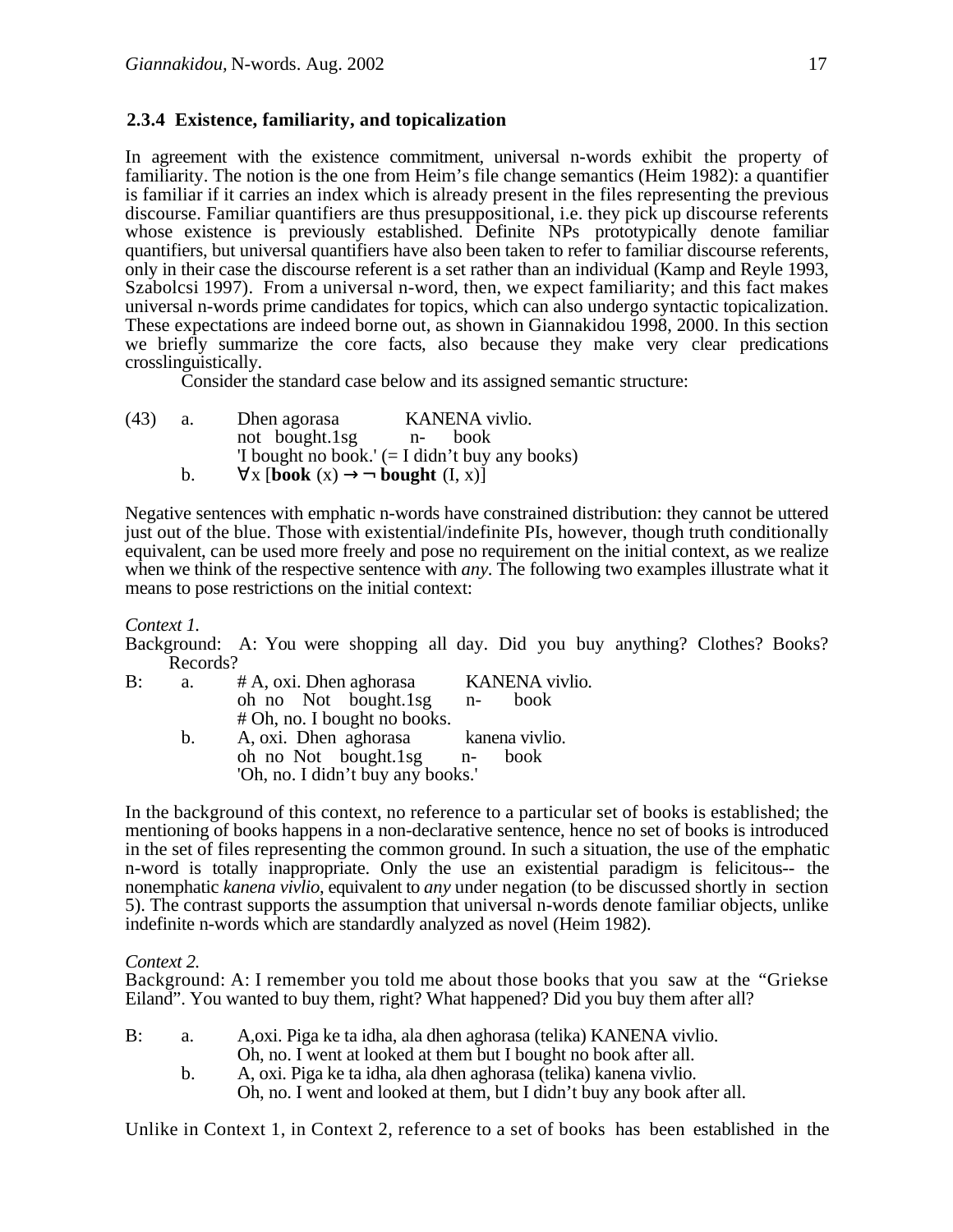## **2.3.4 Existence, familiarity, and topicalization**

In agreement with the existence commitment, universal n-words exhibit the property of familiarity. The notion is the one from Heim's file change semantics (Heim 1982): a quantifier is familiar if it carries an index which is already present in the files representing the previous discourse. Familiar quantifiers are thus presuppositional, i.e. they pick up discourse referents whose existence is previously established. Definite NPs prototypically denote familiar quantifiers, but universal quantifiers have also been taken to refer to familiar discourse referents, only in their case the discourse referent is a set rather than an individual (Kamp and Reyle 1993, Szabolcsi 1997). From a universal n-word, then, we expect familiarity; and this fact makes universal n-words prime candidates for topics, which can also undergo syntactic topicalization. These expectations are indeed borne out, as shown in Giannakidou 1998, 2000. In this section we briefly summarize the core facts, also because they make very clear predications crosslinguistically.

Consider the standard case below and its assigned semantic structure:

| (43) | a. | Dhen agorasa                           | KANENA vivlio.                                   |
|------|----|----------------------------------------|--------------------------------------------------|
|      |    | not bought.1sg                         | n- book                                          |
|      |    |                                        | 'I bought no book.' $(=$ I didn't buy any books) |
|      | b. | $x \text{ [book (x) - bought (I, x)]}$ |                                                  |

Negative sentences with emphatic n-words have constrained distribution: they cannot be uttered just out of the blue. Those with existential/indefinite PIs, however, though truth conditionally equivalent, can be used more freely and pose no requirement on the initial context, as we realize when we think of the respective sentence with *any*. The following two examples illustrate what it means to pose restrictions on the initial context:

## *Context 1.*

Background: A: You were shopping all day. Did you buy anything? Clothes? Books? Records?

| B: | a. | $# A$ , oxi. Dhen aghorasa        | KANENA vivlio. |                |  |
|----|----|-----------------------------------|----------------|----------------|--|
|    |    | oh no Not bought.1sg              | $n-$           | book           |  |
|    |    | # Oh, no. I bought no books.      |                |                |  |
|    | b. | A, oxi. Dhen aghorasa             |                | kanena vivlio. |  |
|    |    | oh no Not bought.1sg n-           |                | book           |  |
|    |    | 'Oh, no. I didn't buy any books.' |                |                |  |

In the background of this context, no reference to a particular set of books is established; the mentioning of books happens in a non-declarative sentence, hence no set of books is introduced in the set of files representing the common ground. In such a situation, the use of the emphatic n-word is totally inappropriate. Only the use an existential paradigm is felicitous-- the nonemphatic *kanena vivlio*, equivalent to *any* under negation (to be discussed shortly in section 5). The contrast supports the assumption that universal n-words denote familiar objects, unlike indefinite n-words which are standardly analyzed as novel (Heim 1982).

#### *Context 2.*

Background: A: I remember you told me about those books that you saw at the "Griekse Eiland". You wanted to buy them, right? What happened? Did you buy them after all?

- B: a. A,oxi. Piga ke ta idha, ala dhen aghorasa (telika) KANENA vivlio. Oh, no. I went at looked at them but I bought no book after all.
	- b. A, oxi. Piga ke ta idha, ala dhen aghorasa (telika) kanena vivlio.
		- Oh, no. I went and looked at them, but I didn't buy any book after all.

Unlike in Context 1, in Context 2, reference to a set of books has been established in the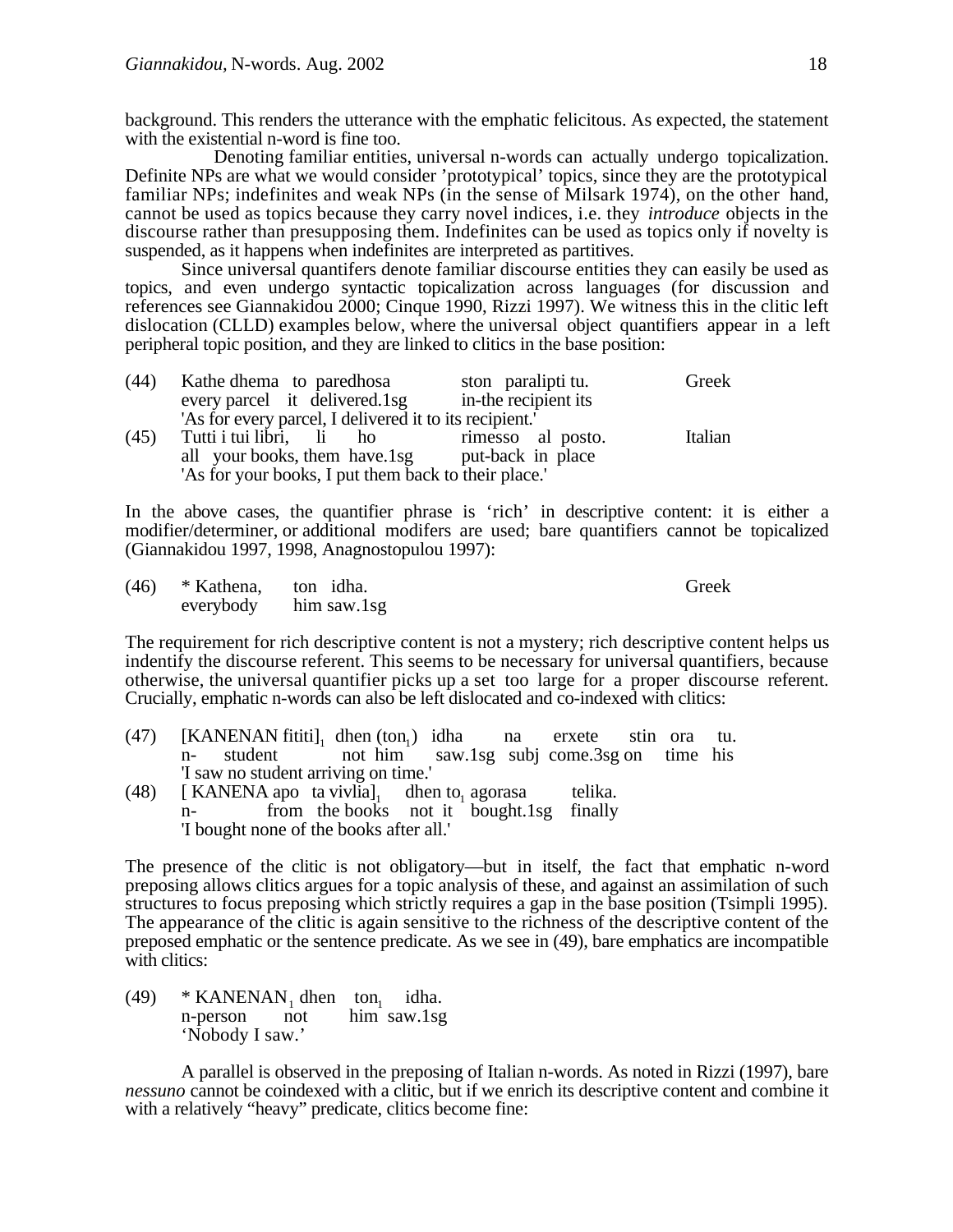background. This renders the utterance with the emphatic felicitous. As expected, the statement with the existential n-word is fine too.

Denoting familiar entities, universal n-words can actually undergo topicalization. Definite NPs are what we would consider 'prototypical' topics, since they are the prototypical familiar NPs; indefinites and weak NPs (in the sense of Milsark 1974), on the other hand, cannot be used as topics because they carry novel indices, i.e. they *introduce* objects in the discourse rather than presupposing them. Indefinites can be used as topics only if novelty is suspended, as it happens when indefinites are interpreted as partitives.

Since universal quantifers denote familiar discourse entities they can easily be used as topics, and even undergo syntactic topicalization across languages (for discussion and references see Giannakidou 2000; Cinque 1990, Rizzi 1997). We witness this in the clitic left dislocation (CLLD) examples below, where the universal object quantifiers appear in a left peripheral topic position, and they are linked to clitics in the base position:

| (44) | Kathe dhema to paredhosa                                | ston paralipti tu.   | Greek   |
|------|---------------------------------------------------------|----------------------|---------|
|      | every parcel it delivered. 1sg                          | in-the recipient its |         |
|      | 'As for every parcel, I delivered it to its recipient.' |                      |         |
| (45) | Tutti i tui libri, li ho                                | rimesso al posto.    | Italian |
|      | all your books, them have lsg                           | put-back in place    |         |
|      | 'As for your books, I put them back to their place.'    |                      |         |

In the above cases, the quantifier phrase is 'rich' in descriptive content: it is either a modifier/determiner, or additional modifers are used; bare quantifiers cannot be topicalized (Giannakidou 1997, 1998, Anagnostopulou 1997):

| (46) | * Kathena, ton idha. |                                      | Greek |
|------|----------------------|--------------------------------------|-------|
|      |                      | everybody $\frac{1}{2}$ him saw. 1sg |       |

The requirement for rich descriptive content is not a mystery; rich descriptive content helps us indentify the discourse referent. This seems to be necessary for universal quantifiers, because otherwise, the universal quantifier picks up a set too large for a proper discourse referent. Crucially, emphatic n-words can also be left dislocated and co-indexed with clitics:

- (47) [KANENAN fititi]<sub>1</sub> dhen (ton<sub>1</sub>) na erxete stin ora tu. n- student not him saw.1sg subj come.3sg on time his 'I saw no student arriving on time.'
- (48) [KANENA apo ta vivlia] $\sum_{n=1}^{\infty}$  [KANENA apo ta vivlia]  $d$ hen to<sub>1</sub> agorasa telika. from the books not it bought.1sg finally 'I bought none of the books after all.'

The presence of the clitic is not obligatory—but in itself, the fact that emphatic n-word preposing allows clitics argues for a topic analysis of these, and against an assimilation of such structures to focus preposing which strictly requires a gap in the base position (Tsimpli 1995). The appearance of the clitic is again sensitive to the richness of the descriptive content of the preposed emphatic or the sentence predicate. As we see in (49), bare emphatics are incompatible with clitics:

(49) \* KANENAN<sub>1</sub> dhen ton<sub>1</sub> idha. n-person not him saw.1sg 'Nobody I saw.'

A parallel is observed in the preposing of Italian n-words. As noted in Rizzi (1997), bare *nessuno* cannot be coindexed with a clitic, but if we enrich its descriptive content and combine it with a relatively "heavy" predicate, clitics become fine: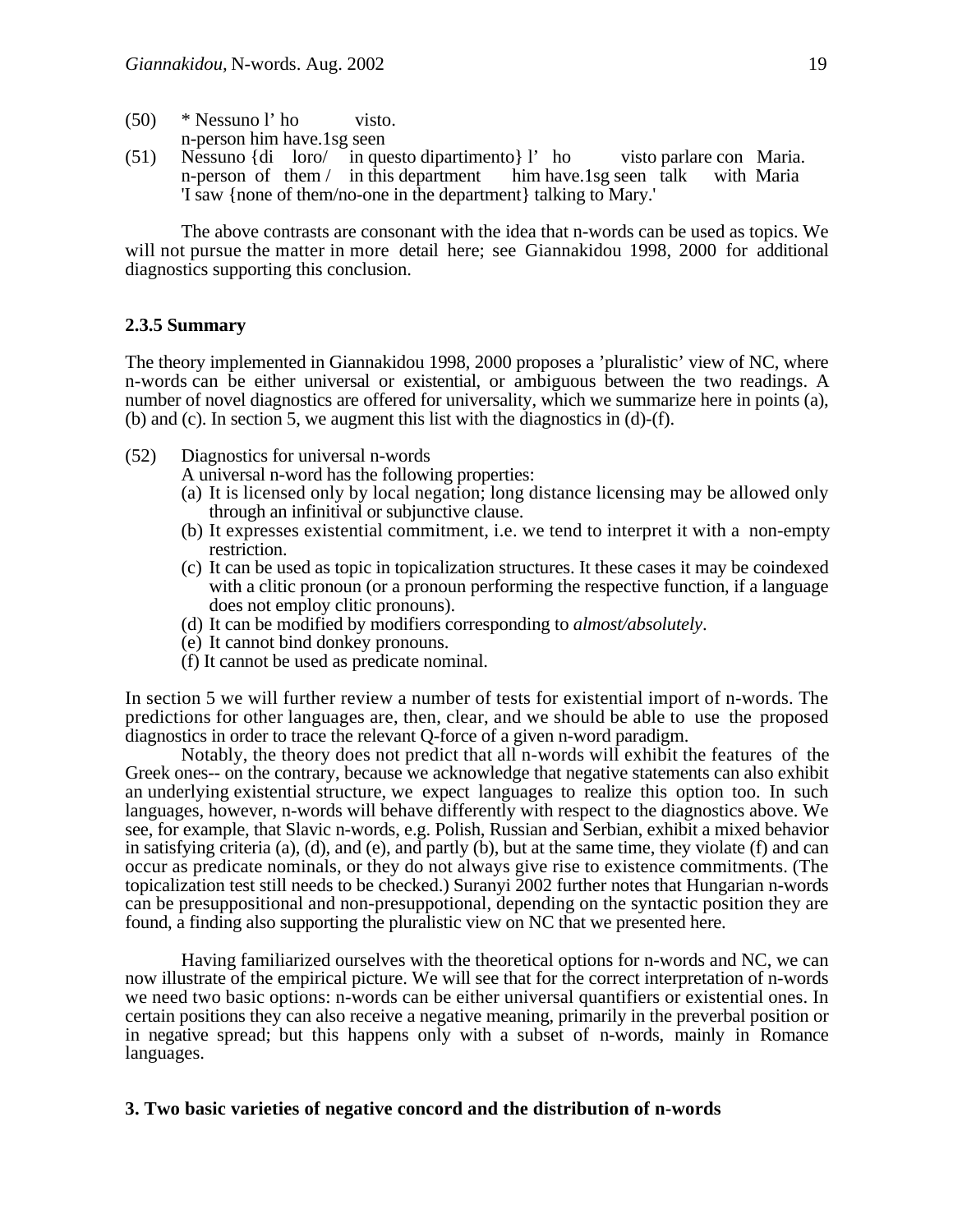- (50) \* Nessuno l' ho visto. n-person him have.1sg seen
- (51) Nessuno {di loro/ in questo dipartimento} l' ho visto parlare con Maria. n-person of them / in this department him have.1sg seen talk with Maria 'I saw {none of them/no-one in the department} talking to Mary.'

The above contrasts are consonant with the idea that n-words can be used as topics. We will not pursue the matter in more detail here; see Giannakidou 1998, 2000 for additional diagnostics supporting this conclusion.

#### **2.3.5 Summary**

The theory implemented in Giannakidou 1998, 2000 proposes a 'pluralistic' view of NC, where n-words can be either universal or existential, or ambiguous between the two readings. A number of novel diagnostics are offered for universality, which we summarize here in points (a), (b) and (c). In section 5, we augment this list with the diagnostics in (d)-(f).

(52) Diagnostics for universal n-words

A universal n-word has the following properties:

- (a) It is licensed only by local negation; long distance licensing may be allowed only through an infinitival or subjunctive clause.
- (b) It expresses existential commitment, i.e. we tend to interpret it with a non-empty restriction.
- (c) It can be used as topic in topicalization structures. It these cases it may be coindexed with a clitic pronoun (or a pronoun performing the respective function, if a language does not employ clitic pronouns).
- (d) It can be modified by modifiers corresponding to *almost/absolutely*.
- (e) It cannot bind donkey pronouns.
- (f) It cannot be used as predicate nominal.

In section 5 we will further review a number of tests for existential import of n-words. The predictions for other languages are, then, clear, and we should be able to use the proposed diagnostics in order to trace the relevant Q-force of a given n-word paradigm.

Notably, the theory does not predict that all n-words will exhibit the features of the Greek ones-- on the contrary, because we acknowledge that negative statements can also exhibit an underlying existential structure, we expect languages to realize this option too. In such languages, however, n-words will behave differently with respect to the diagnostics above. We see, for example, that Slavic n-words, e.g. Polish, Russian and Serbian, exhibit a mixed behavior in satisfying criteria (a), (d), and (e), and partly (b), but at the same time, they violate (f) and can occur as predicate nominals, or they do not always give rise to existence commitments. (The topicalization test still needs to be checked.) Suranyi 2002 further notes that Hungarian n-words can be presuppositional and non-presuppotional, depending on the syntactic position they are found, a finding also supporting the pluralistic view on NC that we presented here.

Having familiarized ourselves with the theoretical options for n-words and NC, we can now illustrate of the empirical picture. We will see that for the correct interpretation of n-words we need two basic options: n-words can be either universal quantifiers or existential ones. In certain positions they can also receive a negative meaning, primarily in the preverbal position or in negative spread; but this happens only with a subset of n-words, mainly in Romance languages.

#### **3. Two basic varieties of negative concord and the distribution of n-words**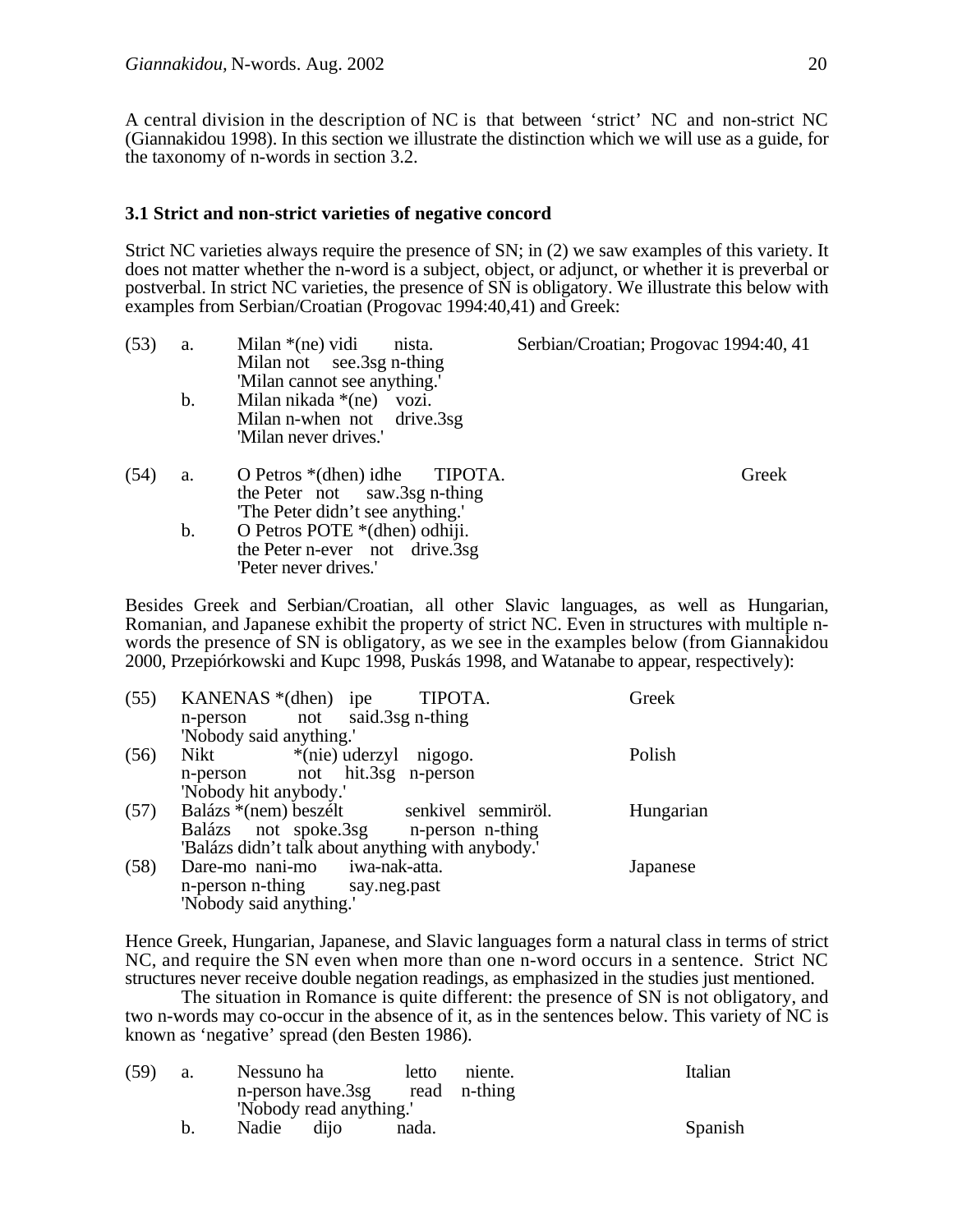A central division in the description of NC is that between 'strict' NC and non-strict NC (Giannakidou 1998). In this section we illustrate the distinction which we will use as a guide, for the taxonomy of n-words in section 3.2.

## **3.1 Strict and non-strict varieties of negative concord**

'Peter never drives.'

Strict NC varieties always require the presence of SN; in (2) we saw examples of this variety. It does not matter whether the n-word is a subject, object, or adjunct, or whether it is preverbal or postverbal. In strict NC varieties, the presence of SN is obligatory. We illustrate this below with examples from Serbian/Croatian (Progovac 1994:40,41) and Greek:

| (53) | a.            | Milan $*(ne)$ vidi nista.<br>Milan not see.3sg n-thing<br>'Milan cannot see anything.'                  | Serbian/Croatian; Progovac 1994:40, 41 |
|------|---------------|---------------------------------------------------------------------------------------------------------|----------------------------------------|
|      | $\mathbf b$ . | Milan nikada $*(ne)$ vozi.<br>Milan n-when not drive.3sg<br>'Milan never drives.'                       |                                        |
| (54) | a.            | O Petros $*(then)$ idhe<br>TIPOTA.<br>the Peter not saw.3sg n-thing<br>"The Peter didn't see anything." | Greek                                  |
|      | b.            | O Petros POTE *(dhen) odhiji.<br>the Peter n-ever not drive.3sg                                         |                                        |

Besides Greek and Serbian/Croatian, all other Slavic languages, as well as Hungarian, Romanian, and Japanese exhibit the property of strict NC. Even in structures with multiple nwords the presence of SN is obligatory, as we see in the examples below (from Giannakidou 2000, Przepiórkowski and Kupc 1998, Puskás 1998, and Watanabe to appear, respectively):

| (55) | KANENAS $*(then)$ ipe<br>TIPOTA.                  | Greek     |
|------|---------------------------------------------------|-----------|
|      | not said.3sg n-thing<br>n-person                  |           |
|      | 'Nobody said anything.'                           |           |
| (56) | *(nie) uderzyl nigogo.<br>Nikt                    | Polish    |
|      | not hit.3sg n-person<br>n-person                  |           |
|      | 'Nobody hit anybody.'                             |           |
| (57) | Balázs *(nem) beszélt<br>senkivel semmiröl.       | Hungarian |
|      | Balázs not spoke.3sg n-person n-thing             |           |
|      | 'Balázs didn't talk about anything with anybody.' |           |
| (58) | iwa-nak-atta.<br>Dare-mo nani-mo                  | Japanese  |
|      | n-person n-thing say.neg.past                     |           |
|      | 'Nobody said anything.'                           |           |

Hence Greek, Hungarian, Japanese, and Slavic languages form a natural class in terms of strict NC, and require the SN even when more than one n-word occurs in a sentence. Strict NC structures never receive double negation readings, as emphasized in the studies just mentioned.

The situation in Romance is quite different: the presence of SN is not obligatory, and two n-words may co-occur in the absence of it, as in the sentences below. This variety of NC is known as 'negative' spread (den Besten 1986).

| (59) | а. | Nessuno ha                     | letto | niente. | Italian |
|------|----|--------------------------------|-------|---------|---------|
|      |    | n-person have.3sg read n-thing |       |         |         |
|      |    | 'Nobody read anything.'        |       |         |         |
|      |    | diio<br>Nadie                  | nada. |         | Spanish |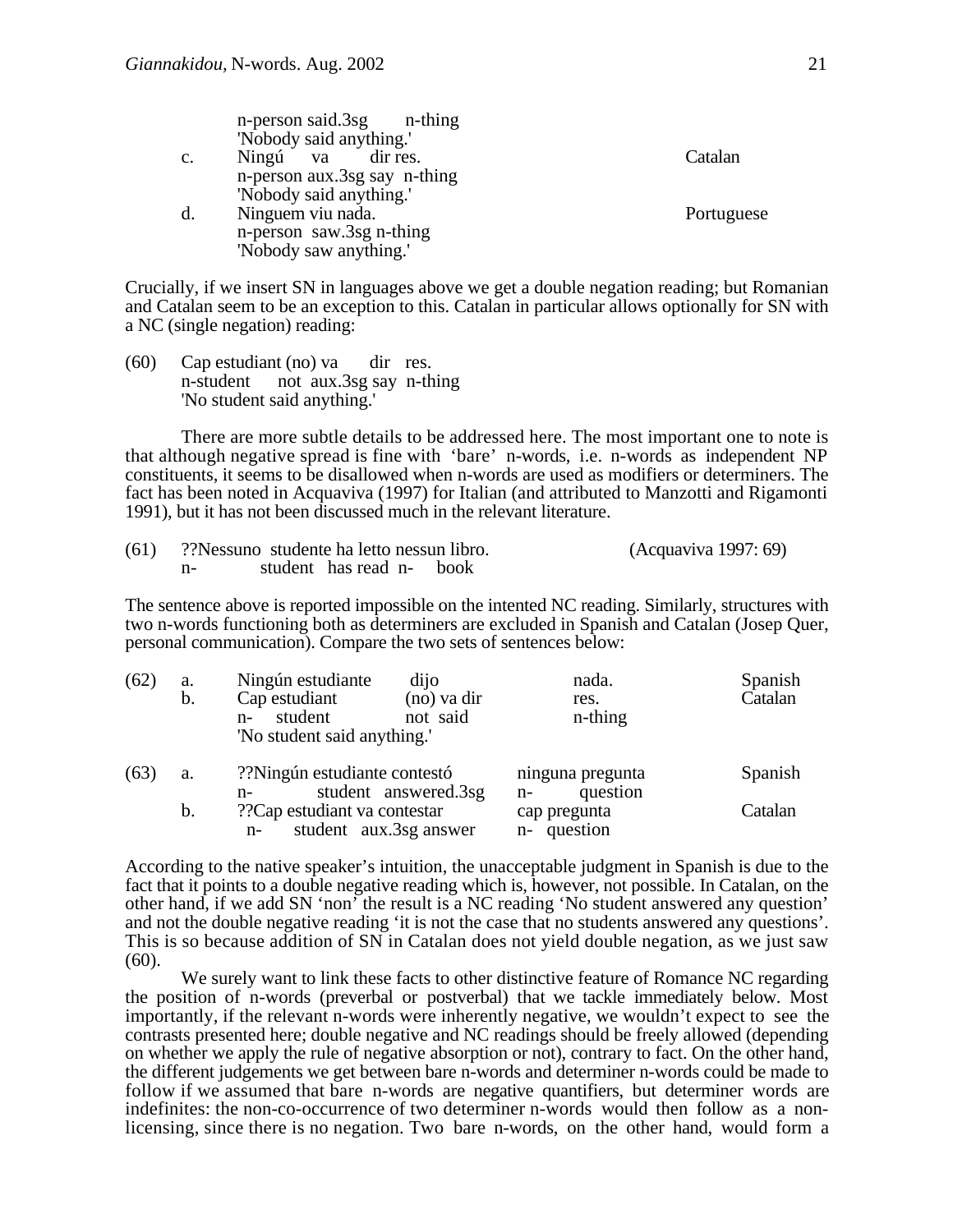|                | n-person said.3sg n-thing    |            |
|----------------|------------------------------|------------|
|                | 'Nobody said anything.'      |            |
| $\mathbf{c}$ . | Ningú va<br>dir res.         | Catalan    |
|                | n-person aux.3sg say n-thing |            |
|                | 'Nobody said anything.'      |            |
| d.             | Ninguem viu nada.            | Portuguese |
|                | n-person saw.3sg n-thing     |            |
|                | 'Nobody saw anything.'       |            |

Crucially, if we insert SN in languages above we get a double negation reading; but Romanian and Catalan seem to be an exception to this. Catalan in particular allows optionally for SN with a NC (single negation) reading:

(60) Cap estudiant (no) va dir res. n-student not aux.3sg say n-thing 'No student said anything.'

There are more subtle details to be addressed here. The most important one to note is that although negative spread is fine with 'bare' n-words, i.e. n-words as independent NP constituents, it seems to be disallowed when n-words are used as modifiers or determiners. The fact has been noted in Acquaviva (1997) for Italian (and attributed to Manzotti and Rigamonti 1991), but it has not been discussed much in the relevant literature.

| (61) |    | ??Nessuno studente ha letto nessun libro. | (Acquaviva 1997: 69) |
|------|----|-------------------------------------------|----------------------|
|      | n- | student has read n- book                  |                      |

The sentence above is reported impossible on the intented NC reading. Similarly, structures with two n-words functioning both as determiners are excluded in Spanish and Catalan (Josep Quer, personal communication). Compare the two sets of sentences below:

| (62) | a.<br>b.      | dijo<br>Ningún estudiante<br>(no) va dir<br>Cap estudiant<br>not said<br>student<br>n-<br>'No student said anything.' | nada.<br>res.<br>n-thing                       | Spanish<br>Catalan |
|------|---------------|-----------------------------------------------------------------------------------------------------------------------|------------------------------------------------|--------------------|
| (63) | a.            | ??Ningún estudiante contestó                                                                                          | ninguna pregunta                               | Spanish            |
|      | $\mathbf b$ . | student answered.3sg<br>n-<br>?? Cap estudiant va contestar<br>student aux.3sg answer<br>n-                           | question<br>$n-$<br>cap pregunta<br>n-question | Catalan            |

According to the native speaker's intuition, the unacceptable judgment in Spanish is due to the fact that it points to a double negative reading which is, however, not possible. In Catalan, on the other hand, if we add SN 'non' the result is a NC reading 'No student answered any question' and not the double negative reading 'it is not the case that no students answered any questions'. This is so because addition of SN in Catalan does not yield double negation, as we just saw  $(60)$ .

We surely want to link these facts to other distinctive feature of Romance NC regarding the position of n-words (preverbal or postverbal) that we tackle immediately below. Most importantly, if the relevant n-words were inherently negative, we wouldn't expect to see the contrasts presented here; double negative and NC readings should be freely allowed (depending on whether we apply the rule of negative absorption or not), contrary to fact. On the other hand, the different judgements we get between bare n-words and determiner n-words could be made to follow if we assumed that bare n-words are negative quantifiers, but determiner words are indefinites: the non-co-occurrence of two determiner n-words would then follow as a nonlicensing, since there is no negation. Two bare n-words, on the other hand, would form a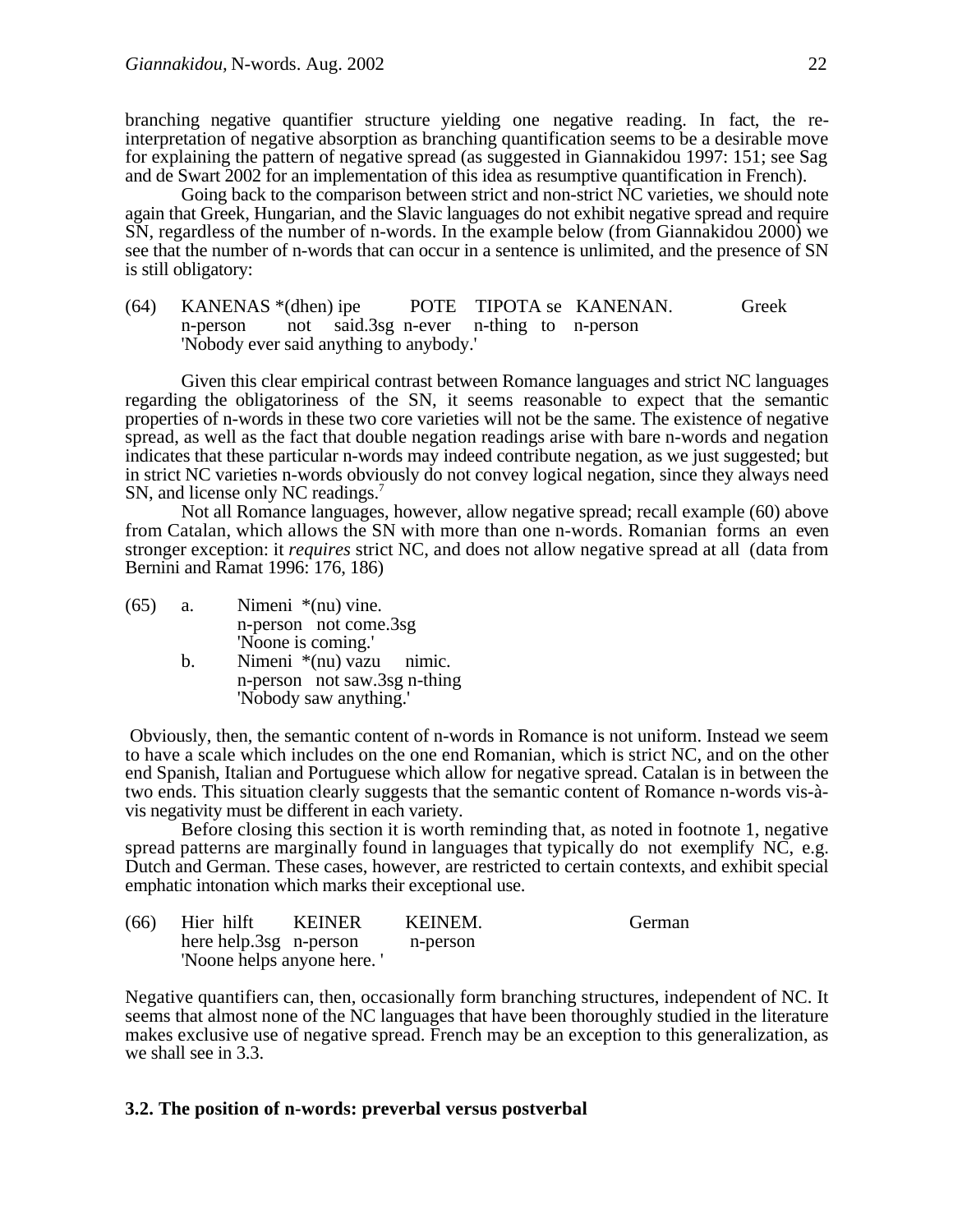branching negative quantifier structure yielding one negative reading. In fact, the reinterpretation of negative absorption as branching quantification seems to be a desirable move for explaining the pattern of negative spread (as suggested in Giannakidou 1997: 151; see Sag and de Swart 2002 for an implementation of this idea as resumptive quantification in French).

Going back to the comparison between strict and non-strict NC varieties, we should note again that Greek, Hungarian, and the Slavic languages do not exhibit negative spread and require SN, regardless of the number of n-words. In the example below (from Giannakidou 2000) we see that the number of n-words that can occur in a sentence is unlimited, and the presence of SN is still obligatory:

(64) KANENAS \*(dhen) ipe POTE TIPOTA se KANENAN. Greek n-person not said.3sg n-ever n-thing to n-person 'Nobody ever said anything to anybody.'

Given this clear empirical contrast between Romance languages and strict NC languages regarding the obligatoriness of the SN, it seems reasonable to expect that the semantic properties of n-words in these two core varieties will not be the same. The existence of negative spread, as well as the fact that double negation readings arise with bare n-words and negation indicates that these particular n-words may indeed contribute negation, as we just suggested; but in strict NC varieties n-words obviously do not convey logical negation, since they always need SN, and license only NC readings.<sup>7</sup>

Not all Romance languages, however, allow negative spread; recall example (60) above from Catalan, which allows the SN with more than one n-words. Romanian forms an even stronger exception: it *requires* strict NC, and does not allow negative spread at all (data from Bernini and Ramat 1996: 176, 186)

- (65) a. Nimeni  $*(nu)$  vine. n-person not come.3sg 'Noone is coming.'
	- b. Nimeni \*(nu) vazu nimic. n-person not saw.3sg n-thing 'Nobody saw anything.'

 Obviously, then, the semantic content of n-words in Romance is not uniform. Instead we seem to have a scale which includes on the one end Romanian, which is strict NC, and on the other end Spanish, Italian and Portuguese which allow for negative spread. Catalan is in between the two ends. This situation clearly suggests that the semantic content of Romance n-words vis-àvis negativity must be different in each variety.

Before closing this section it is worth reminding that, as noted in footnote 1, negative spread patterns are marginally found in languages that typically do not exemplify NC, e.g. Dutch and German. These cases, however, are restricted to certain contexts, and exhibit special emphatic intonation which marks their exceptional use.

| (66) | Hier hilft                | KEINER | KEINEM.  | German |
|------|---------------------------|--------|----------|--------|
|      | here help.3sg n-person    |        | n-person |        |
|      | 'Noone helps anyone here. |        |          |        |

Negative quantifiers can, then, occasionally form branching structures, independent of NC. It seems that almost none of the NC languages that have been thoroughly studied in the literature makes exclusive use of negative spread. French may be an exception to this generalization, as we shall see in 3.3.

## **3.2. The position of n-words: preverbal versus postverbal**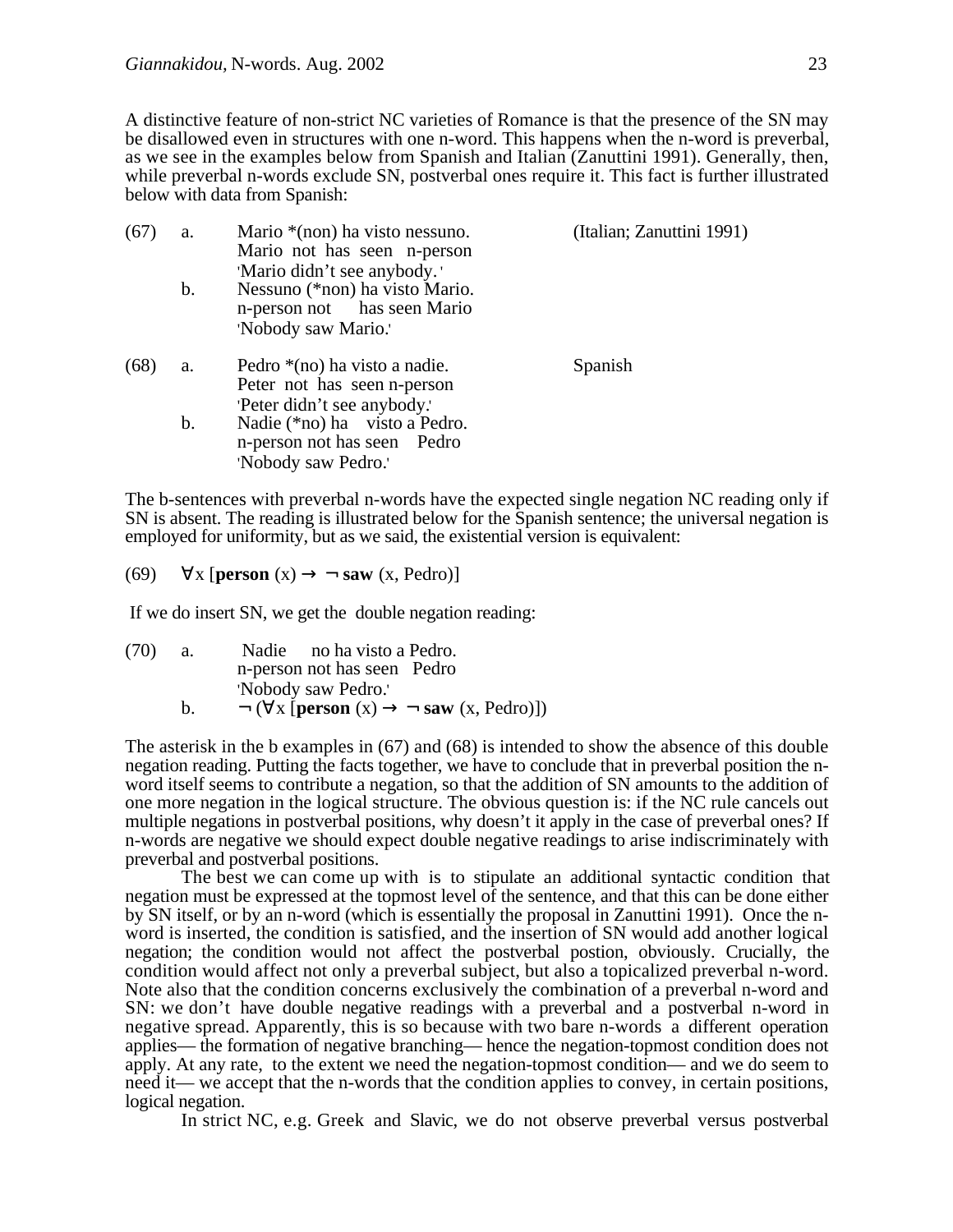A distinctive feature of non-strict NC varieties of Romance is that the presence of the SN may be disallowed even in structures with one n-word. This happens when the n-word is preverbal, as we see in the examples below from Spanish and Italian (Zanuttini 1991). Generally, then, while preverbal n-words exclude SN, postverbal ones require it. This fact is further illustrated below with data from Spanish:

| (67) | a.            | Mario $*(\text{non})$ ha visto nessuno.<br>Mario not has seen n-person<br>'Mario didn't see anybody.' | (Italian; Zanuttini 1991) |
|------|---------------|-------------------------------------------------------------------------------------------------------|---------------------------|
|      | $\mathbf b$ . | Nessuno (*non) ha visto Mario.<br>n-person not has seen Mario<br>'Nobody saw Mario.'                  |                           |
| (68) | a.            | Pedro $*(no)$ ha visto a nadie.<br>Peter not has seen n-person<br>'Peter didn't see anybody.'         | Spanish                   |
|      | b.            | Nadie (*no) ha visto a Pedro.<br>n-person not has seen Pedro<br>'Nobody saw Pedro.'                   |                           |

The b-sentences with preverbal n-words have the expected single negation NC reading only if SN is absent. The reading is illustrated below for the Spanish sentence; the universal negation is employed for uniformity, but as we said, the existential version is equivalent:

(69)  $x$  [**person** (x)  $\rightarrow$  **saw** (x, Pedro)]

If we do insert SN, we get the double negation reading:

| (70) | a.          | Nadie no ha visto a Pedro.                                |
|------|-------------|-----------------------------------------------------------|
|      |             | n-person not has seen Pedro                               |
|      |             | 'Nobody saw Pedro.'                                       |
|      | $h_{\cdot}$ | $\neg$ saw (x, Pedro)])<br>$\neg$ ( x [ <b>person</b> (x) |

The asterisk in the b examples in (67) and (68) is intended to show the absence of this double negation reading. Putting the facts together, we have to conclude that in preverbal position the nword itself seems to contribute a negation, so that the addition of SN amounts to the addition of one more negation in the logical structure. The obvious question is: if the NC rule cancels out multiple negations in postverbal positions, why doesn't it apply in the case of preverbal ones? If n-words are negative we should expect double negative readings to arise indiscriminately with preverbal and postverbal positions.

The best we can come up with is to stipulate an additional syntactic condition that negation must be expressed at the topmost level of the sentence, and that this can be done either by SN itself, or by an n-word (which is essentially the proposal in Zanuttini 1991). Once the nword is inserted, the condition is satisfied, and the insertion of SN would add another logical negation; the condition would not affect the postverbal postion, obviously. Crucially, the condition would affect not only a preverbal subject, but also a topicalized preverbal n-word. Note also that the condition concerns exclusively the combination of a preverbal n-word and SN: we don't have double negative readings with a preverbal and a postverbal n-word in negative spread. Apparently, this is so because with two bare n-words a different operation applies— the formation of negative branching— hence the negation-topmost condition does not apply. At any rate, to the extent we need the negation-topmost condition— and we do seem to need it— we accept that the n-words that the condition applies to convey, in certain positions, logical negation.

In strict NC, e.g. Greek and Slavic, we do not observe preverbal versus postverbal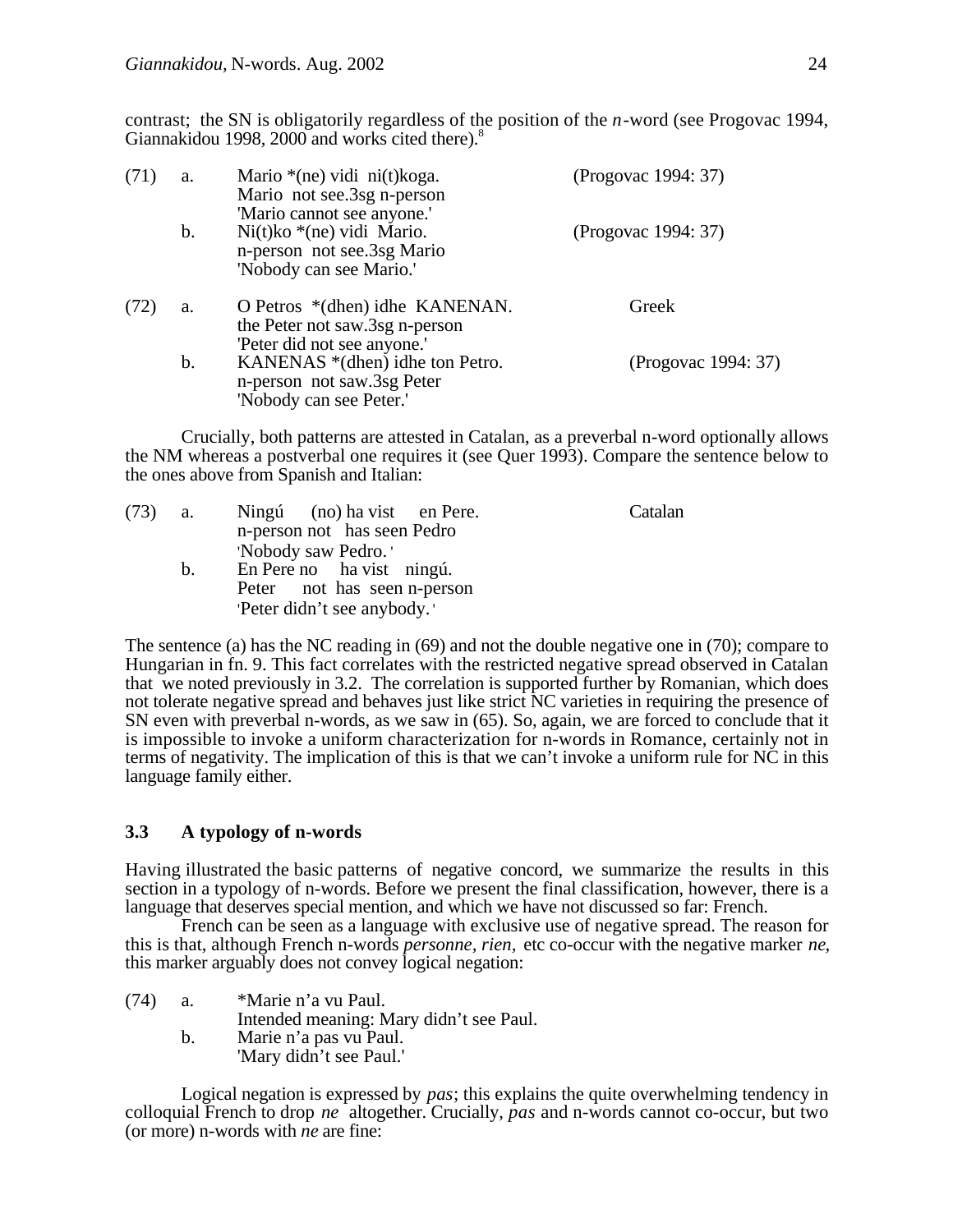contrast; the SN is obligatorily regardless of the position of the *n*-word (see Progovac 1994, Giannakidou 1998, 2000 and works cited there).<sup>8</sup>

| (71) | a.            | Mario $*(ne)$ vidi ni(t) koga.<br>Mario not see.3sg n-person<br>'Mario cannot see anyone.'      | (Progovac 1994: 37) |
|------|---------------|-------------------------------------------------------------------------------------------------|---------------------|
|      | $\mathbf b$ . | $Ni(t)ko * (ne)$ vidi Mario.<br>n-person not see.3sg Mario<br>'Nobody can see Mario.'           | (Progovac 1994: 37) |
| (72) | a.            | O Petros *(dhen) idhe KANENAN.<br>the Peter not saw.3sg n-person<br>'Peter did not see anyone.' | Greek               |
|      | b.            | KANENAS *(dhen) idhe ton Petro.<br>n-person not saw.3sg Peter<br>'Nobody can see Peter.'        | (Progovac 1994: 37) |

Crucially, both patterns are attested in Catalan, as a preverbal n-word optionally allows the NM whereas a postverbal one requires it (see Quer 1993). Compare the sentence below to the ones above from Spanish and Italian:

| <b>a.</b> | Ningú (no) ha vist en Pere. | Catalan |
|-----------|-----------------------------|---------|
|           | n-person not has seen Pedro |         |
|           | 'Nobody saw Pedro.'         |         |
| $b_{1}$   | En Pere no ha vist ningú.   |         |
|           | Peter not has seen n-person |         |
|           | 'Peter didn't see anybody.' |         |
|           |                             |         |

The sentence (a) has the NC reading in (69) and not the double negative one in (70); compare to Hungarian in fn. 9. This fact correlates with the restricted negative spread observed in Catalan that we noted previously in 3.2. The correlation is supported further by Romanian, which does not tolerate negative spread and behaves just like strict NC varieties in requiring the presence of SN even with preverbal n-words, as we saw in (65). So, again, we are forced to conclude that it is impossible to invoke a uniform characterization for n-words in Romance, certainly not in terms of negativity. The implication of this is that we can't invoke a uniform rule for NC in this language family either.

## **3.3 A typology of n-words**

Having illustrated the basic patterns of negative concord, we summarize the results in this section in a typology of n-words. Before we present the final classification, however, there is a language that deserves special mention, and which we have not discussed so far: French.

French can be seen as a language with exclusive use of negative spread. The reason for this is that, although French n-words *personne, rien,* etc co-occur with the negative marker *ne*, this marker arguably does not convey logical negation:

| (74) | *Marie n'a vu Paul.                     |
|------|-----------------------------------------|
|      | Intended meaning: Mary didn't see Paul. |
|      | Marie n'a pas vu Paul.                  |

'Mary didn't see Paul.'

Logical negation is expressed by *pas*; this explains the quite overwhelming tendency in colloquial French to drop *ne* altogether. Crucially, *pas* and n-words cannot co-occur, but two (or more) n-words with *ne* are fine: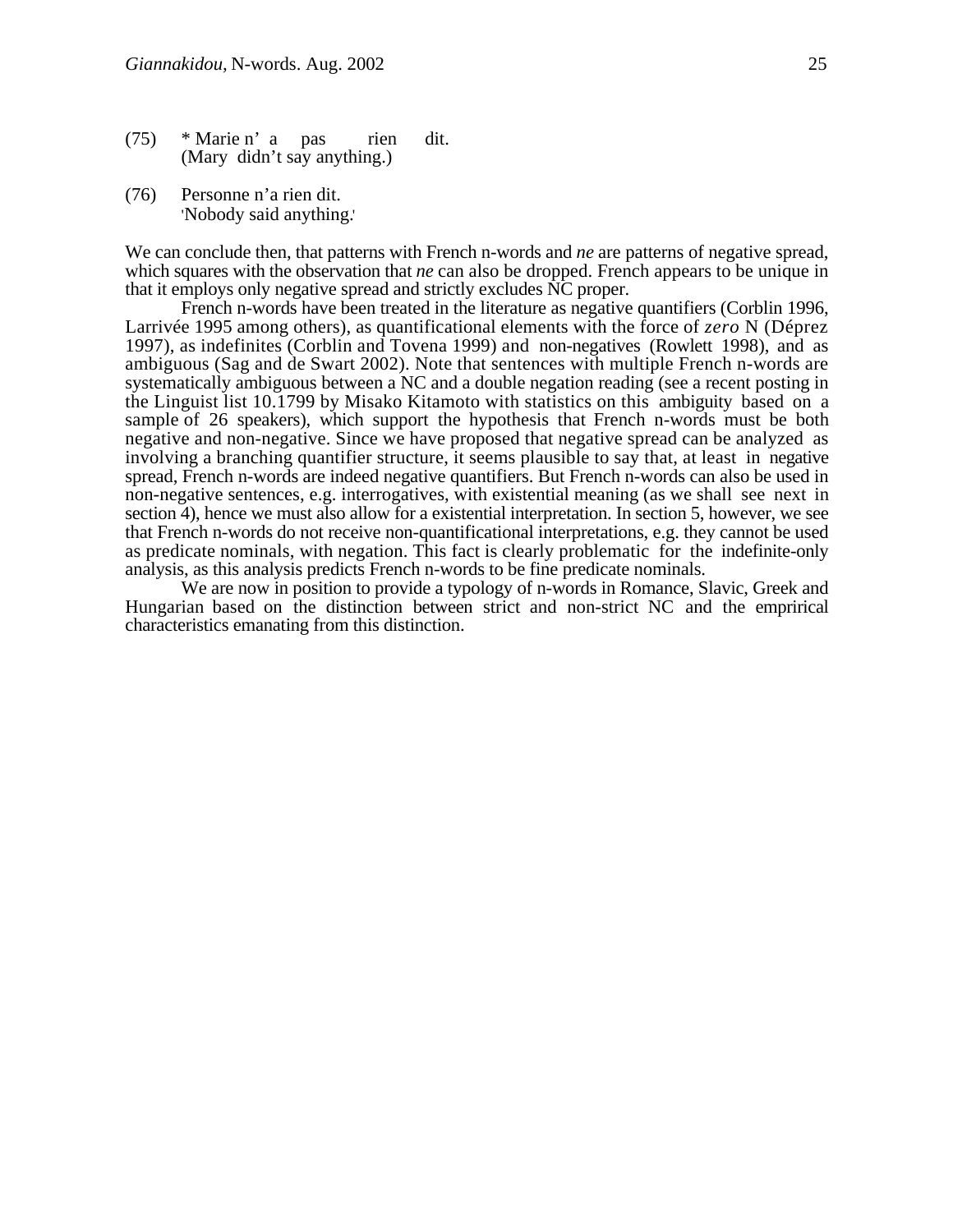- (75) \* Marie n' a pas rien dit. (Mary didn't say anything.)
- (76) Personne n'a rien dit. 'Nobody said anything.'

We can conclude then, that patterns with French n-words and *ne* are patterns of negative spread, which squares with the observation that *ne* can also be dropped. French appears to be unique in that it employs only negative spread and strictly excludes NC proper.

French n-words have been treated in the literature as negative quantifiers (Corblin 1996, Larrivée 1995 among others), as quantificational elements with the force of *zero* N (Déprez 1997), as indefinites (Corblin and Tovena 1999) and non-negatives (Rowlett 1998), and as ambiguous (Sag and de Swart 2002). Note that sentences with multiple French n-words are systematically ambiguous between a NC and a double negation reading (see a recent posting in the Linguist list 10.1799 by Misako Kitamoto with statistics on this ambiguity based on a sample of 26 speakers), which support the hypothesis that French n-words must be both negative and non-negative. Since we have proposed that negative spread can be analyzed as involving a branching quantifier structure, it seems plausible to say that, at least in negative spread, French n-words are indeed negative quantifiers. But French n-words can also be used in non-negative sentences, e.g. interrogatives, with existential meaning (as we shall see next in section 4), hence we must also allow for a existential interpretation. In section 5, however, we see that French n-words do not receive non-quantificational interpretations, e.g. they cannot be used as predicate nominals, with negation. This fact is clearly problematic for the indefinite-only analysis, as this analysis predicts French n-words to be fine predicate nominals.

We are now in position to provide a typology of n-words in Romance, Slavic, Greek and Hungarian based on the distinction between strict and non-strict NC and the emprirical characteristics emanating from this distinction.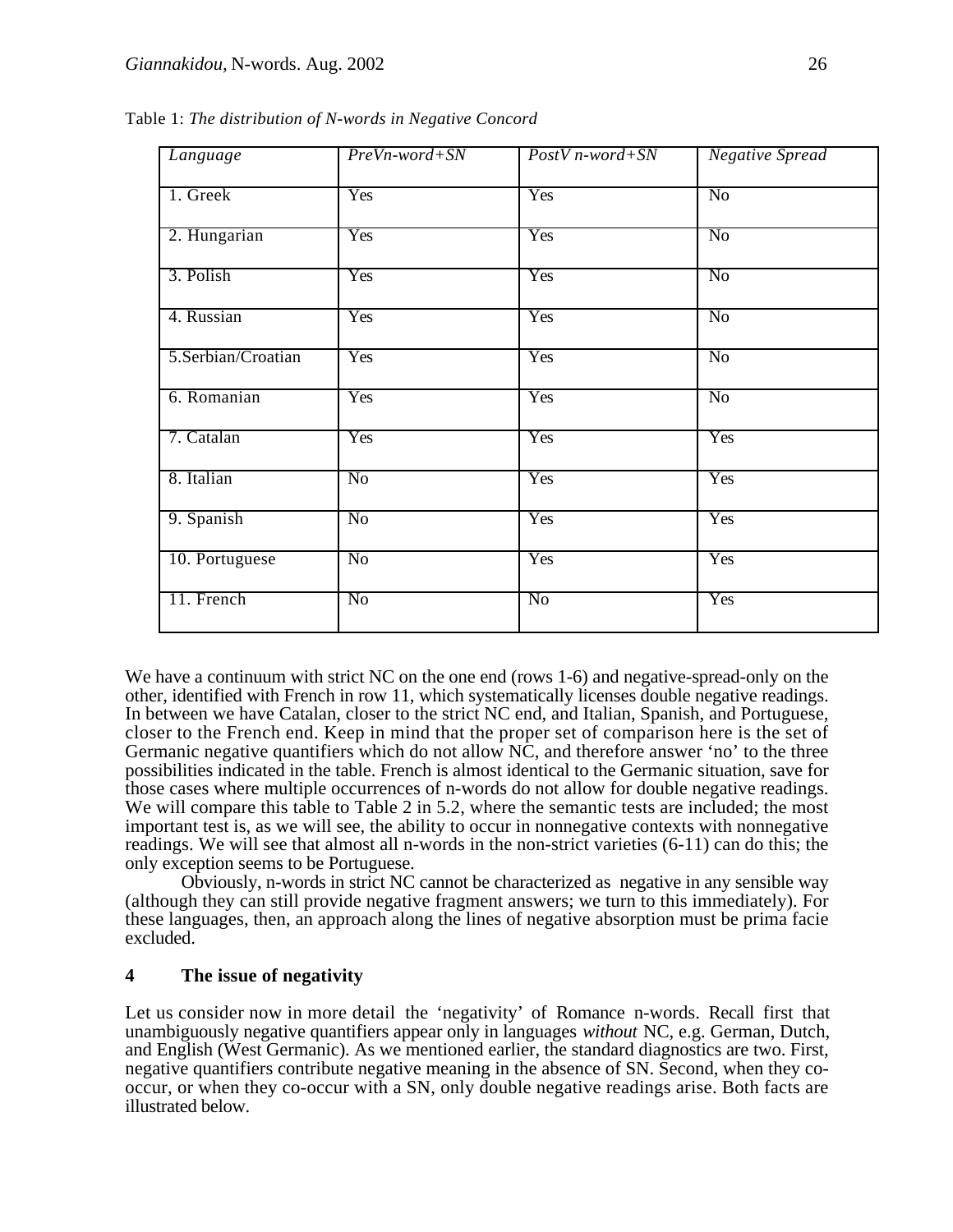| Language           | $PreVn-word + SN$ | $PostV$ n-word+SN | <b>Negative Spread</b> |
|--------------------|-------------------|-------------------|------------------------|
| 1. Greek           | Yes               | Yes               | No                     |
| 2. Hungarian       | Yes               | Yes               | No                     |
| 3. Polish          | Yes               | Yes               | N <sub>o</sub>         |
| 4. Russian         | Yes               | Yes               | No                     |
| 5.Serbian/Croatian | Yes               | Yes               | No                     |
| 6. Romanian        | Yes               | Yes               | N <sub>o</sub>         |
| 7. Catalan         | Yes               | Yes               | Yes                    |
| 8. Italian         | N <sub>0</sub>    | Yes               | Yes                    |
| 9. Spanish         | N <sub>0</sub>    | Yes               | Yes                    |
| 10. Portuguese     | N <sub>0</sub>    | Yes               | Yes                    |
| 11. French         | N <sub>0</sub>    | N <sub>0</sub>    | Yes                    |

Table 1: *The distribution of N-words in Negative Concord*

We have a continuum with strict NC on the one end (rows 1-6) and negative-spread-only on the other, identified with French in row 11, which systematically licenses double negative readings. In between we have Catalan, closer to the strict NC end, and Italian, Spanish, and Portuguese, closer to the French end. Keep in mind that the proper set of comparison here is the set of Germanic negative quantifiers which do not allow NC, and therefore answer 'no' to the three possibilities indicated in the table. French is almost identical to the Germanic situation, save for those cases where multiple occurrences of n-words do not allow for double negative readings. We will compare this table to Table 2 in 5.2, where the semantic tests are included; the most important test is, as we will see, the ability to occur in nonnegative contexts with nonnegative readings. We will see that almost all n-words in the non-strict varieties (6-11) can do this; the only exception seems to be Portuguese.

Obviously, n-words in strict NC cannot be characterized as negative in any sensible way (although they can still provide negative fragment answers; we turn to this immediately). For these languages, then, an approach along the lines of negative absorption must be prima facie excluded.

## **4 The issue of negativity**

Let us consider now in more detail the 'negativity' of Romance n-words. Recall first that unambiguously negative quantifiers appear only in languages *without* NC, e.g. German, Dutch, and English (West Germanic). As we mentioned earlier, the standard diagnostics are two. First, negative quantifiers contribute negative meaning in the absence of SN. Second, when they cooccur, or when they co-occur with a SN, only double negative readings arise. Both facts are illustrated below.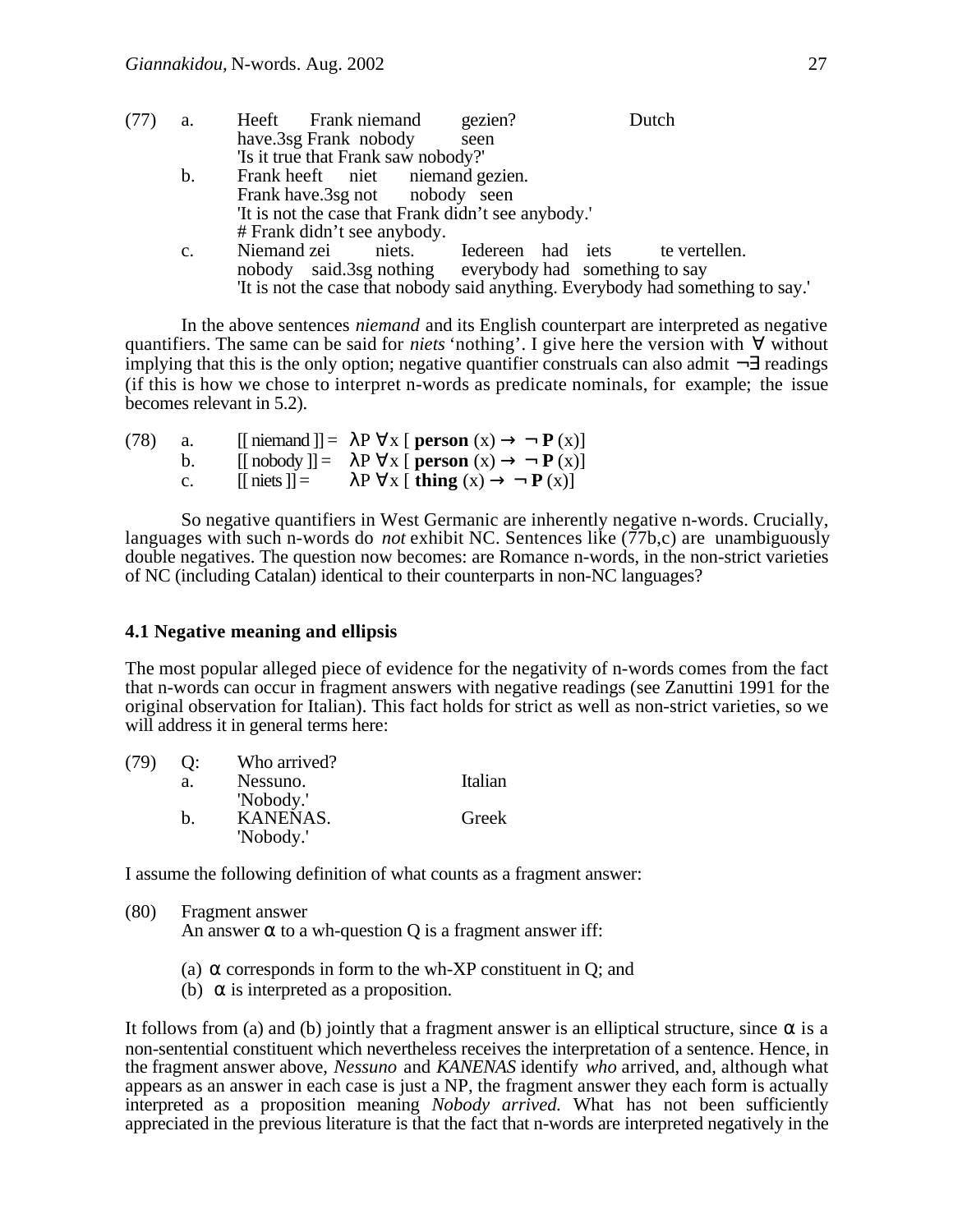| (77) | a. | Heeft Frank niemand                                                             | gezien? | Dutch |
|------|----|---------------------------------------------------------------------------------|---------|-------|
|      |    | have.3sg Frank nobody                                                           | seen    |       |
|      |    | 'Is it true that Frank saw nobody?'                                             |         |       |
|      | b. | Frank heeft niet niemand gezien.                                                |         |       |
|      |    | Frank have.3sg not nobody seen                                                  |         |       |
|      |    | 'It is not the case that Frank didn't see anybody.'                             |         |       |
|      |    | # Frank didn't see anybody.                                                     |         |       |
|      | c. | Niemand zei niets. Iedereen had iets te vertellen.                              |         |       |
|      |    | nobody said.3sg nothing everybody had something to say                          |         |       |
|      |    | 'It is not the case that nobody said anything. Everybody had something to say.' |         |       |

In the above sentences *niemand* and its English counterpart are interpreted as negative quantifiers. The same can be said for *niets* 'nothing'. I give here the version with without implying that this is the only option; negative quantifier construals can also admit ¬∃ readings (if this is how we chose to interpret n-words as predicate nominals, for example; the issue becomes relevant in 5.2).

| (78) | а.          |                                                               | $\lceil \text{minmand} \rceil = P \times \lceil \text{person}(x) \rceil$ | $\neg$ <b>P</b> (x)] |
|------|-------------|---------------------------------------------------------------|--------------------------------------------------------------------------|----------------------|
|      |             | $[[ \text{ nobody} ]] =$                                      | $P \times [person(x)]$                                                   | $\neg$ <b>P</b> (x)] |
|      | $c_{\cdot}$ | $\lfloor \ln \left( \frac{1}{1 - \epsilon} \right) \rfloor =$ | $P \times [$ thing $(x) \rightarrow P(x)]$                               |                      |

So negative quantifiers in West Germanic are inherently negative n-words. Crucially, languages with such n-words do *not* exhibit NC. Sentences like (77b,c) are unambiguously double negatives. The question now becomes: are Romance n-words, in the non-strict varieties of NC (including Catalan) identical to their counterparts in non-NC languages?

## **4.1 Negative meaning and ellipsis**

The most popular alleged piece of evidence for the negativity of n-words comes from the fact that n-words can occur in fragment answers with negative readings (see Zanuttini 1991 for the original observation for Italian). This fact holds for strict as well as non-strict varieties, so we will address it in general terms here:

| (79) | O: | Who arrived?    |         |
|------|----|-----------------|---------|
|      | a. | Nessuno.        | Italian |
|      |    | 'Nobody.'       |         |
|      | h. | <b>KANENAS.</b> | Greek   |
|      |    | 'Nobody.'       |         |

I assume the following definition of what counts as a fragment answer:

(80) Fragment answer An answer to a wh-question  $Q$  is a fragment answer iff:

- (a) corresponds in form to the wh-XP constituent in Q; and
- (b) is interpreted as a proposition.

It follows from (a) and (b) jointly that a fragment answer is an elliptical structure, since is a non-sentential constituent which nevertheless receives the interpretation of a sentence. Hence, in the fragment answer above, *Nessuno* and *KANENAS* identify *who* arrived, and, although what appears as an answer in each case is just a NP, the fragment answer they each form is actually interpreted as a proposition meaning *Nobody arrived*. What has not been sufficiently appreciated in the previous literature is that the fact that n-words are interpreted negatively in the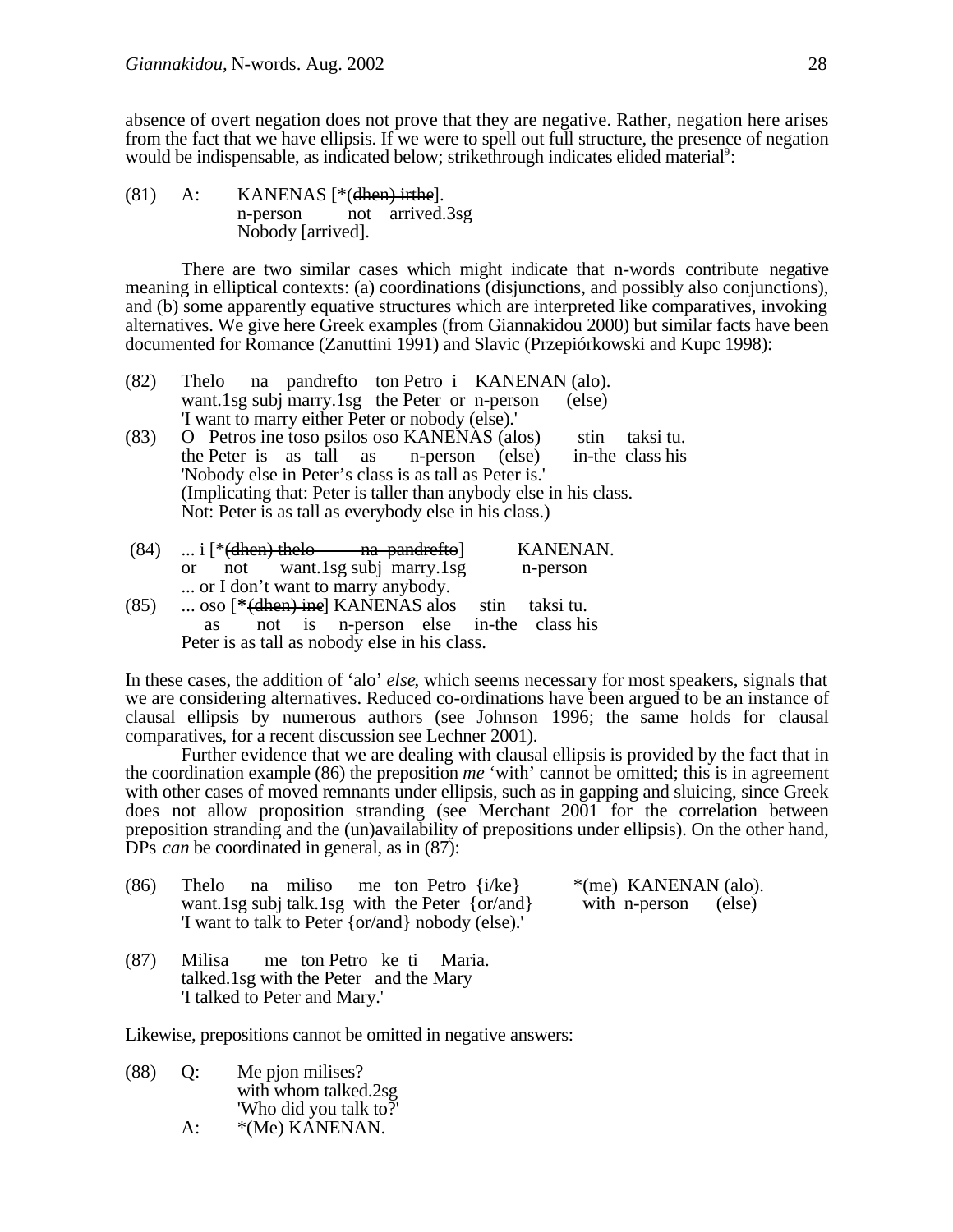absence of overt negation does not prove that they are negative. Rather, negation here arises from the fact that we have ellipsis. If we were to spell out full structure, the presence of negation would be indispensable, as indicated below; strikethrough indicates elided material<sup>9</sup>:

 $(81)$  A: KANENAS [\*(dhen) irthe]. n-person not arrived.3sg Nobody [arrived].

There are two similar cases which might indicate that n-words contribute negative meaning in elliptical contexts: (a) coordinations (disjunctions, and possibly also conjunctions), and (b) some apparently equative structures which are interpreted like comparatives, invoking alternatives. We give here Greek examples (from Giannakidou 2000) but similar facts have been documented for Romance (Zanuttini 1991) and Slavic (Przepiórkowski and Kupc 1998):

- (82) Thelo na pandrefto ton Petro i KANENAN (alo). want.1sg subj marry.1sg the Peter or n-person (else) 'I want to marry either Peter or nobody (else).'
- (83) O Petros ine toso psilos oso KANENAS (alos) stin taksi tu. the Peter is as tall as n-person (else) in-the class his 'Nobody else in Peter's class is as tall as Peter is.' (Implicating that: Peter is taller than anybody else in his class. Not: Peter is as tall as everybody else in his class.)
- $(84)$  ... i  $[*(dhen)$  thelo na pandrefto KANENAN. or not want.1sg subj marry.1sg n-person ... or I don't want to marry anybody.
- (85) ... oso [**\***(dhen) ine] KANENAS alos stin taksi tu. as not is n-person else in-the class his Peter is as tall as nobody else in his class.

In these cases, the addition of 'alo' *else*, which seems necessary for most speakers, signals that we are considering alternatives. Reduced co-ordinations have been argued to be an instance of clausal ellipsis by numerous authors (see Johnson 1996; the same holds for clausal comparatives, for a recent discussion see Lechner 2001).

Further evidence that we are dealing with clausal ellipsis is provided by the fact that in the coordination example (86) the preposition *me* 'with' cannot be omitted; this is in agreement with other cases of moved remnants under ellipsis, such as in gapping and sluicing, since Greek does not allow proposition stranding (see Merchant 2001 for the correlation between preposition stranding and the (un)availability of prepositions under ellipsis). On the other hand, DPs *can* be coordinated in general, as in (87):

- (86) The lo na miliso me ton Petro  $\{i/\text{ke}\}$  \*(me) KANENAN (alo). want.1sg subj talk.1sg with the Peter {or/and} with n-person (else) 'I want to talk to Peter {or/and} nobody (else).'
- (87) Milisa me ton Petro ke ti Maria. talked.1sg with the Peter and the Mary 'I talked to Peter and Mary.'

Likewise, prepositions cannot be omitted in negative answers:

(88) Q: Me pjon milises? with whom talked.2sg 'Who did you talk to?' A: \*(Me) KANENAN.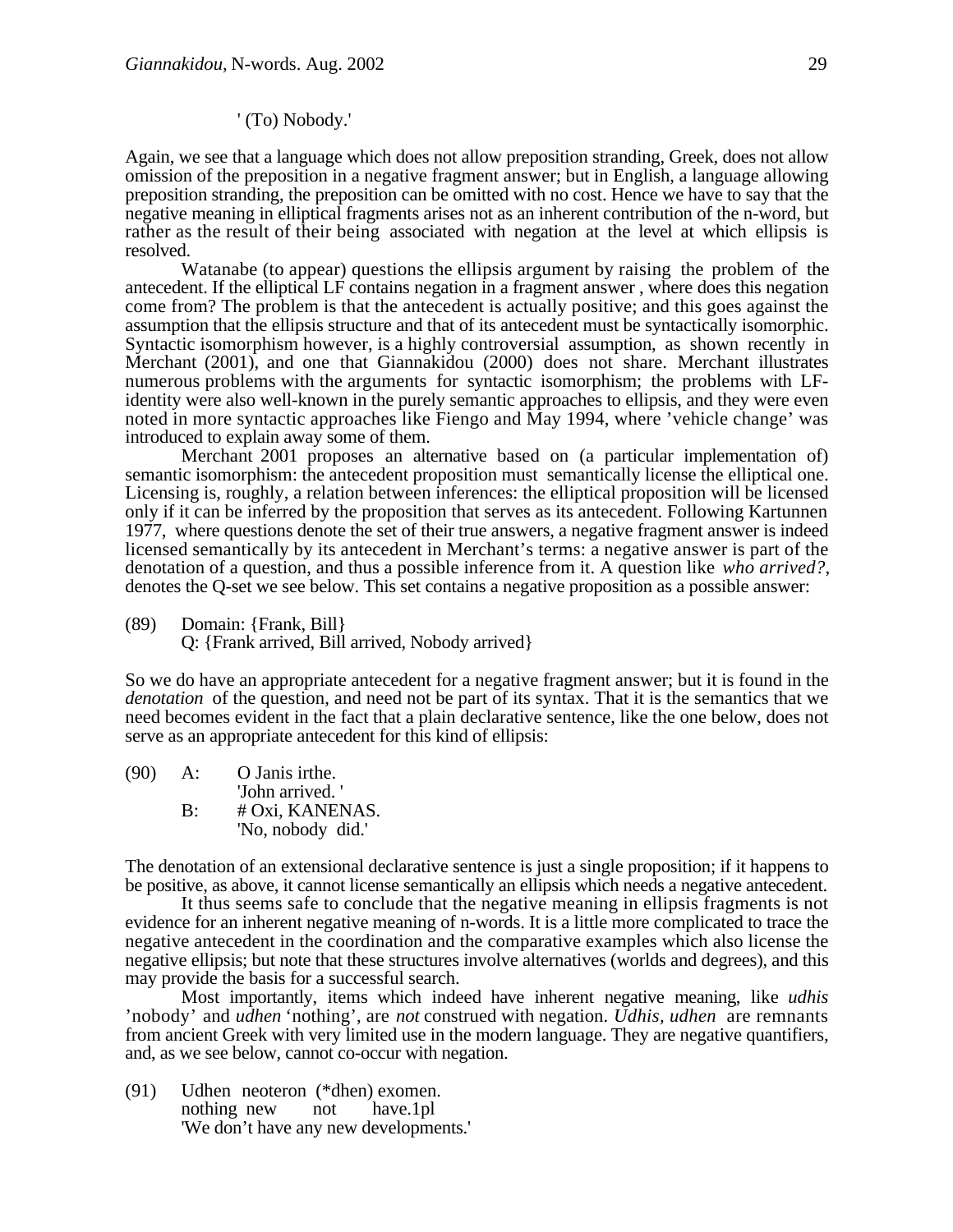#### ' (To) Nobody.'

Again, we see that a language which does not allow preposition stranding, Greek, does not allow omission of the preposition in a negative fragment answer; but in English, a language allowing preposition stranding, the preposition can be omitted with no cost. Hence we have to say that the negative meaning in elliptical fragments arises not as an inherent contribution of the n-word, but rather as the result of their being associated with negation at the level at which ellipsis is resolved.

Watanabe (to appear) questions the ellipsis argument by raising the problem of the antecedent. If the elliptical LF contains negation in a fragment answer , where does this negation come from? The problem is that the antecedent is actually positive; and this goes against the assumption that the ellipsis structure and that of its antecedent must be syntactically isomorphic. Syntactic isomorphism however, is a highly controversial assumption, as shown recently in Merchant (2001), and one that Giannakidou (2000) does not share. Merchant illustrates numerous problems with the arguments for syntactic isomorphism; the problems with LFidentity were also well-known in the purely semantic approaches to ellipsis, and they were even noted in more syntactic approaches like Fiengo and May 1994, where 'vehicle change' was introduced to explain away some of them.

Merchant 2001 proposes an alternative based on (a particular implementation of) semantic isomorphism: the antecedent proposition must semantically license the elliptical one. Licensing is, roughly, a relation between inferences: the elliptical proposition will be licensed only if it can be inferred by the proposition that serves as its antecedent. Following Kartunnen 1977, where questions denote the set of their true answers, a negative fragment answer is indeed licensed semantically by its antecedent in Merchant's terms: a negative answer is part of the denotation of a question, and thus a possible inference from it. A question like *who arrived?*, denotes the Q-set we see below. This set contains a negative proposition as a possible answer:

(89) Domain: {Frank, Bill} Q: {Frank arrived, Bill arrived, Nobody arrived}

So we do have an appropriate antecedent for a negative fragment answer; but it is found in the *denotation* of the question, and need not be part of its syntax. That it is the semantics that we need becomes evident in the fact that a plain declarative sentence, like the one below, does not serve as an appropriate antecedent for this kind of ellipsis:

(90) A: O Janis irthe. 'John arrived. ' B: # Oxi, KANENAS. 'No, nobody did.'

The denotation of an extensional declarative sentence is just a single proposition; if it happens to be positive, as above, it cannot license semantically an ellipsis which needs a negative antecedent.

It thus seems safe to conclude that the negative meaning in ellipsis fragments is not evidence for an inherent negative meaning of n-words. It is a little more complicated to trace the negative antecedent in the coordination and the comparative examples which also license the negative ellipsis; but note that these structures involve alternatives (worlds and degrees), and this may provide the basis for a successful search.

Most importantly, items which indeed have inherent negative meaning, like *udhis* 'nobody' and *udhen* 'nothing', are *not* construed with negation. *Udhis, udhen* are remnants from ancient Greek with very limited use in the modern language. They are negative quantifiers, and, as we see below, cannot co-occur with negation.

(91) Udhen neoteron (\*dhen) exomen. nothing new not have.1pl 'We don't have any new developments.'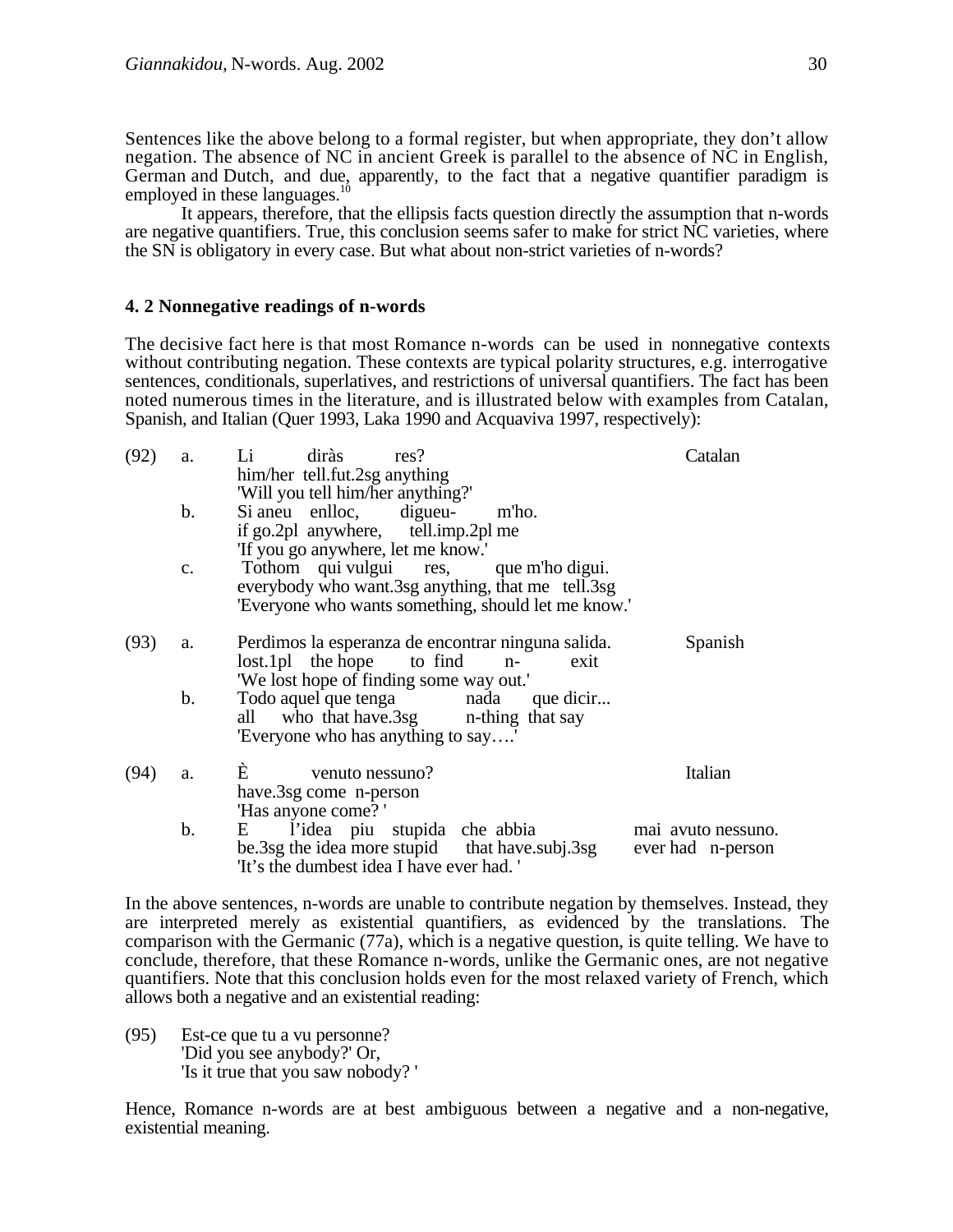Sentences like the above belong to a formal register, but when appropriate, they don't allow negation. The absence of NC in ancient Greek is parallel to the absence of NC in English, German and Dutch, and due, apparently, to the fact that a negative quantifier paradigm is employed in these languages. $\frac{1}{2}$ 

It appears, therefore, that the ellipsis facts question directly the assumption that n-words are negative quantifiers. True, this conclusion seems safer to make for strict NC varieties, where the SN is obligatory in every case. But what about non-strict varieties of n-words?

#### **4. 2 Nonnegative readings of n-words**

The decisive fact here is that most Romance n-words can be used in nonnegative contexts without contributing negation. These contexts are typical polarity structures, e.g. interrogative sentences, conditionals, superlatives, and restrictions of universal quantifiers. The fact has been noted numerous times in the literature, and is illustrated below with examples from Catalan, Spanish, and Italian (Quer 1993, Laka 1990 and Acquaviva 1997, respectively):

| (92) | a.             | diràs<br>res?<br>Li                                                                                                                        | Catalan                                 |
|------|----------------|--------------------------------------------------------------------------------------------------------------------------------------------|-----------------------------------------|
|      |                | him/her tell.fut.2sg anything                                                                                                              |                                         |
|      | $\mathbf{b}$ . | 'Will you tell him/her anything?'<br>Si aneu enlloc, digueu- m'ho.                                                                         |                                         |
|      |                | if go.2pl anywhere, tell.imp.2pl me                                                                                                        |                                         |
|      |                | 'If you go anywhere, let me know.'                                                                                                         |                                         |
|      | c.             | Tothom qui vulgui res, que m'ho digui.<br>everybody who want.3sg anything, that me tell.3sg                                                |                                         |
|      |                | "Everyone who wants something, should let me know."                                                                                        |                                         |
| (93) | a.             | Perdimos la esperanza de encontrar ninguna salida.<br>lost.1pl the hope to find<br>exit<br>$n-$<br>"We lost hope of finding some way out." | Spanish                                 |
|      | $\mathbf b$ .  | Todo aquel que tenga hada que dicir<br>all who that have 3sg n-thing that say<br>'Everyone who has anything to say'                        |                                         |
| (94) | a.             | E venuto nessuno?<br>have.3sg come n-person<br>'Has anyone come?'                                                                          | Italian                                 |
|      | b.             | l'idea piu stupida che abbia<br>E –<br>be.3sg the idea more stupid that have.subj.3sg<br>'It's the dumbest idea I have ever had. '         | mai avuto nessuno.<br>ever had n-person |

In the above sentences, n-words are unable to contribute negation by themselves. Instead, they are interpreted merely as existential quantifiers, as evidenced by the translations. The comparison with the Germanic (77a), which is a negative question, is quite telling. We have to conclude, therefore, that these Romance n-words, unlike the Germanic ones, are not negative quantifiers. Note that this conclusion holds even for the most relaxed variety of French, which allows both a negative and an existential reading:

(95) Est-ce que tu a vu personne? 'Did you see anybody?' Or, 'Is it true that you saw nobody? '

Hence, Romance n-words are at best ambiguous between a negative and a non-negative, existential meaning.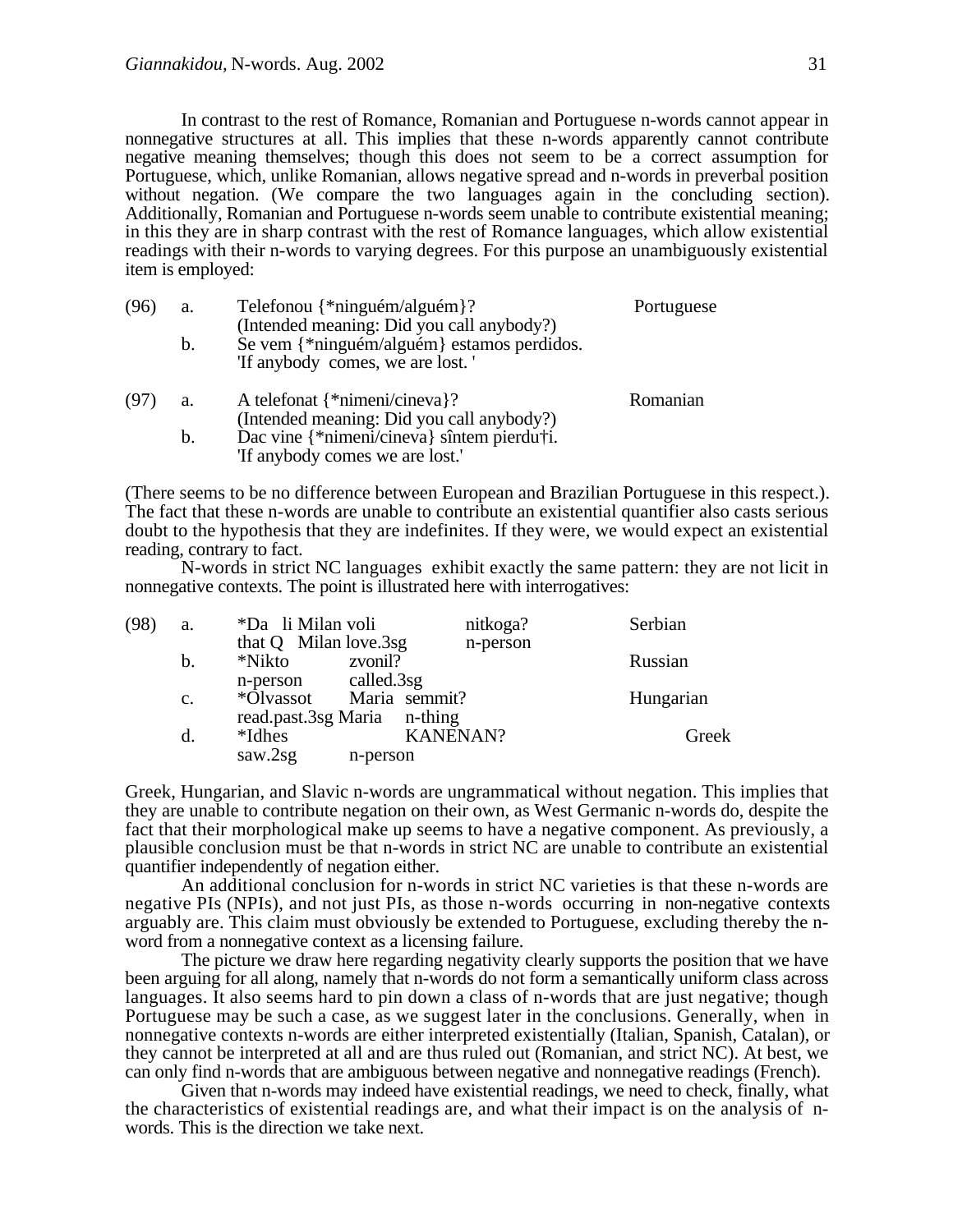In contrast to the rest of Romance, Romanian and Portuguese n-words cannot appear in nonnegative structures at all. This implies that these n-words apparently cannot contribute negative meaning themselves; though this does not seem to be a correct assumption for Portuguese, which, unlike Romanian, allows negative spread and n-words in preverbal position without negation. (We compare the two languages again in the concluding section). Additionally, Romanian and Portuguese n-words seem unable to contribute existential meaning; in this they are in sharp contrast with the rest of Romance languages, which allow existential readings with their n-words to varying degrees. For this purpose an unambiguously existential item is employed:

| (96) | a.             | Telefonou { $*$ ninguém/alguém }?                                                       | Portuguese |
|------|----------------|-----------------------------------------------------------------------------------------|------------|
|      | $\mathbf{b}$ . | (Intended meaning: Did you call anybody?)<br>Se vem {*ninguém/alguém} estamos perdidos. |            |
|      |                | 'If anybody comes, we are lost.'                                                        |            |
| (97) | a.             | A telefonat $\{\text{*nimeni/cineva}\}$ ?<br>(Intended meaning: Did you call anybody?)  | Romanian   |
|      | b.             | Dac vine {*nimeni/cineva} sîntem pierdu†i.                                              |            |

'If anybody comes we are lost.'

(There seems to be no difference between European and Brazilian Portuguese in this respect.). The fact that these n-words are unable to contribute an existential quantifier also casts serious doubt to the hypothesis that they are indefinites. If they were, we would expect an existential reading, contrary to fact.

N-words in strict NC languages exhibit exactly the same pattern: they are not licit in nonnegative contexts. The point is illustrated here with interrogatives:

| (98) | a.             | *Da li Milan voli           | nitkoga?        | Serbian   |
|------|----------------|-----------------------------|-----------------|-----------|
|      |                | that Q Milan love.3sg       | n-person        |           |
|      | b.             | *Nikto<br>zvonil?           |                 | Russian   |
|      |                | called.3sg<br>n-person      |                 |           |
|      | $\mathbf{C}$ . | Maria semmit?<br>*Olvassot  |                 | Hungarian |
|      |                | read.past.3sg Maria n-thing |                 |           |
|      | $\rm d$ .      | *Idhes                      | <b>KANENAN?</b> | Greek     |
|      |                | saw.2sg<br>n-person         |                 |           |

Greek, Hungarian, and Slavic n-words are ungrammatical without negation. This implies that they are unable to contribute negation on their own, as West Germanic n-words do, despite the fact that their morphological make up seems to have a negative component. As previously, a plausible conclusion must be that n-words in strict NC are unable to contribute an existential quantifier independently of negation either.

An additional conclusion for n-words in strict NC varieties is that these n-words are negative PIs (NPIs), and not just PIs, as those n-words occurring in non-negative contexts arguably are. This claim must obviously be extended to Portuguese, excluding thereby the nword from a nonnegative context as a licensing failure.

The picture we draw here regarding negativity clearly supports the position that we have been arguing for all along, namely that n-words do not form a semantically uniform class across languages. It also seems hard to pin down a class of n-words that are just negative; though Portuguese may be such a case, as we suggest later in the conclusions. Generally, when in nonnegative contexts n-words are either interpreted existentially (Italian, Spanish, Catalan), or they cannot be interpreted at all and are thus ruled out (Romanian, and strict NC). At best, we can only find n-words that are ambiguous between negative and nonnegative readings (French).

Given that n-words may indeed have existential readings, we need to check, finally, what the characteristics of existential readings are, and what their impact is on the analysis of nwords. This is the direction we take next.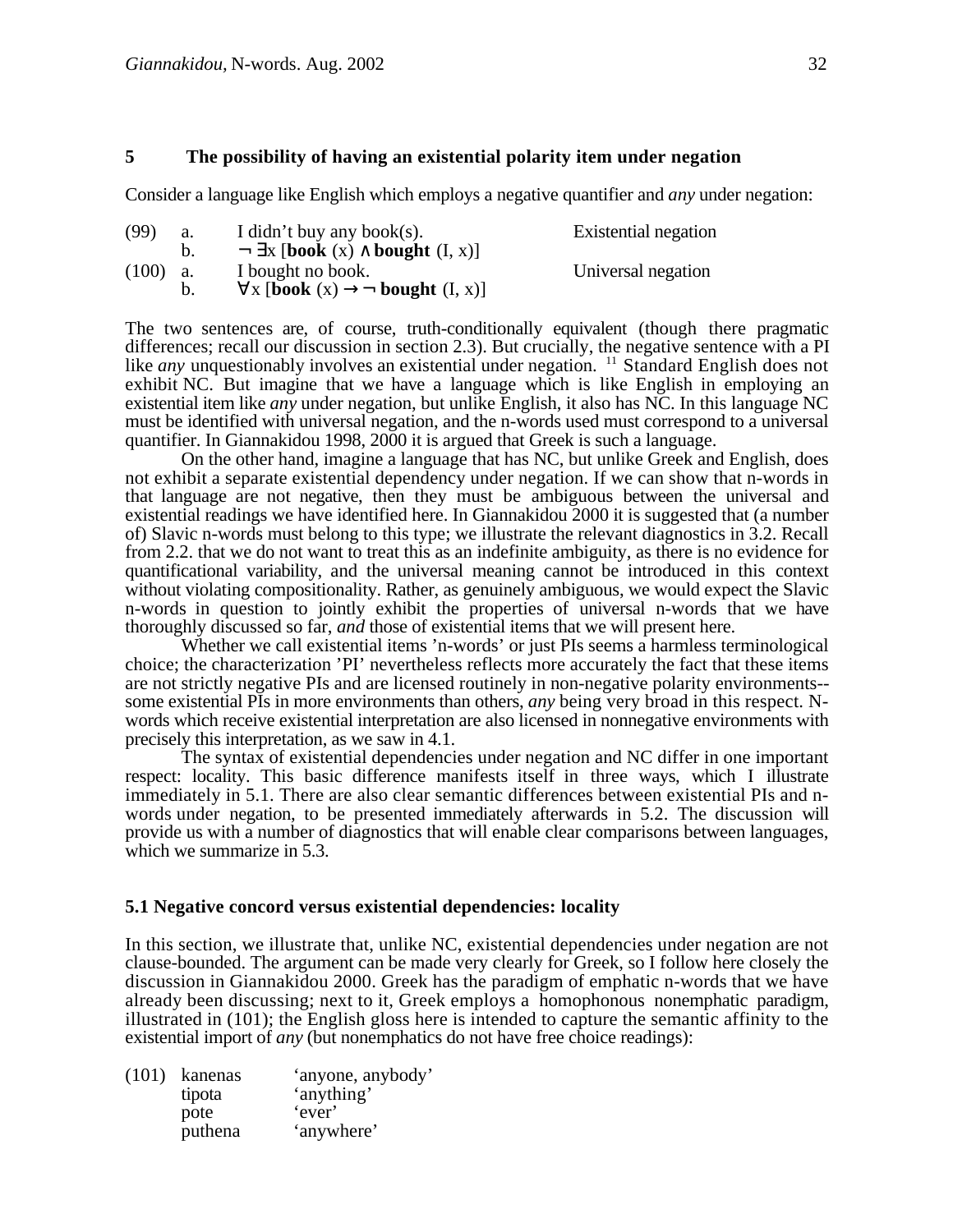## **5 The possibility of having an existential polarity item under negation**

Consider a language like English which employs a negative quantifier and *any* under negation:

| (99)       | a. | I didn't buy any book(s).                   | Existential negation |
|------------|----|---------------------------------------------|----------------------|
|            |    | $\neg$ x [book (x) bought (I, x)]           |                      |
| $(100)$ a. |    | I bought no book.                           | Universal negation   |
|            |    | $X$ [book $(X)$ ¬<br><b>bought</b> $(I, x)$ |                      |

The two sentences are, of course, truth-conditionally equivalent (though there pragmatic differences; recall our discussion in section 2.3). But crucially, the negative sentence with a PI like *any* unquestionably involves an existential under negation. <sup>11</sup> Standard English does not exhibit NC. But imagine that we have a language which is like English in employing an existential item like *any* under negation, but unlike English, it also has NC. In this language NC must be identified with universal negation, and the n-words used must correspond to a universal quantifier. In Giannakidou 1998, 2000 it is argued that Greek is such a language.

On the other hand, imagine a language that has NC, but unlike Greek and English, does not exhibit a separate existential dependency under negation. If we can show that n-words in that language are not negative, then they must be ambiguous between the universal and existential readings we have identified here. In Giannakidou 2000 it is suggested that (a number of) Slavic n-words must belong to this type; we illustrate the relevant diagnostics in 3.2. Recall from 2.2. that we do not want to treat this as an indefinite ambiguity, as there is no evidence for quantificational variability, and the universal meaning cannot be introduced in this context without violating compositionality. Rather, as genuinely ambiguous, we would expect the Slavic n-words in question to jointly exhibit the properties of universal n-words that we have thoroughly discussed so far, *and* those of existential items that we will present here.

Whether we call existential items 'n-words' or just PIs seems a harmless terminological choice; the characterization 'PI' nevertheless reflects more accurately the fact that these items are not strictly negative PIs and are licensed routinely in non-negative polarity environments- some existential PIs in more environments than others, *any* being very broad in this respect. Nwords which receive existential interpretation are also licensed in nonnegative environments with precisely this interpretation, as we saw in 4.1.

The syntax of existential dependencies under negation and NC differ in one important respect: locality. This basic difference manifests itself in three ways, which I illustrate immediately in 5.1. There are also clear semantic differences between existential PIs and nwords under negation, to be presented immediately afterwards in 5.2. The discussion will provide us with a number of diagnostics that will enable clear comparisons between languages, which we summarize in 5.3.

#### **5.1 Negative concord versus existential dependencies: locality**

In this section, we illustrate that, unlike NC, existential dependencies under negation are not clause-bounded. The argument can be made very clearly for Greek, so I follow here closely the discussion in Giannakidou 2000. Greek has the paradigm of emphatic n-words that we have already been discussing; next to it, Greek employs a homophonous nonemphatic paradigm, illustrated in (101); the English gloss here is intended to capture the semantic affinity to the existential import of *any* (but nonemphatics do not have free choice readings):

| (101) | kanenas | 'anyone, anybody' |
|-------|---------|-------------------|
|       | tipota  | 'anything'        |
|       | pote    | 'ever'            |
|       | puthena | 'anywhere'        |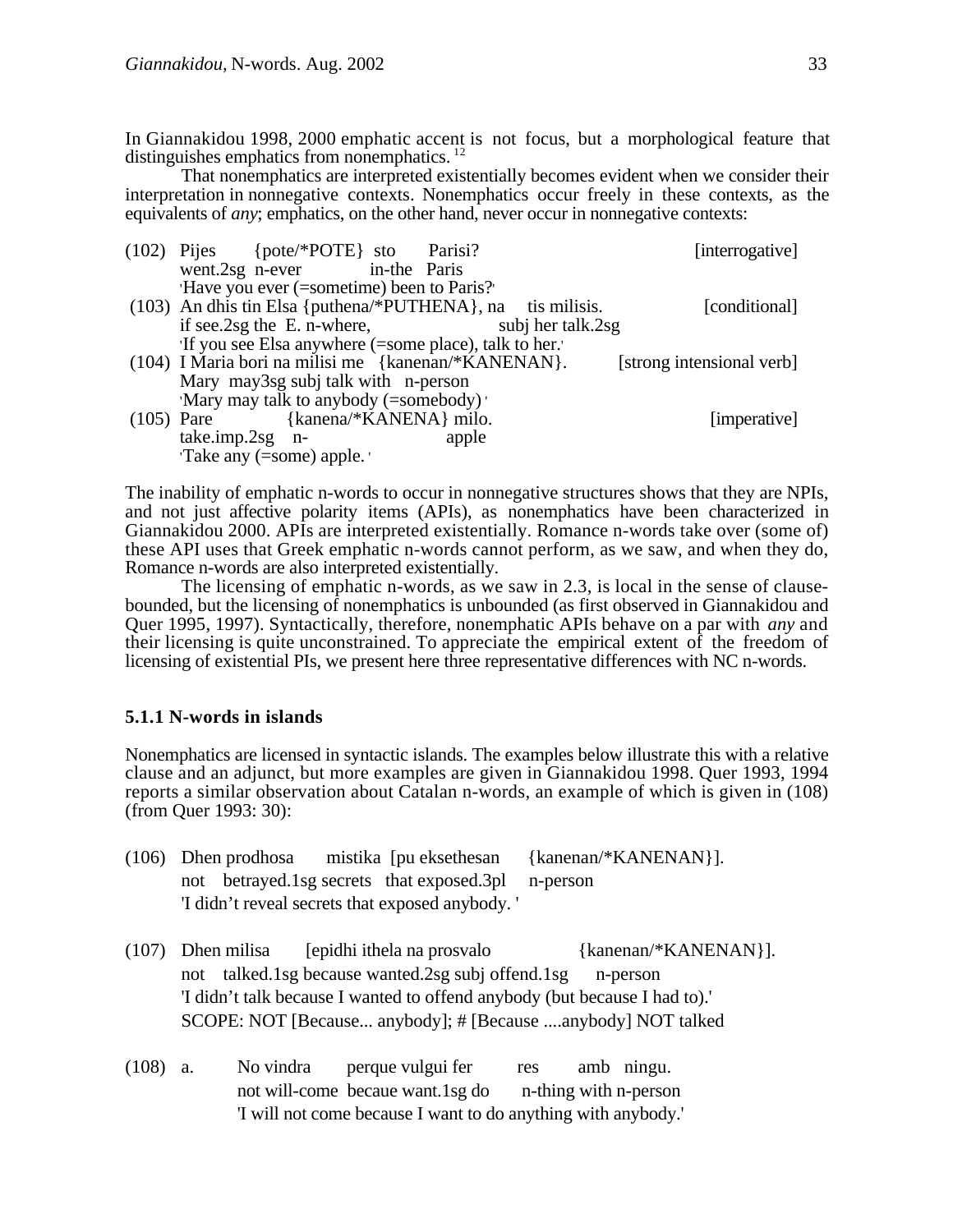In Giannakidou 1998, 2000 emphatic accent is not focus, but a morphological feature that distinguishes emphatics from nonemphatics.<sup>12</sup>

That nonemphatics are interpreted existentially becomes evident when we consider their interpretation in nonnegative contexts. Nonemphatics occur freely in these contexts, as the equivalents of *any*; emphatics, on the other hand, never occur in nonnegative contexts:

| (102) Pijes {pote/*POTE} sto Parisi?                         |       |                   | [interrogative]           |
|--------------------------------------------------------------|-------|-------------------|---------------------------|
| went.2sg n-ever in-the Paris                                 |       |                   |                           |
| 'Have you ever (=sometime) been to Paris?'                   |       |                   |                           |
| $(103)$ An dhis tin Elsa {puthena/*PUTHENA}, na tis milisis. |       |                   | [conditional]             |
| if see.2sg the $E$ . n-where,                                |       | subj her talk.2sg |                           |
| 'If you see Elsa anywhere (=some place), talk to her.'       |       |                   |                           |
| (104) I Maria bori na milisi me {kanenan/*KANENAN}.          |       |                   | [strong intensional verb] |
| Mary may3sg subj talk with n-person                          |       |                   |                           |
| 'Mary may talk to anybody (=somebody)'                       |       |                   |                           |
| (105) Pare {kanena/*KANENA} milo.                            |       |                   | [imperative]              |
| $take.imp.2sg$ n-                                            | apple |                   |                           |
| Take any (=some) apple.                                      |       |                   |                           |

The inability of emphatic n-words to occur in nonnegative structures shows that they are NPIs, and not just affective polarity items (APIs), as nonemphatics have been characterized in Giannakidou 2000. APIs are interpreted existentially. Romance n-words take over (some of) these API uses that Greek emphatic n-words cannot perform, as we saw, and when they do, Romance n-words are also interpreted existentially.

The licensing of emphatic n-words, as we saw in 2.3, is local in the sense of clausebounded, but the licensing of nonemphatics is unbounded (as first observed in Giannakidou and Quer 1995, 1997). Syntactically, therefore, nonemphatic APIs behave on a par with *any* and their licensing is quite unconstrained. To appreciate the empirical extent of the freedom of licensing of existential PIs, we present here three representative differences with NC n-words.

## **5.1.1 N-words in islands**

Nonemphatics are licensed in syntactic islands. The examples below illustrate this with a relative clause and an adjunct, but more examples are given in Giannakidou 1998. Quer 1993, 1994 reports a similar observation about Catalan n-words, an example of which is given in (108) (from Quer 1993: 30):

|  |                                                 |  |                                                      | $(106)$ Dhen prodhosa mistika [pu eksethesan {kanenan/*KANENAN}]. |
|--|-------------------------------------------------|--|------------------------------------------------------|-------------------------------------------------------------------|
|  |                                                 |  | not betrayed. 1sg secrets that exposed. 3pl n-person |                                                                   |
|  | "I didn't reveal secrets that exposed anybody." |  |                                                      |                                                                   |

- (107) Dhen milisa [epidhi ithela na prosvalo {kanenan/\*KANENAN}]. not talked.1sg because wanted.2sg subj offend.1sg n-person 'I didn't talk because I wanted to offend anybody (but because I had to).' SCOPE: NOT [Because... anybody]; # [Because ....anybody] NOT talked
- (108) a. No vindra perque vulgui fer res amb ningu. not will-come becaue want.1sg do n-thing with n-person 'I will not come because I want to do anything with anybody.'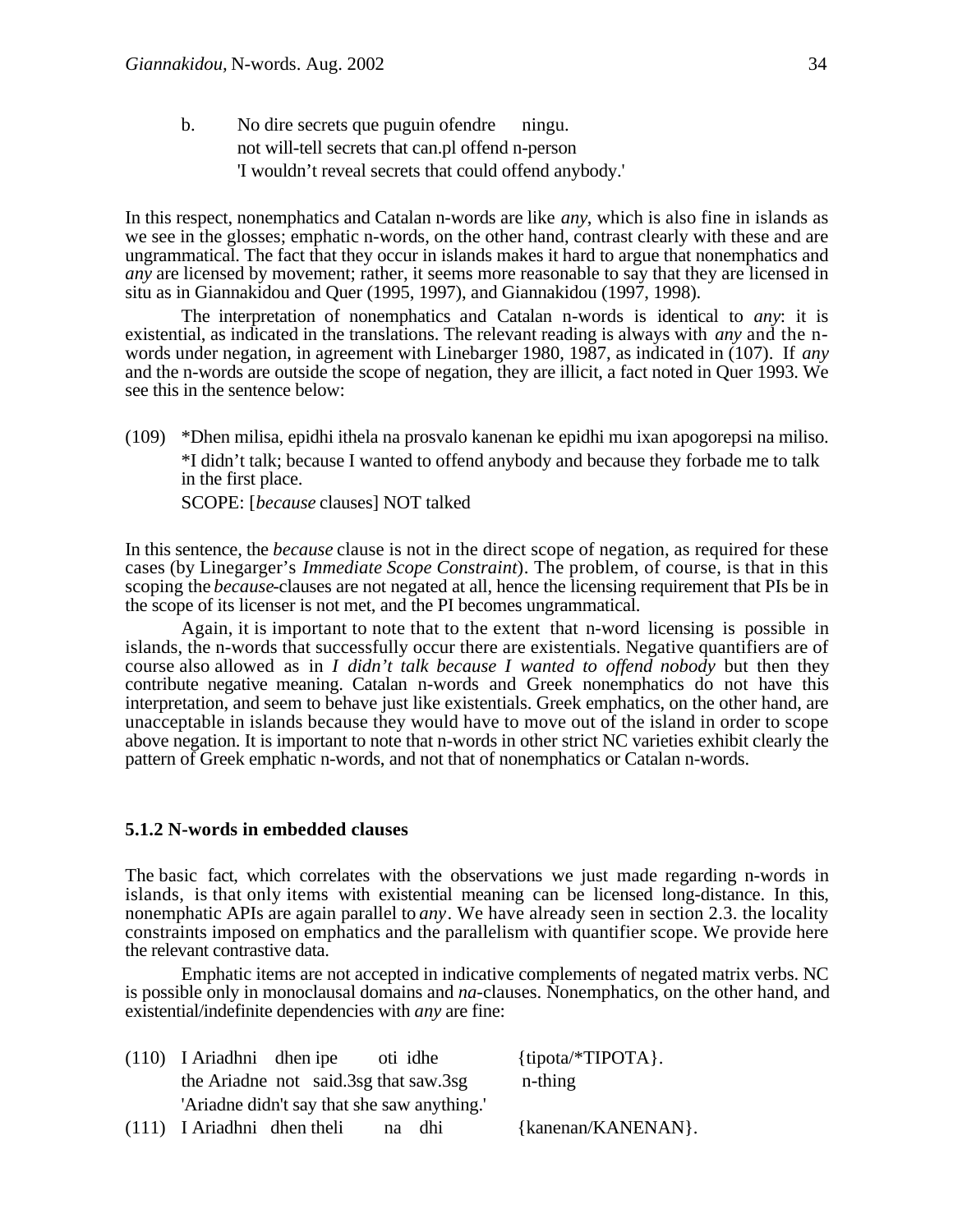b. No dire secrets que puguin ofendre ningu. not will-tell secrets that can.pl offend n-person 'I wouldn't reveal secrets that could offend anybody.'

In this respect, nonemphatics and Catalan n-words are like *any*, which is also fine in islands as we see in the glosses; emphatic n-words, on the other hand, contrast clearly with these and are ungrammatical. The fact that they occur in islands makes it hard to argue that nonemphatics and *any* are licensed by movement; rather, it seems more reasonable to say that they are licensed in situ as in Giannakidou and Quer (1995, 1997), and Giannakidou (1997, 1998).

The interpretation of nonemphatics and Catalan n-words is identical to *any*: it is existential, as indicated in the translations. The relevant reading is always with *any* and the nwords under negation, in agreement with Linebarger 1980, 1987, as indicated in (107). If *any* and the n-words are outside the scope of negation, they are illicit, a fact noted in Quer 1993. We see this in the sentence below:

(109) \*Dhen milisa, epidhi ithela na prosvalo kanenan ke epidhi mu ixan apogorepsi na miliso. \*I didn't talk; because I wanted to offend anybody and because they forbade me to talk in the first place. SCOPE: [*because* clauses] NOT talked

In this sentence, the *because* clause is not in the direct scope of negation, as required for these cases (by Linegarger's *Immediate Scope Constraint*). The problem, of course, is that in this scoping the *because*-clauses are not negated at all, hence the licensing requirement that PIs be in the scope of its licenser is not met, and the PI becomes ungrammatical.

Again, it is important to note that to the extent that n-word licensing is possible in islands, the n-words that successfully occur there are existentials. Negative quantifiers are of course also allowed as in *I didn't talk because I wanted to offend nobody* but then they contribute negative meaning. Catalan n-words and Greek nonemphatics do not have this interpretation, and seem to behave just like existentials. Greek emphatics, on the other hand, are unacceptable in islands because they would have to move out of the island in order to scope above negation. It is important to note that n-words in other strict NC varieties exhibit clearly the pattern of Greek emphatic n-words, and not that of nonemphatics or Catalan n-words.

#### **5.1.2 N-words in embedded clauses**

The basic fact, which correlates with the observations we just made regarding n-words in islands, is that only items with existential meaning can be licensed long-distance. In this, nonemphatic APIs are again parallel to *any*. We have already seen in section 2.3. the locality constraints imposed on emphatics and the parallelism with quantifier scope. We provide here the relevant contrastive data.

Emphatic items are not accepted in indicative complements of negated matrix verbs. NC is possible only in monoclausal domains and *na*-clauses. Nonemphatics, on the other hand, and existential/indefinite dependencies with *any* are fine:

| $(110)$ I Ariadhni dhen ipe   |                                             | oti idhe |        | $\{tipota/*TIPOTA\}.$ |
|-------------------------------|---------------------------------------------|----------|--------|-----------------------|
|                               | the Ariadne not said.3sg that saw.3sg       |          |        | n-thing               |
|                               | 'Ariadne didn't say that she saw anything.' |          |        |                       |
| $(111)$ I Ariadhni dhen theli |                                             |          | na dhi | {kanenan/KANENAN}.    |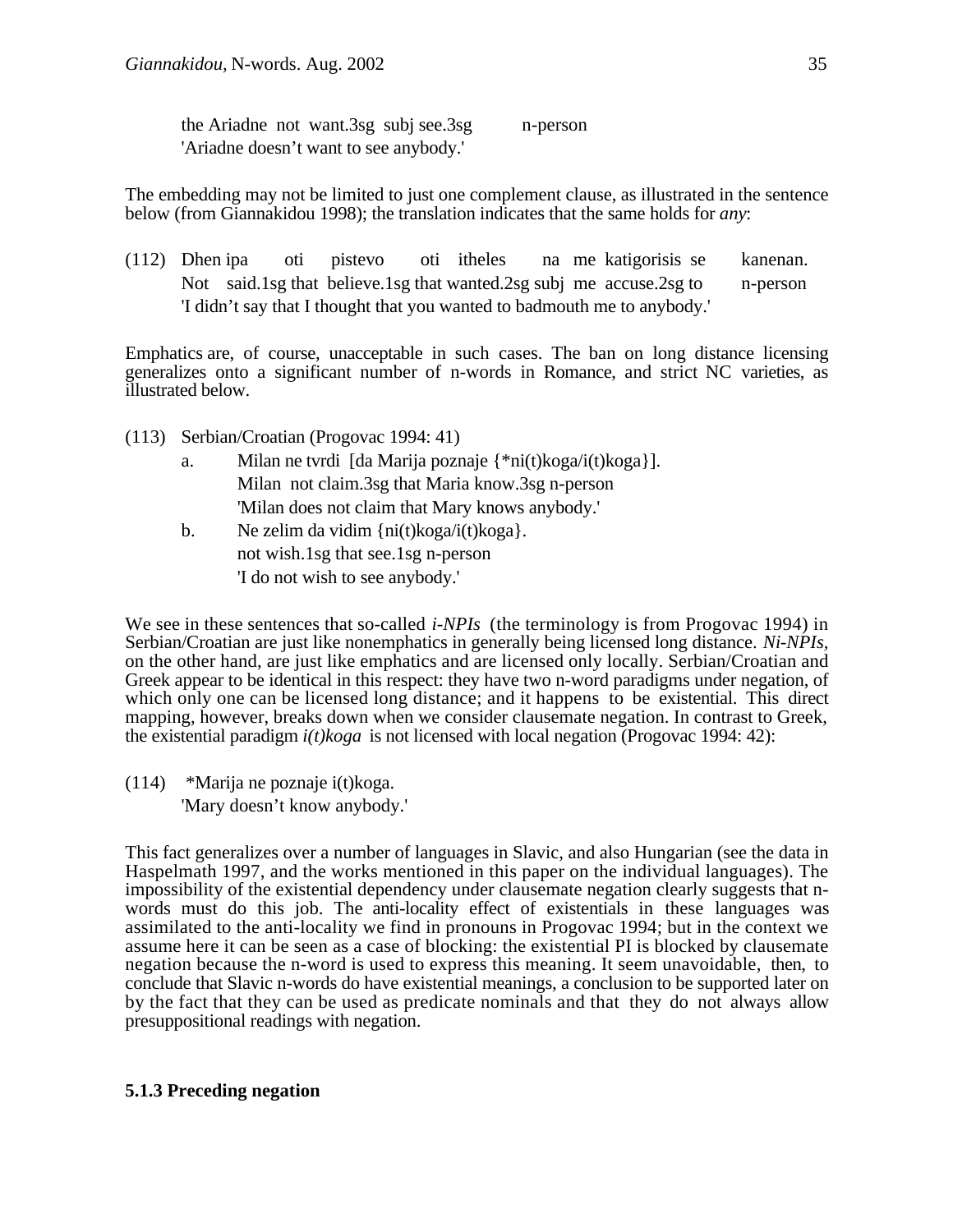the Ariadne not want.3sg subj see.3sg n-person 'Ariadne doesn't want to see anybody.'

The embedding may not be limited to just one complement clause, as illustrated in the sentence below (from Giannakidou 1998); the translation indicates that the same holds for *any*:

(112) Dhen ipa oti pistevo oti itheles na me katigorisis se kanenan. Not said.1sg that believe.1sg that wanted.2sg subj me accuse.2sg to n-person 'I didn't say that I thought that you wanted to badmouth me to anybody.'

Emphatics are, of course, unacceptable in such cases. The ban on long distance licensing generalizes onto a significant number of n-words in Romance, and strict NC varieties, as illustrated below.

- (113) Serbian/Croatian (Progovac 1994: 41)
	- a. Milan ne tvrdi [da Marija poznaje {\*ni(t)koga/i(t)koga}]. Milan not claim.3sg that Maria know.3sg n-person 'Milan does not claim that Mary knows anybody.'
	- b. Ne zelim da vidim {ni(t)koga/i(t)koga}. not wish.1sg that see.1sg n-person 'I do not wish to see anybody.'

We see in these sentences that so-called *i-NPIs* (the terminology is from Progovac 1994) in Serbian/Croatian are just like nonemphatics in generally being licensed long distance. *Ni*-*NPIs,* on the other hand, are just like emphatics and are licensed only locally. Serbian/Croatian and Greek appear to be identical in this respect: they have two n-word paradigms under negation, of which only one can be licensed long distance; and it happens to be existential. This direct mapping, however, breaks down when we consider clausemate negation. In contrast to Greek, the existential paradigm *i(t)koga* is not licensed with local negation (Progovac 1994: 42):

(114) \*Marija ne poznaje i(t)koga. 'Mary doesn't know anybody.'

This fact generalizes over a number of languages in Slavic, and also Hungarian (see the data in Haspelmath 1997, and the works mentioned in this paper on the individual languages). The impossibility of the existential dependency under clausemate negation clearly suggests that nwords must do this job. The anti-locality effect of existentials in these languages was assimilated to the anti-locality we find in pronouns in Progovac 1994; but in the context we assume here it can be seen as a case of blocking: the existential PI is blocked by clausemate negation because the n-word is used to express this meaning. It seem unavoidable, then, to conclude that Slavic n-words do have existential meanings, a conclusion to be supported later on by the fact that they can be used as predicate nominals and that they do not always allow presuppositional readings with negation.

# **5.1.3 Preceding negation**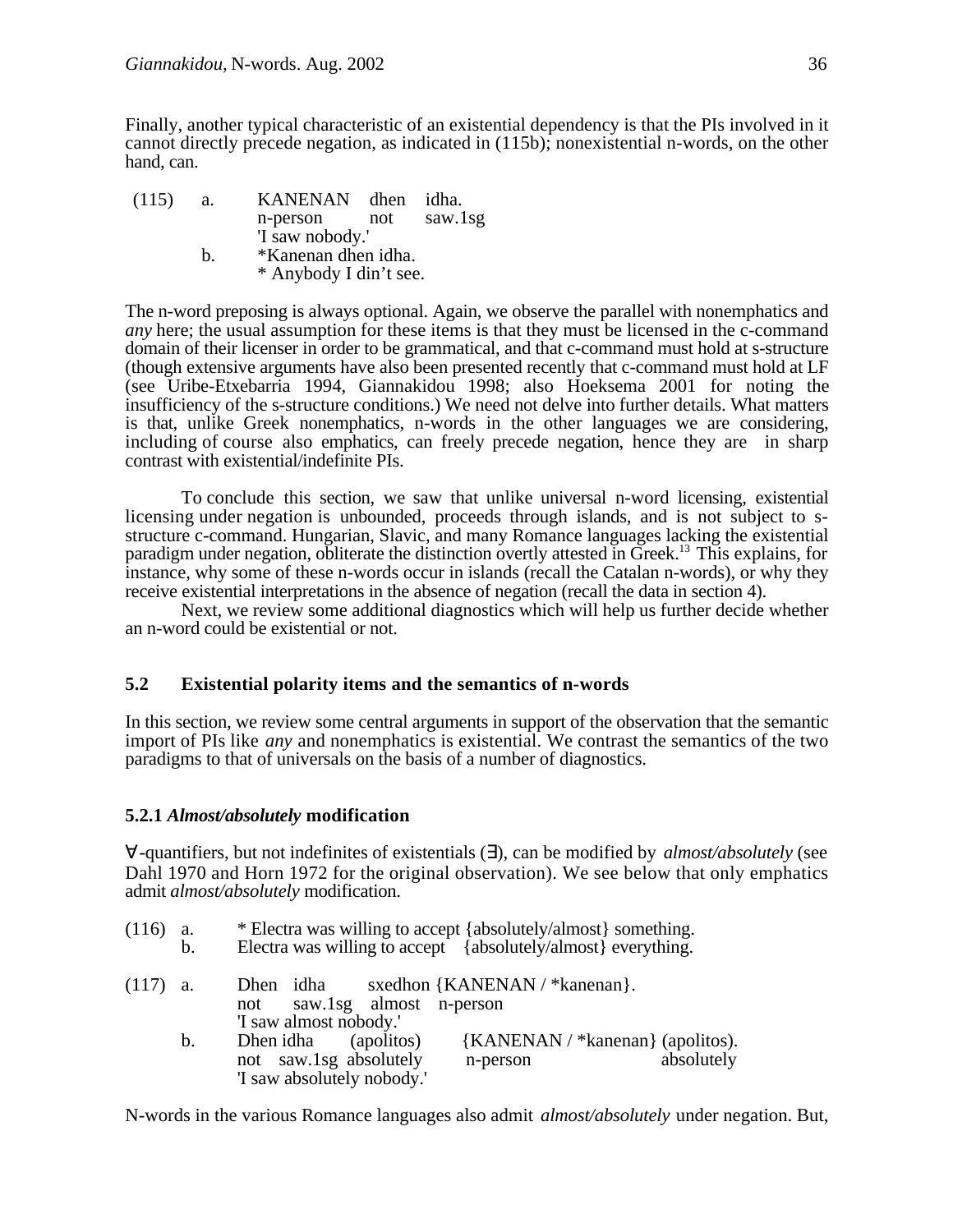Finally, another typical characteristic of an existential dependency is that the PIs involved in it cannot directly precede negation, as indicated in (115b); nonexistential n-words, on the other hand, can.

| (115) | a.          | KANENAN dhen idha.     |     |         |
|-------|-------------|------------------------|-----|---------|
|       |             | n-person               | not | saw.1sg |
|       |             | 'I saw nobody.'        |     |         |
|       | $h_{\cdot}$ | *Kanenan dhen idha.    |     |         |
|       |             | * Anybody I din't see. |     |         |

The n-word preposing is always optional. Again, we observe the parallel with nonemphatics and *any* here; the usual assumption for these items is that they must be licensed in the c-command domain of their licenser in order to be grammatical, and that c-command must hold at s-structure (though extensive arguments have also been presented recently that c-command must hold at LF (see Uribe-Etxebarria 1994, Giannakidou 1998; also Hoeksema 2001 for noting the insufficiency of the s-structure conditions.) We need not delve into further details. What matters is that, unlike Greek nonemphatics, n-words in the other languages we are considering, including of course also emphatics, can freely precede negation, hence they are in sharp contrast with existential/indefinite PIs.

To conclude this section, we saw that unlike universal n-word licensing, existential licensing under negation is unbounded, proceeds through islands, and is not subject to sstructure c-command. Hungarian, Slavic, and many Romance languages lacking the existential paradigm under negation, obliterate the distinction overtly attested in Greek.<sup>13</sup> This explains, for instance, why some of these n-words occur in islands (recall the Catalan n-words), or why they receive existential interpretations in the absence of negation (recall the data in section 4).

Next, we review some additional diagnostics which will help us further decide whether an n-word could be existential or not.

## **5.2 Existential polarity items and the semantics of n-words**

In this section, we review some central arguments in support of the observation that the semantic import of PIs like *any* and nonemphatics is existential. We contrast the semantics of the two paradigms to that of universals on the basis of a number of diagnostics.

#### **5.2.1** *Almost/absolutely* **modification**

-quantifiers, but not indefinites of existentials ( ), can be modified by *almost/absolutely* (see Dahl 1970 and Horn 1972 for the original observation). We see below that only emphatics admit *almost/absolutely* modification.

| $(116)$ a. | b.             | * Electra was willing to accept {absolutely/almost} something.<br>Electra was willing to accept {absolutely/almost} everything.             |
|------------|----------------|---------------------------------------------------------------------------------------------------------------------------------------------|
| $(117)$ a. |                | sxedhon {KANENAN / * kanenan}.<br>Dhen idha<br>not saw.1sg almost n-person<br>'I saw almost nobody.'                                        |
|            | $\mathbf{b}$ . | {KANENAN / * kanenan} (apolitos).<br>Dhen idha (apolitos)<br>absolutely<br>not saw.1sg absolutely<br>n-person<br>'I saw absolutely nobody.' |

N-words in the various Romance languages also admit *almost/absolutely* under negation. But,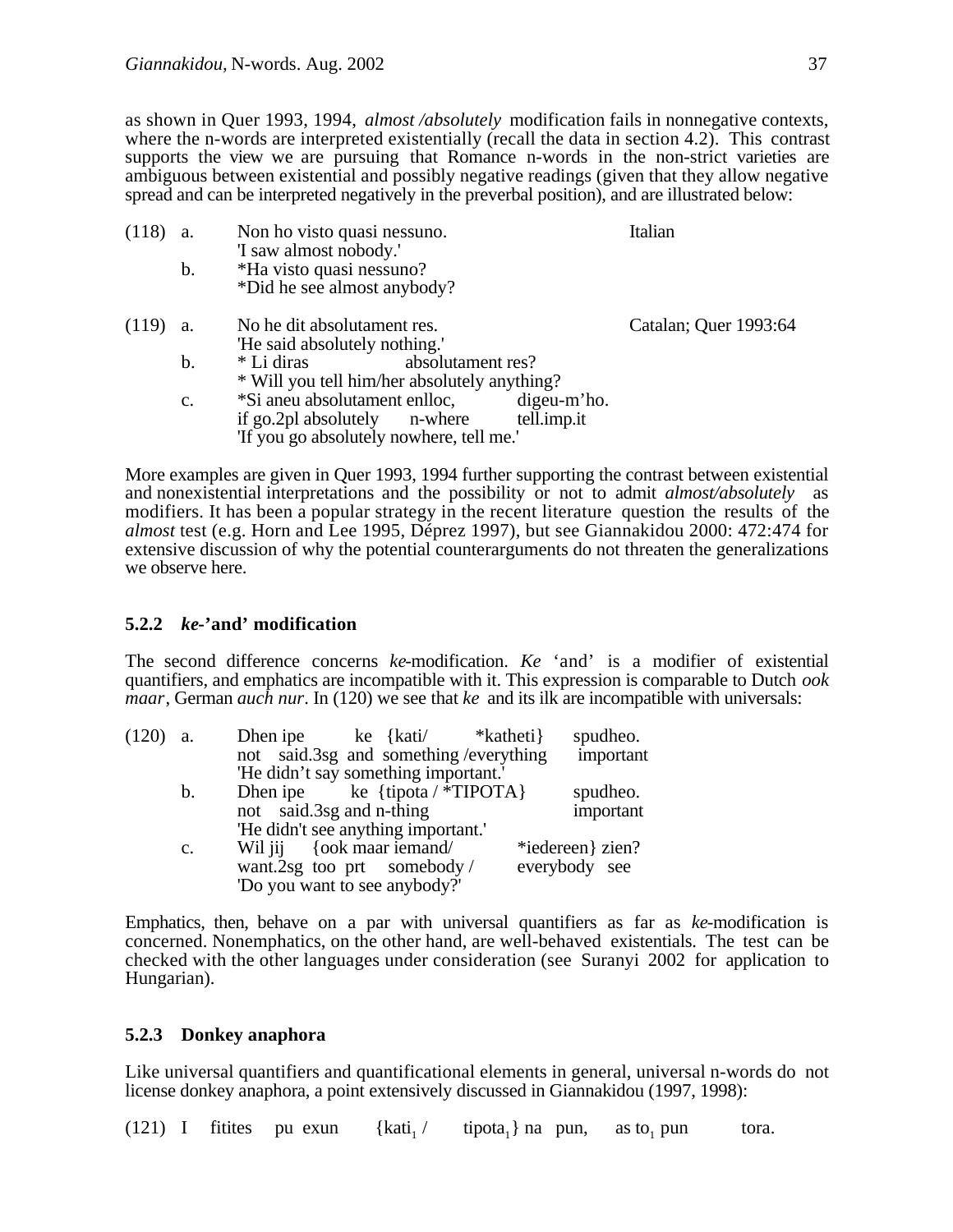as shown in Quer 1993, 1994, *almost /absolutely* modification fails in nonnegative contexts, where the n-words are interpreted existentially (recall the data in section 4.2). This contrast supports the view we are pursuing that Romance n-words in the non-strict varieties are ambiguous between existential and possibly negative readings (given that they allow negative spread and can be interpreted negatively in the preverbal position), and are illustrated below:

| (118) | a.             | Non ho visto quasi nessuno.<br>'I saw almost nobody.'                                                                                   | Italian               |
|-------|----------------|-----------------------------------------------------------------------------------------------------------------------------------------|-----------------------|
|       | $\mathbf b$ .  | *Ha visto quasi nessuno?<br>*Did he see almost anybody?                                                                                 |                       |
| (119) | a.             | No he dit absolutament res.<br>"He said absolutely nothing."                                                                            | Catalan; Quer 1993:64 |
|       | b.             | absolutament res?<br>* Li diras<br>* Will you tell him/her absolutely anything?                                                         |                       |
|       | $\mathbf{c}$ . | *Si aneu absolutament enlloc,<br>digeu-m'ho.<br>if go.2pl absolutely n-where<br>tell.imp.it<br>'If you go absolutely nowhere, tell me.' |                       |

More examples are given in Quer 1993, 1994 further supporting the contrast between existential and nonexistential interpretations and the possibility or not to admit *almost/absolutely* as modifiers. It has been a popular strategy in the recent literature question the results of the *almost* test (e.g. Horn and Lee 1995, Déprez 1997), but see Giannakidou 2000: 472:474 for extensive discussion of why the potential counterarguments do not threaten the generalizations we observe here.

## **5.2.2** *ke***-'and' modification**

The second difference concerns *ke*-modification. *Ke* 'and' is a modifier of existential quantifiers, and emphatics are incompatible with it. This expression is comparable to Dutch *ook maar*, German *auch nur*. In (120) we see that *ke* and its ilk are incompatible with universals:

| $(120)$ a. |    | Dhen ipe                                       |  | ke {kati/ *katheti} |                  | spudheo.  |
|------------|----|------------------------------------------------|--|---------------------|------------------|-----------|
|            |    | not said.3sg and something/everything          |  |                     |                  | important |
|            |    | 'He didn't say something important.'           |  |                     |                  |           |
|            | b. | Dhen ipe $\qquad \qquad$ ke {tipota / *TIPOTA} |  |                     |                  | spudheo.  |
|            |    | not said.3sg and n-thing                       |  |                     |                  | important |
|            |    | 'He didn't see anything important.'            |  |                     |                  |           |
|            | c. | Wil jij {ook maar iemand/                      |  |                     | *iedereen} zien? |           |
|            |    | want.2sg too prt somebody /                    |  |                     | everybody see    |           |
|            |    | 'Do you want to see anybody?'                  |  |                     |                  |           |

Emphatics, then, behave on a par with universal quantifiers as far as *ke*-modification is concerned. Nonemphatics, on the other hand, are well-behaved existentials. The test can be checked with the other languages under consideration (see Suranyi 2002 for application to Hungarian).

## **5.2.3 Donkey anaphora**

Like universal quantifiers and quantificational elements in general, universal n-words do not license donkey anaphora, a point extensively discussed in Giannakidou (1997, 1998):

(121) I fitites pu exun {kati<sub>1</sub> / /  $tipota_1$ } na pun, as to<sub>1</sub> as to<sub>1</sub> pun tora.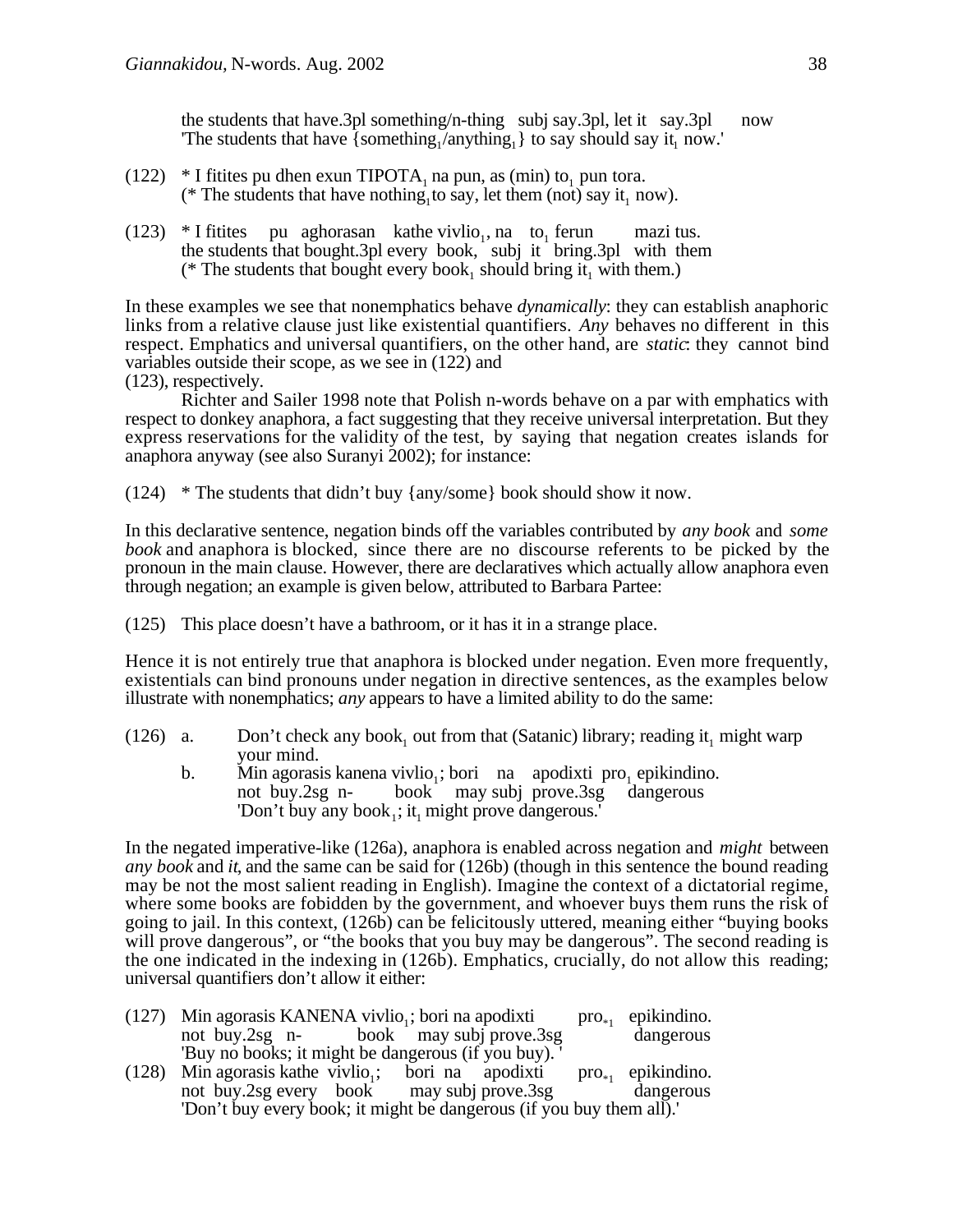the students that have.3pl something/n-thing subj say.3pl, let it say.3pl now The students that have  $\{something_1/anything_1\}$  to say should say it<sub>1</sub> now.'

- (122) \* I fitites pu dhen exun TIPOTA<sub>1</sub> na pun, as (min) to<sub>1</sub> pun tora. (\* The students that have nothing<sub>1</sub> to say, let them (not) say it<sub>1</sub> now).
- (123) \* I fitites pu aghorasan kathe vivlio<sub>1</sub>, na to<sub>1</sub> mazi tus. the students that bought.3pl every book, subj it bring.3pl with them (\* The students that bought every book<sub>1</sub> should bring it<sub>1</sub> with them.)

In these examples we see that nonemphatics behave *dynamically*: they can establish anaphoric links from a relative clause just like existential quantifiers. *Any* behaves no different in this respect. Emphatics and universal quantifiers, on the other hand, are *static*: they cannot bind variables outside their scope, as we see in (122) and

(123), respectively.

Richter and Sailer 1998 note that Polish n-words behave on a par with emphatics with respect to donkey anaphora, a fact suggesting that they receive universal interpretation. But they express reservations for the validity of the test, by saying that negation creates islands for anaphora anyway (see also Suranyi 2002); for instance:

(124) \* The students that didn't buy {any/some} book should show it now.

In this declarative sentence, negation binds off the variables contributed by *any book* and *some book* and anaphora is blocked, since there are no discourse referents to be picked by the pronoun in the main clause. However, there are declaratives which actually allow anaphora even through negation; an example is given below, attributed to Barbara Partee:

(125) This place doesn't have a bathroom, or it has it in a strange place.

Hence it is not entirely true that anaphora is blocked under negation. Even more frequently, existentials can bind pronouns under negation in directive sentences, as the examples below illustrate with nonemphatics; *any* appears to have a limited ability to do the same:

- (126) a. Don't check any book<sub>1</sub> out from that (Satanic) library; reading it<sub>1</sub> might warp your mind.
	- b. Min agorasis kanena vivlio<sub>1</sub>; bori na apodixti pro<sub>1</sub> epikindino. not buy.2sg n- book may subj prove.3sg dangerous 'Don't buy any  $book_1$ ; it<sub>1</sub> might prove dangerous.'

In the negated imperative-like (126a), anaphora is enabled across negation and *might* between *any book* and *it*, and the same can be said for (126b) (though in this sentence the bound reading may be not the most salient reading in English). Imagine the context of a dictatorial regime, where some books are fobidden by the government, and whoever buys them runs the risk of going to jail. In this context, (126b) can be felicitously uttered, meaning either "buying books will prove dangerous", or "the books that you buy may be dangerous". The second reading is the one indicated in the indexing in (126b). Emphatics, crucially, do not allow this reading; universal quantifiers don't allow it either:

- (127) Min agorasis KANENA vivlio<sub>1</sub>; bori na apodixti<br>not buy.2sg n-<br>book may subj prove.  $\begin{bmatrix} \text{pro}_{\ast_1} & \text{epikindino.} \\ \text{dangerous} \end{bmatrix}$ may subj prove.3sg 'Buy no books; it might be dangerous (if you buy). '
- $(128)$  Min agorasis kathe vivlio<sub>1</sub>; bori na apodixti  $pro_{*1}$  epikindino.<br>may subj prove.3sg dangerous not buy.2sg every book 'Don't buy every book; it might be dangerous (if you buy them all).'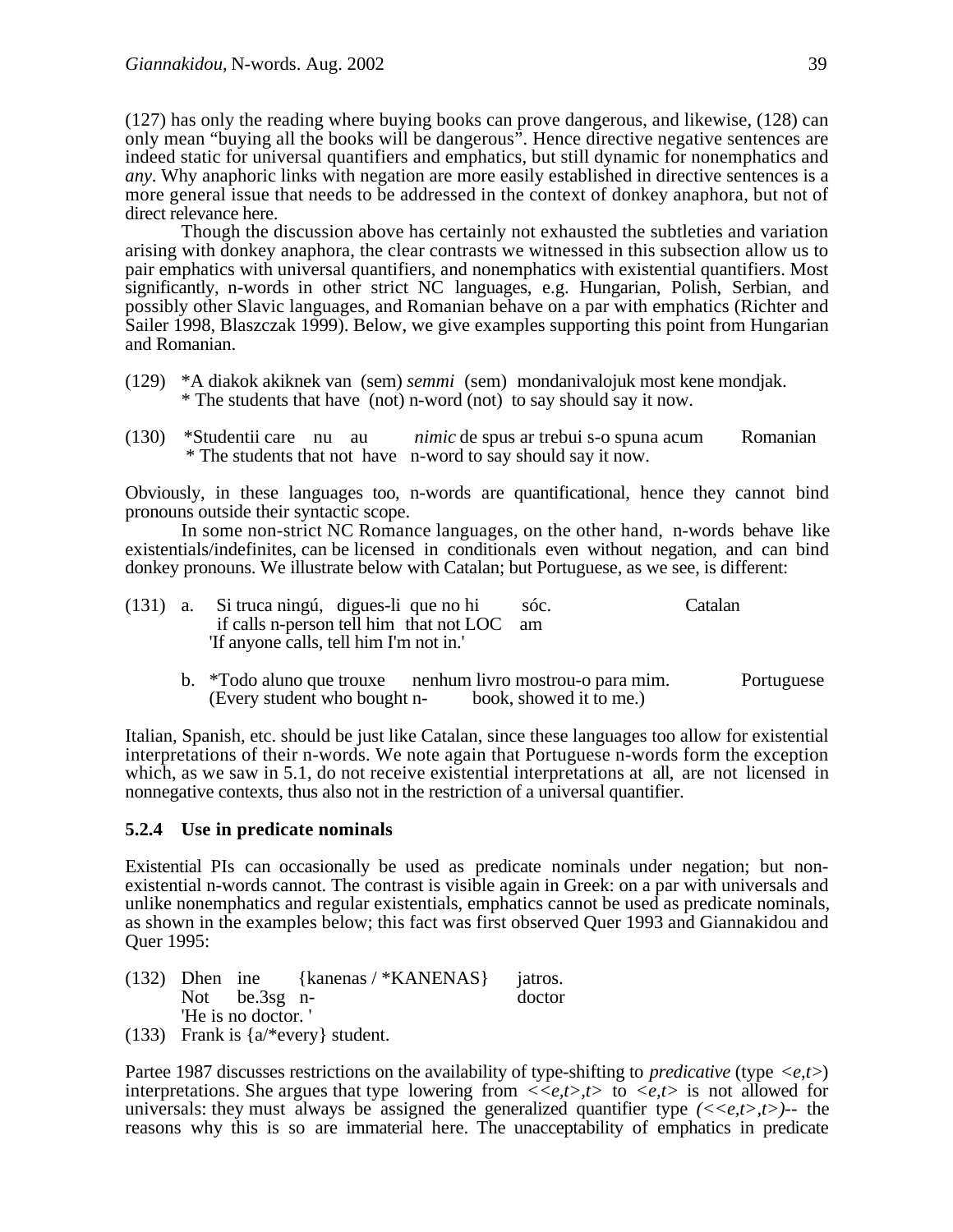(127) has only the reading where buying books can prove dangerous, and likewise, (128) can only mean "buying all the books will be dangerous". Hence directive negative sentences are indeed static for universal quantifiers and emphatics, but still dynamic for nonemphatics and *any.* Why anaphoric links with negation are more easily established in directive sentences is a more general issue that needs to be addressed in the context of donkey anaphora, but not of direct relevance here.

Though the discussion above has certainly not exhausted the subtleties and variation arising with donkey anaphora, the clear contrasts we witnessed in this subsection allow us to pair emphatics with universal quantifiers, and nonemphatics with existential quantifiers. Most significantly, n-words in other strict NC languages, e.g. Hungarian, Polish, Serbian, and possibly other Slavic languages, and Romanian behave on a par with emphatics (Richter and Sailer 1998, Blaszczak 1999). Below, we give examples supporting this point from Hungarian and Romanian.

- (129) \*A diakok akiknek van (sem) *semmi* (sem) mondanivalojuk most kene mondjak. \* The students that have (not) n-word (not) to say should say it now.
- (130) \*Studentii care nu au *nimic* de spus ar trebui s-o spuna acum Romanian \* The students that not have n-word to say should say it now.

Obviously, in these languages too, n-words are quantificational, hence they cannot bind pronouns outside their syntactic scope.

In some non-strict NC Romance languages, on the other hand, n-words behave like existentials/indefinites, can be licensed in conditionals even without negation, and can bind donkey pronouns. We illustrate below with Catalan; but Portuguese, as we see, is different:

- (131) a. Si truca ningú, digues-li que no hi sóc. Catalan if calls n-person tell him that not LOC am 'If anyone calls, tell him I'm not in.'
	- b. \*Todo aluno que trouxe nenhum livro mostrou-o para mim. Portuguese (Every student who bought n- book, showed it to me.)

Italian, Spanish, etc. should be just like Catalan, since these languages too allow for existential interpretations of their n-words. We note again that Portuguese n-words form the exception which, as we saw in 5.1, do not receive existential interpretations at all, are not licensed in nonnegative contexts, thus also not in the restriction of a universal quantifier.

## **5.2.4 Use in predicate nominals**

Existential PIs can occasionally be used as predicate nominals under negation; but nonexistential n-words cannot. The contrast is visible again in Greek: on a par with universals and unlike nonemphatics and regular existentials, emphatics cannot be used as predicate nominals, as shown in the examples below; this fact was first observed Quer 1993 and Giannakidou and Quer 1995:

- (132) Dhen ine {kanenas / \*KANENAS} jatros. Not be.3sg n- doctor 'He is no doctor. '
- (133) Frank is {a/\*every} student.

Partee 1987 discusses restrictions on the availability of type-shifting to *predicative* (type *<e,t>*) interpretations. She argues that type lowering from  $\langle\langle e,t\rangle, t\rangle$  to  $\langle e,t\rangle$  is not allowed for universals: they must always be assigned the generalized quantifier type  $\langle \langle \langle e, t \rangle, t \rangle \rangle$ -- the reasons why this is so are immaterial here. The unacceptability of emphatics in predicate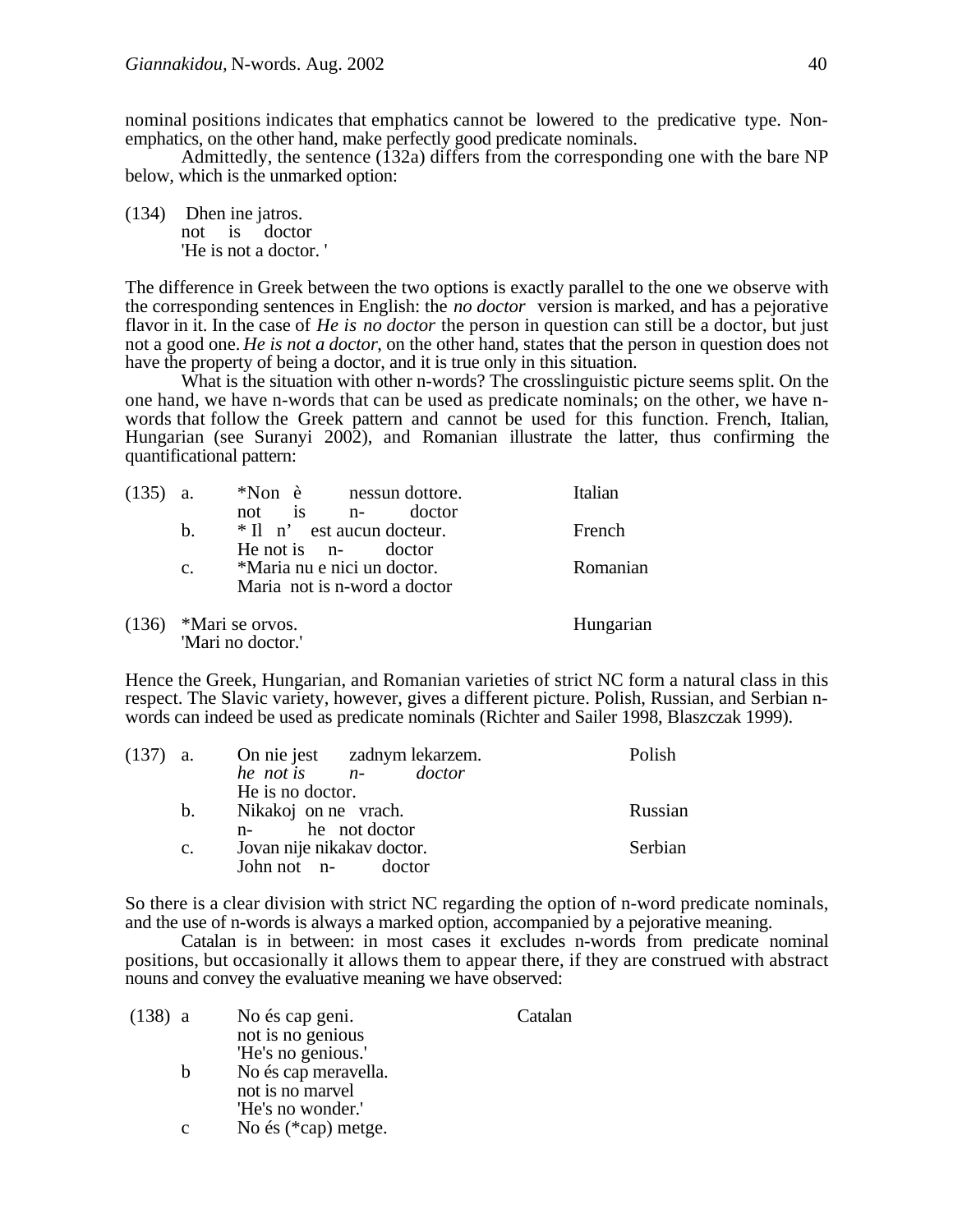nominal positions indicates that emphatics cannot be lowered to the predicative type. Nonemphatics, on the other hand, make perfectly good predicate nominals.

Admittedly, the sentence  $(132a)$  differs from the corresponding one with the bare NP below, which is the unmarked option:

(134) Dhen ine jatros. not is doctor 'He is not a doctor. '

The difference in Greek between the two options is exactly parallel to the one we observe with the corresponding sentences in English: the *no doctor* version is marked, and has a pejorative flavor in it. In the case of *He is no doctor* the person in question can still be a doctor, but just not a good one. *He is not a doctor*, on the other hand, states that the person in question does not have the property of being a doctor, and it is true only in this situation.

What is the situation with other n-words? The crosslinguistic picture seems split. On the one hand, we have n-words that can be used as predicate nominals; on the other, we have nwords that follow the Greek pattern and cannot be used for this function. French, Italian, Hungarian (see Suranyi 2002), and Romanian illustrate the latter, thus confirming the quantificational pattern:

| $(135)$ a. |                | *Non è nessun dottore.                                                  | Italian   |
|------------|----------------|-------------------------------------------------------------------------|-----------|
|            | b.             | not is n- doctor<br>* Il n' est aucun docteur.<br>He not is $n-$ doctor | French    |
|            | $\mathbf{c}$ . | *Maria nu e nici un doctor.<br>Maria not is n-word a doctor             | Romanian  |
|            |                | $(136)$ *Mari se orvos.                                                 | Hungarian |

'Mari no doctor.'

Hence the Greek, Hungarian, and Romanian varieties of strict NC form a natural class in this respect. The Slavic variety, however, gives a different picture. Polish, Russian, and Serbian nwords can indeed be used as predicate nominals (Richter and Sailer 1998, Blaszczak 1999).

| $(137)$ a. |             | On nie jest zadnym lekarzem. | Polish  |
|------------|-------------|------------------------------|---------|
|            |             | he not is n- doctor          |         |
|            |             | He is no doctor.             |         |
|            | b.          | Nikakoj on ne vrach.         | Russian |
|            |             | he not doctor<br>$n-$        |         |
|            | $c_{\cdot}$ | Jovan nije nikakav doctor.   | Serbian |
|            |             | John not n- doctor           |         |

So there is a clear division with strict NC regarding the option of n-word predicate nominals, and the use of n-words is always a marked option, accompanied by a pejorative meaning.

Catalan is in between: in most cases it excludes n-words from predicate nominal positions, but occasionally it allows them to appear there, if they are construed with abstract nouns and convey the evaluative meaning we have observed:

| $(138)$ a |        | No és cap geni.              | Catalan |
|-----------|--------|------------------------------|---------|
|           |        | not is no genious            |         |
|           |        | 'He's no genious.'           |         |
|           |        | No és cap meravella.         |         |
|           |        | not is no marvel             |         |
|           |        | 'He's no wonder.'            |         |
|           | $\sim$ | $N_0$ <i>do (koom)</i> matao |         |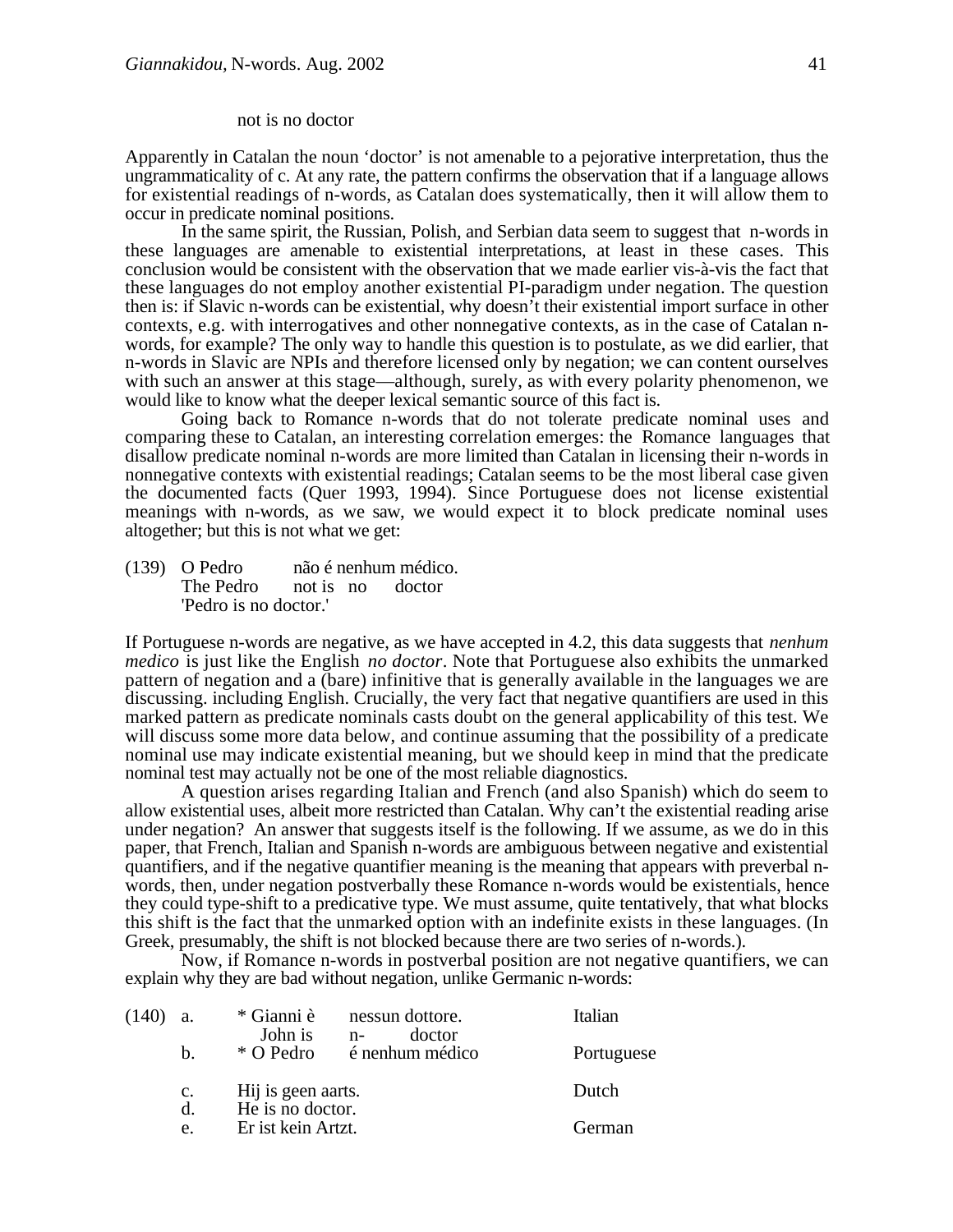#### not is no doctor

Apparently in Catalan the noun 'doctor' is not amenable to a pejorative interpretation, thus the ungrammaticality of c. At any rate, the pattern confirms the observation that if a language allows for existential readings of n-words, as Catalan does systematically, then it will allow them to occur in predicate nominal positions.

In the same spirit, the Russian, Polish, and Serbian data seem to suggest that n-words in these languages are amenable to existential interpretations, at least in these cases. This conclusion would be consistent with the observation that we made earlier vis-à-vis the fact that these languages do not employ another existential PI-paradigm under negation. The question then is: if Slavic n-words can be existential, why doesn't their existential import surface in other contexts, e.g. with interrogatives and other nonnegative contexts, as in the case of Catalan nwords, for example? The only way to handle this question is to postulate, as we did earlier, that n-words in Slavic are NPIs and therefore licensed only by negation; we can content ourselves with such an answer at this stage—although, surely, as with every polarity phenomenon, we would like to know what the deeper lexical semantic source of this fact is.

Going back to Romance n-words that do not tolerate predicate nominal uses and comparing these to Catalan, an interesting correlation emerges: the Romance languages that disallow predicate nominal n-words are more limited than Catalan in licensing their n-words in nonnegative contexts with existential readings; Catalan seems to be the most liberal case given the documented facts (Quer 1993, 1994). Since Portuguese does not license existential meanings with n-words, as we saw, we would expect it to block predicate nominal uses altogether; but this is not what we get:

(139) O Pedro não é nenhum médico. The Pedro not is no doctor 'Pedro is no doctor.'

If Portuguese n-words are negative, as we have accepted in 4.2, this data suggests that *nenhum medico* is just like the English *no doctor*. Note that Portuguese also exhibits the unmarked pattern of negation and a (bare) infinitive that is generally available in the languages we are discussing. including English. Crucially, the very fact that negative quantifiers are used in this marked pattern as predicate nominals casts doubt on the general applicability of this test. We will discuss some more data below, and continue assuming that the possibility of a predicate nominal use may indicate existential meaning, but we should keep in mind that the predicate nominal test may actually not be one of the most reliable diagnostics.

A question arises regarding Italian and French (and also Spanish) which do seem to allow existential uses, albeit more restricted than Catalan. Why can't the existential reading arise under negation? An answer that suggests itself is the following. If we assume, as we do in this paper, that French, Italian and Spanish n-words are ambiguous between negative and existential quantifiers, and if the negative quantifier meaning is the meaning that appears with preverbal nwords, then, under negation postverbally these Romance n-words would be existentials, hence they could type-shift to a predicative type. We must assume, quite tentatively, that what blocks this shift is the fact that the unmarked option with an indefinite exists in these languages. (In Greek, presumably, the shift is not blocked because there are two series of n-words.).

Now, if Romance n-words in postverbal position are not negative quantifiers, we can explain why they are bad without negation, unlike Germanic n-words:

| $(140)$ a. |                      | * Gianni è<br>John is                  | nessun dottore.<br>doctor<br>$n-$ | Italian    |
|------------|----------------------|----------------------------------------|-----------------------------------|------------|
|            | b.                   | * O Pedro                              | é nenhum médico                   | Portuguese |
|            | $\mathbf{c}$ .<br>d. | Hij is geen aarts.<br>He is no doctor. |                                   | Dutch      |
|            | e.                   | Er ist kein Artzt.                     |                                   | German     |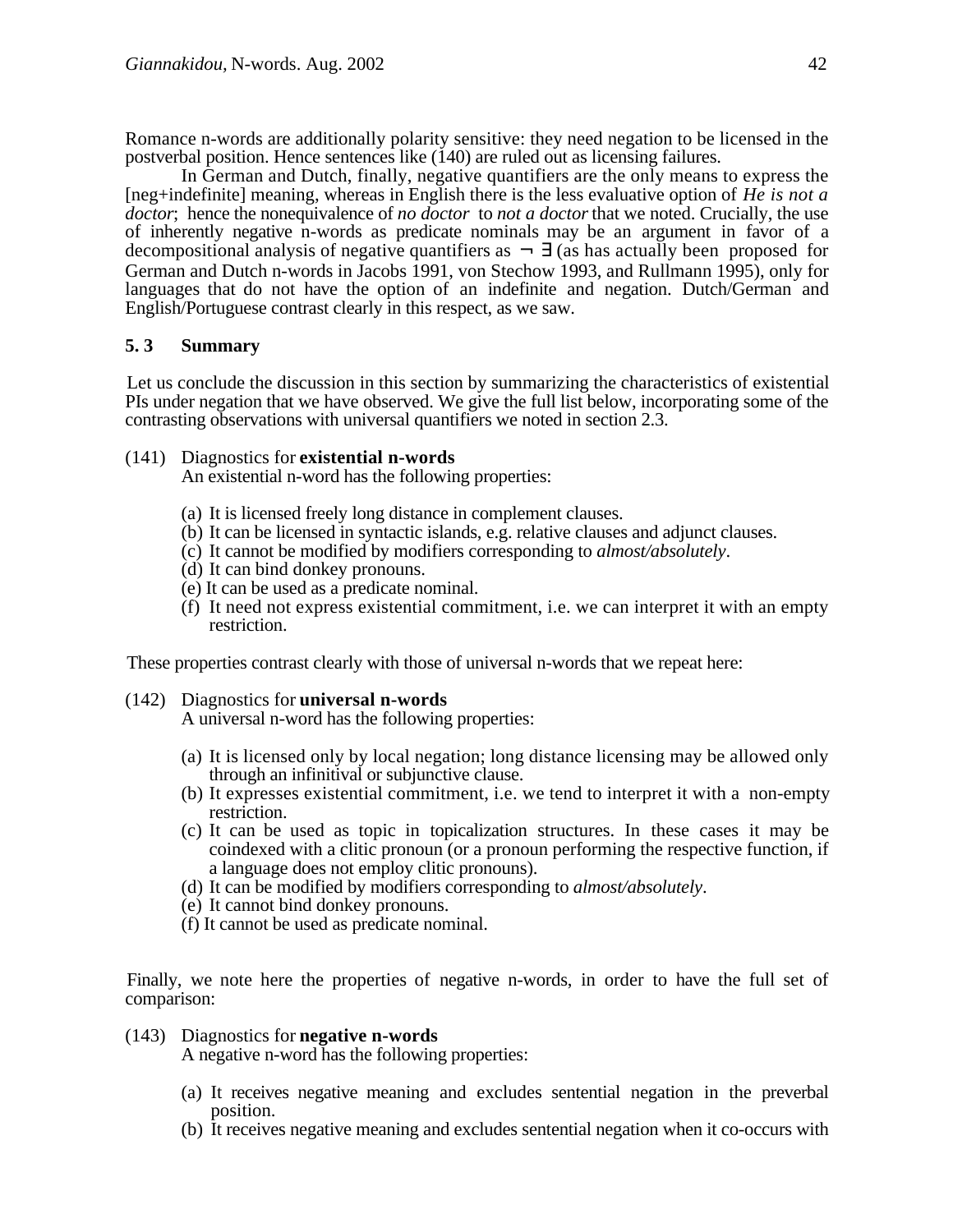Romance n-words are additionally polarity sensitive: they need negation to be licensed in the postverbal position. Hence sentences like (140) are ruled out as licensing failures.

In German and Dutch, finally, negative quantifiers are the only means to express the [neg+indefinite] meaning, whereas in English there is the less evaluative option of *He is not a doctor*; hence the nonequivalence of *no doctor* to *not a doctor* that we noted. Crucially, the use of inherently negative n-words as predicate nominals may be an argument in favor of a decompositional analysis of negative quantifiers as  $\neg$  (as has actually been proposed for German and Dutch n-words in Jacobs 1991, von Stechow 1993, and Rullmann 1995), only for languages that do not have the option of an indefinite and negation. Dutch/German and English/Portuguese contrast clearly in this respect, as we saw.

## **5. 3 Summary**

Let us conclude the discussion in this section by summarizing the characteristics of existential PIs under negation that we have observed. We give the full list below, incorporating some of the contrasting observations with universal quantifiers we noted in section 2.3.

#### (141) Diagnostics for **existential n-words**

An existential n-word has the following properties:

- (a) It is licensed freely long distance in complement clauses.
- (b) It can be licensed in syntactic islands, e.g. relative clauses and adjunct clauses.
- (c) It cannot be modified by modifiers corresponding to *almost/absolutely*.
- (d) It can bind donkey pronouns.
- (e) It can be used as a predicate nominal.
- (f) It need not express existential commitment, i.e. we can interpret it with an empty restriction.

These properties contrast clearly with those of universal n-words that we repeat here:

(142) Diagnostics for **universal n-words**

A universal n-word has the following properties:

- (a) It is licensed only by local negation; long distance licensing may be allowed only through an infinitival or subjunctive clause.
- (b) It expresses existential commitment, i.e. we tend to interpret it with a non-empty restriction.
- (c) It can be used as topic in topicalization structures. In these cases it may be coindexed with a clitic pronoun (or a pronoun performing the respective function, if a language does not employ clitic pronouns).
- (d) It can be modified by modifiers corresponding to *almost/absolutely*.
- (e) It cannot bind donkey pronouns.
- (f) It cannot be used as predicate nominal.

Finally, we note here the properties of negative n-words, in order to have the full set of comparison:

(143) Diagnostics for **negative n-words**

A negative n-word has the following properties:

- (a) It receives negative meaning and excludes sentential negation in the preverbal position.
- (b) It receives negative meaning and excludes sentential negation when it co-occurs with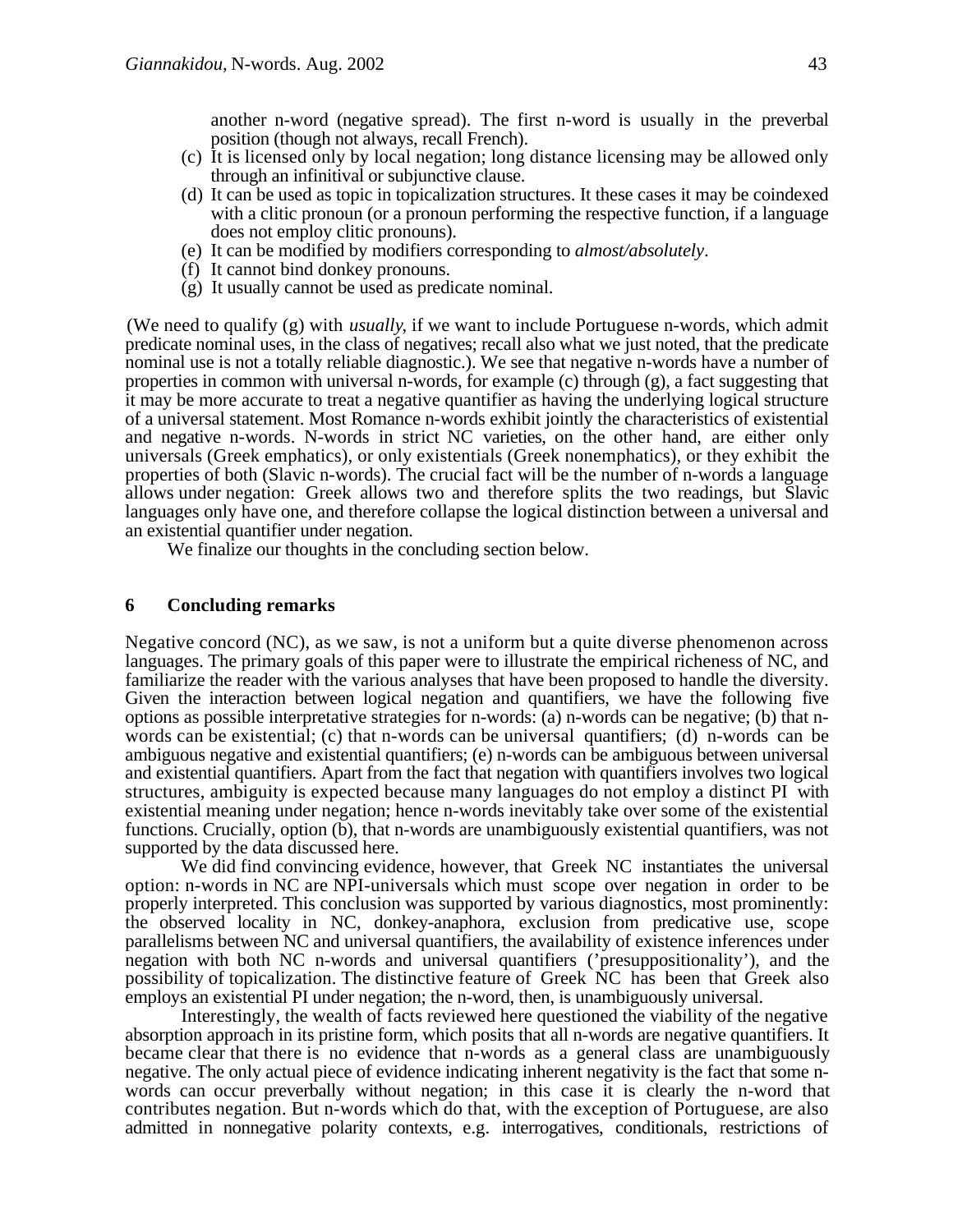another n-word (negative spread). The first n-word is usually in the preverbal position (though not always, recall French).

- (c) It is licensed only by local negation; long distance licensing may be allowed only through an infinitival or subjunctive clause.
- (d) It can be used as topic in topicalization structures. It these cases it may be coindexed with a clitic pronoun (or a pronoun performing the respective function, if a language does not employ clitic pronouns).
- (e) It can be modified by modifiers corresponding to *almost/absolutely*.
- (f) It cannot bind donkey pronouns.
- (g) It usually cannot be used as predicate nominal.

(We need to qualify (g) with *usually*, if we want to include Portuguese n-words, which admit predicate nominal uses, in the class of negatives; recall also what we just noted, that the predicate nominal use is not a totally reliable diagnostic.). We see that negative n-words have a number of properties in common with universal n-words, for example (c) through (g), a fact suggesting that it may be more accurate to treat a negative quantifier as having the underlying logical structure of a universal statement. Most Romance n-words exhibit jointly the characteristics of existential and negative n-words. N-words in strict NC varieties, on the other hand, are either only universals (Greek emphatics), or only existentials (Greek nonemphatics), or they exhibit the properties of both (Slavic n-words). The crucial fact will be the number of n-words a language allows under negation: Greek allows two and therefore splits the two readings, but Slavic languages only have one, and therefore collapse the logical distinction between a universal and an existential quantifier under negation.

We finalize our thoughts in the concluding section below.

#### **6 Concluding remarks**

Negative concord (NC), as we saw, is not a uniform but a quite diverse phenomenon across languages. The primary goals of this paper were to illustrate the empirical richeness of NC, and familiarize the reader with the various analyses that have been proposed to handle the diversity. Given the interaction between logical negation and quantifiers, we have the following five options as possible interpretative strategies for n-words: (a) n-words can be negative; (b) that nwords can be existential; (c) that n-words can be universal quantifiers; (d) n-words can be ambiguous negative and existential quantifiers; (e) n-words can be ambiguous between universal and existential quantifiers. Apart from the fact that negation with quantifiers involves two logical structures, ambiguity is expected because many languages do not employ a distinct PI with existential meaning under negation; hence n-words inevitably take over some of the existential functions. Crucially, option (b), that n-words are unambiguously existential quantifiers, was not supported by the data discussed here.

We did find convincing evidence, however, that Greek NC instantiates the universal option: n-words in NC are NPI-universals which must scope over negation in order to be properly interpreted. This conclusion was supported by various diagnostics, most prominently: the observed locality in NC, donkey-anaphora, exclusion from predicative use, scope parallelisms between NC and universal quantifiers, the availability of existence inferences under negation with both NC n-words and universal quantifiers ('presuppositionality'), and the possibility of topicalization. The distinctive feature of Greek NC has been that Greek also employs an existential PI under negation; the n-word, then, is unambiguously universal.

Interestingly, the wealth of facts reviewed here questioned the viability of the negative absorption approach in its pristine form, which posits that all n-words are negative quantifiers. It became clear that there is no evidence that n-words as a general class are unambiguously negative. The only actual piece of evidence indicating inherent negativity is the fact that some nwords can occur preverbally without negation; in this case it is clearly the n-word that contributes negation. But n-words which do that, with the exception of Portuguese, are also admitted in nonnegative polarity contexts, e.g. interrogatives, conditionals, restrictions of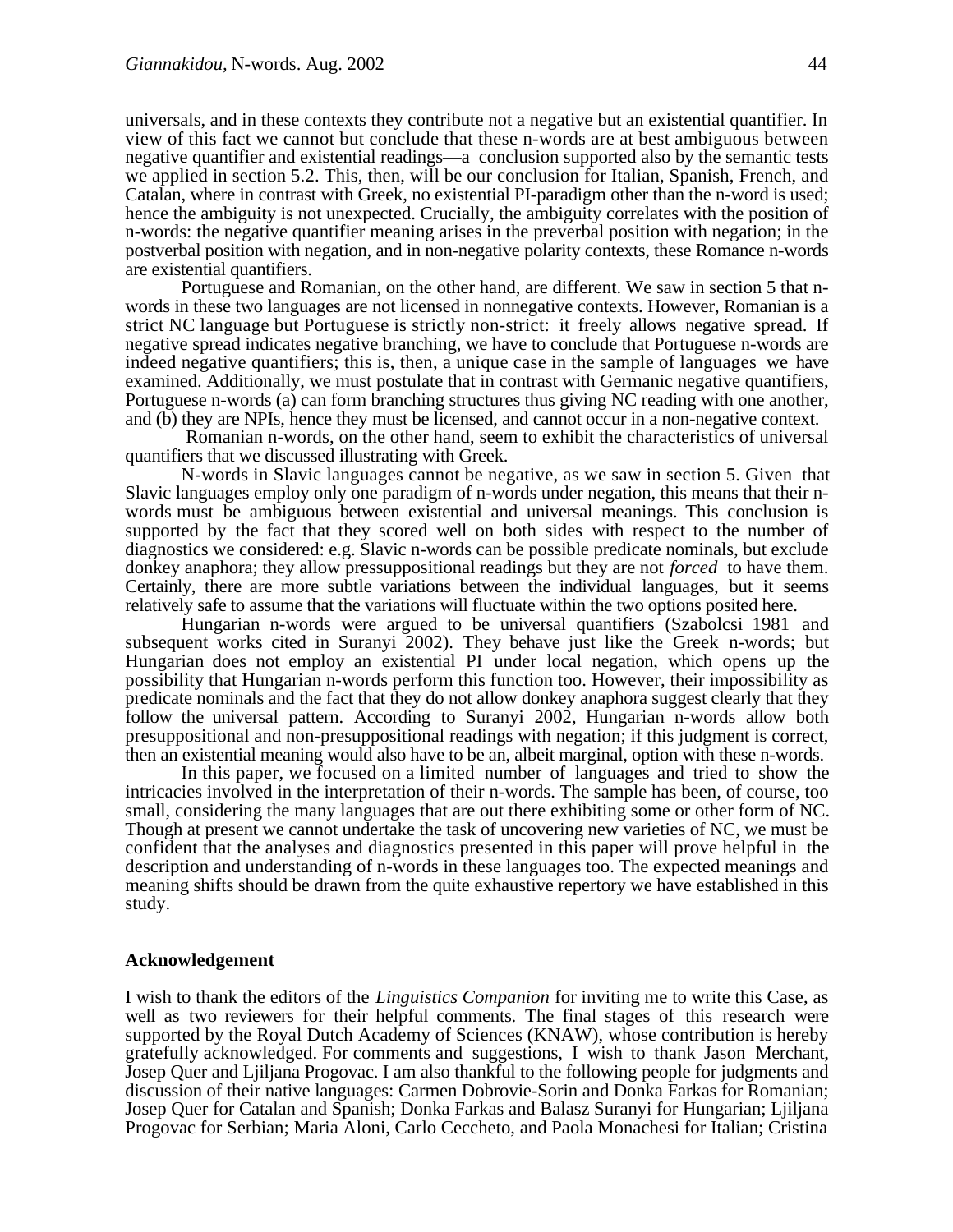universals, and in these contexts they contribute not a negative but an existential quantifier. In view of this fact we cannot but conclude that these n-words are at best ambiguous between negative quantifier and existential readings—a conclusion supported also by the semantic tests we applied in section 5.2. This, then, will be our conclusion for Italian, Spanish, French, and Catalan, where in contrast with Greek, no existential PI-paradigm other than the n-word is used; hence the ambiguity is not unexpected. Crucially, the ambiguity correlates with the position of n-words: the negative quantifier meaning arises in the preverbal position with negation; in the postverbal position with negation, and in non-negative polarity contexts, these Romance n-words are existential quantifiers.

Portuguese and Romanian, on the other hand, are different. We saw in section 5 that nwords in these two languages are not licensed in nonnegative contexts. However, Romanian is a strict NC language but Portuguese is strictly non-strict: it freely allows negative spread. If negative spread indicates negative branching, we have to conclude that Portuguese n-words are indeed negative quantifiers; this is, then, a unique case in the sample of languages we have examined. Additionally, we must postulate that in contrast with Germanic negative quantifiers, Portuguese n-words (a) can form branching structures thus giving NC reading with one another, and (b) they are NPIs, hence they must be licensed, and cannot occur in a non-negative context.

 Romanian n-words, on the other hand, seem to exhibit the characteristics of universal quantifiers that we discussed illustrating with Greek.

N-words in Slavic languages cannot be negative, as we saw in section 5. Given that Slavic languages employ only one paradigm of n-words under negation, this means that their nwords must be ambiguous between existential and universal meanings. This conclusion is supported by the fact that they scored well on both sides with respect to the number of diagnostics we considered: e.g. Slavic n-words can be possible predicate nominals, but exclude donkey anaphora; they allow pressuppositional readings but they are not *forced* to have them. Certainly, there are more subtle variations between the individual languages, but it seems relatively safe to assume that the variations will fluctuate within the two options posited here.

Hungarian n-words were argued to be universal quantifiers (Szabolcsi 1981 and subsequent works cited in Suranyi 2002). They behave just like the Greek n-words; but Hungarian does not employ an existential PI under local negation, which opens up the possibility that Hungarian n-words perform this function too. However, their impossibility as predicate nominals and the fact that they do not allow donkey anaphora suggest clearly that they follow the universal pattern. According to Suranyi 2002, Hungarian n-words allow both presuppositional and non-presuppositional readings with negation; if this judgment is correct, then an existential meaning would also have to be an, albeit marginal, option with these n-words.

In this paper, we focused on a limited number of languages and tried to show the intricacies involved in the interpretation of their n-words. The sample has been, of course, too small, considering the many languages that are out there exhibiting some or other form of NC. Though at present we cannot undertake the task of uncovering new varieties of NC, we must be confident that the analyses and diagnostics presented in this paper will prove helpful in the description and understanding of n-words in these languages too. The expected meanings and meaning shifts should be drawn from the quite exhaustive repertory we have established in this study.

#### **Acknowledgement**

I wish to thank the editors of the *Linguistics Companion* for inviting me to write this Case, as well as two reviewers for their helpful comments. The final stages of this research were supported by the Royal Dutch Academy of Sciences (KNAW), whose contribution is hereby gratefully acknowledged. For comments and suggestions, I wish to thank Jason Merchant, Josep Quer and Ljiljana Progovac. I am also thankful to the following people for judgments and discussion of their native languages: Carmen Dobrovie-Sorin and Donka Farkas for Romanian; Josep Quer for Catalan and Spanish; Donka Farkas and Balasz Suranyi for Hungarian; Ljiljana Progovac for Serbian; Maria Aloni, Carlo Ceccheto, and Paola Monachesi for Italian; Cristina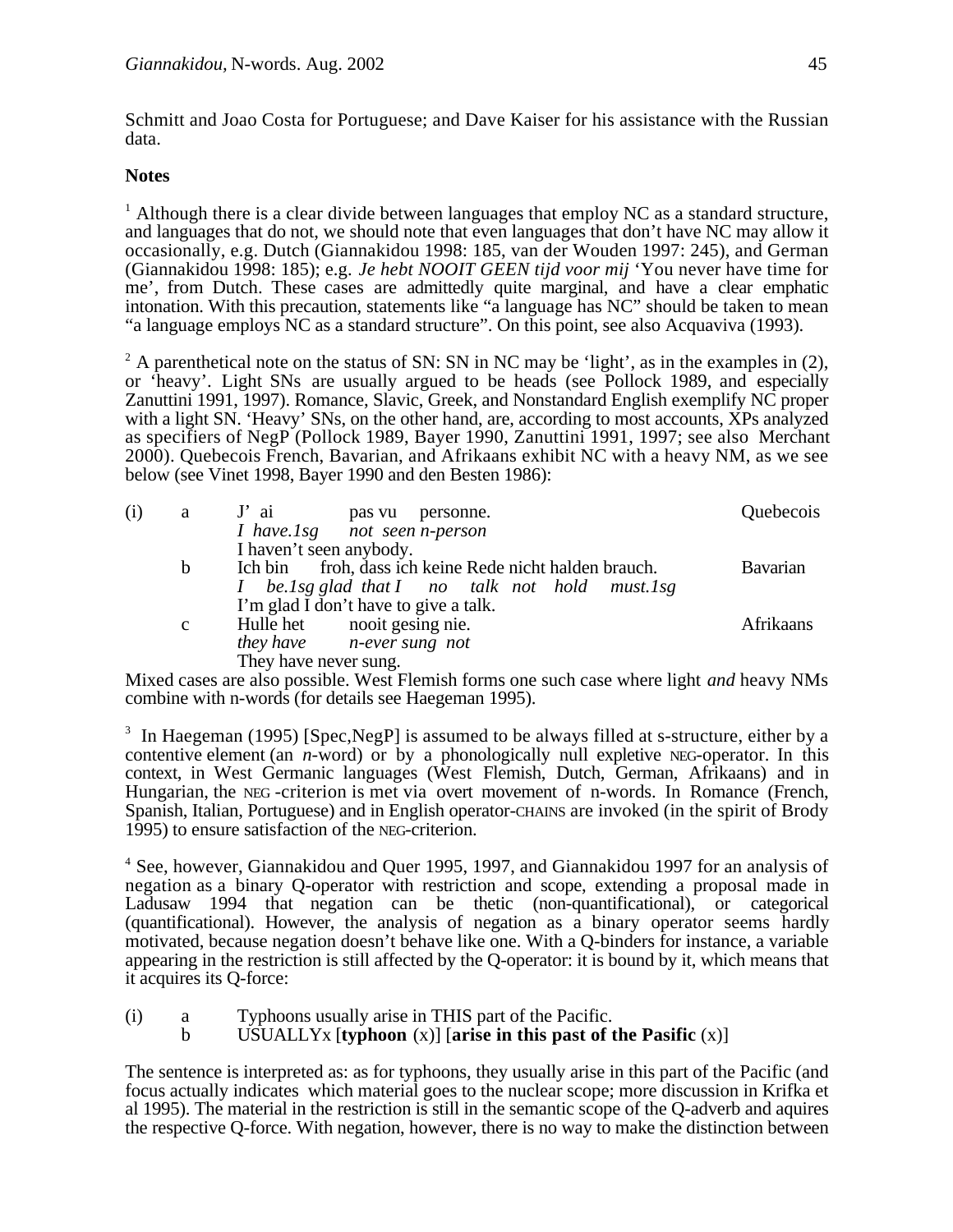Schmitt and Joao Costa for Portuguese; and Dave Kaiser for his assistance with the Russian data.

## **Notes**

 $1$  Although there is a clear divide between languages that employ NC as a standard structure, and languages that do not, we should note that even languages that don't have NC may allow it occasionally, e.g. Dutch (Giannakidou 1998: 185, van der Wouden 1997: 245), and German (Giannakidou 1998: 185); e.g. *Je hebt NOOIT GEEN tijd voor mij* 'You never have time for me', from Dutch. These cases are admittedly quite marginal, and have a clear emphatic intonation. With this precaution*,* statements like "a language has NC" should be taken to mean "a language employs NC as a standard structure". On this point, see also Acquaviva (1993).

 $2^2$  A parenthetical note on the status of SN: SN in NC may be 'light', as in the examples in (2), or 'heavy'. Light SNs are usually argued to be heads (see Pollock 1989, and especially Zanuttini 1991, 1997). Romance, Slavic, Greek, and Nonstandard English exemplify NC proper with a light SN. 'Heavy' SNs, on the other hand, are, according to most accounts, XPs analyzed as specifiers of NegP (Pollock 1989, Bayer 1990, Zanuttini 1991, 1997; see also Merchant 2000). Quebecois French, Bavarian, and Afrikaans exhibit NC with a heavy NM, as we see below (see Vinet 1998, Bayer 1990 and den Besten 1986):

| (i) | a            | $J'$ ai<br>pas vu personne.                            | Quebecois       |
|-----|--------------|--------------------------------------------------------|-----------------|
|     |              | I have.lsg not seen n-person                           |                 |
|     |              | I haven't seen anybody.                                |                 |
|     | $\mathbf b$  | Ich bin froh, dass ich keine Rede nicht halden brauch. | <b>Bavarian</b> |
|     |              | be. Isg glad that $I$ no talk not hold must. Isg       |                 |
|     |              | I'm glad I don't have to give a talk.                  |                 |
|     | $\mathbf{c}$ | Hulle het nooit gesing nie.                            | Afrikaans       |
|     |              | <i>they have n-ever sung not</i>                       |                 |
|     |              | They have never sung.                                  |                 |
|     |              |                                                        |                 |

Mixed cases are also possible. West Flemish forms one such case where light *and* heavy NMs combine with n-words (for details see Haegeman 1995).

<sup>3</sup> In Haegeman (1995) [Spec, NegP] is assumed to be always filled at s-structure, either by a contentive element (an *n*-word) or by a phonologically null expletive NEG-operator. In this context, in West Germanic languages (West Flemish, Dutch, German, Afrikaans) and in Hungarian, the NEG -criterion is met via overt movement of n-words. In Romance (French, Spanish, Italian, Portuguese) and in English operator-CHAINS are invoked (in the spirit of Brody 1995) to ensure satisfaction of the NEG-criterion.

<sup>4</sup> See, however, Giannakidou and Quer 1995, 1997, and Giannakidou 1997 for an analysis of negation as a binary Q-operator with restriction and scope, extending a proposal made in Ladusaw 1994 that negation can be thetic (non-quantificational), or categorical (quantificational). However, the analysis of negation as a binary operator seems hardly motivated, because negation doesn't behave like one. With a Q-binders for instance, a variable appearing in the restriction is still affected by the Q-operator: it is bound by it, which means that it acquires its Q-force:

(i) a Typhoons usually arise in THIS part of the Pacific.

b USUALLYx [**typhoon** (x)] [**arise in this past of the Pasific** (x)]

The sentence is interpreted as: as for typhoons, they usually arise in this part of the Pacific (and focus actually indicates which material goes to the nuclear scope; more discussion in Krifka et al 1995). The material in the restriction is still in the semantic scope of the Q-adverb and aquires the respective Q-force. With negation, however, there is no way to make the distinction between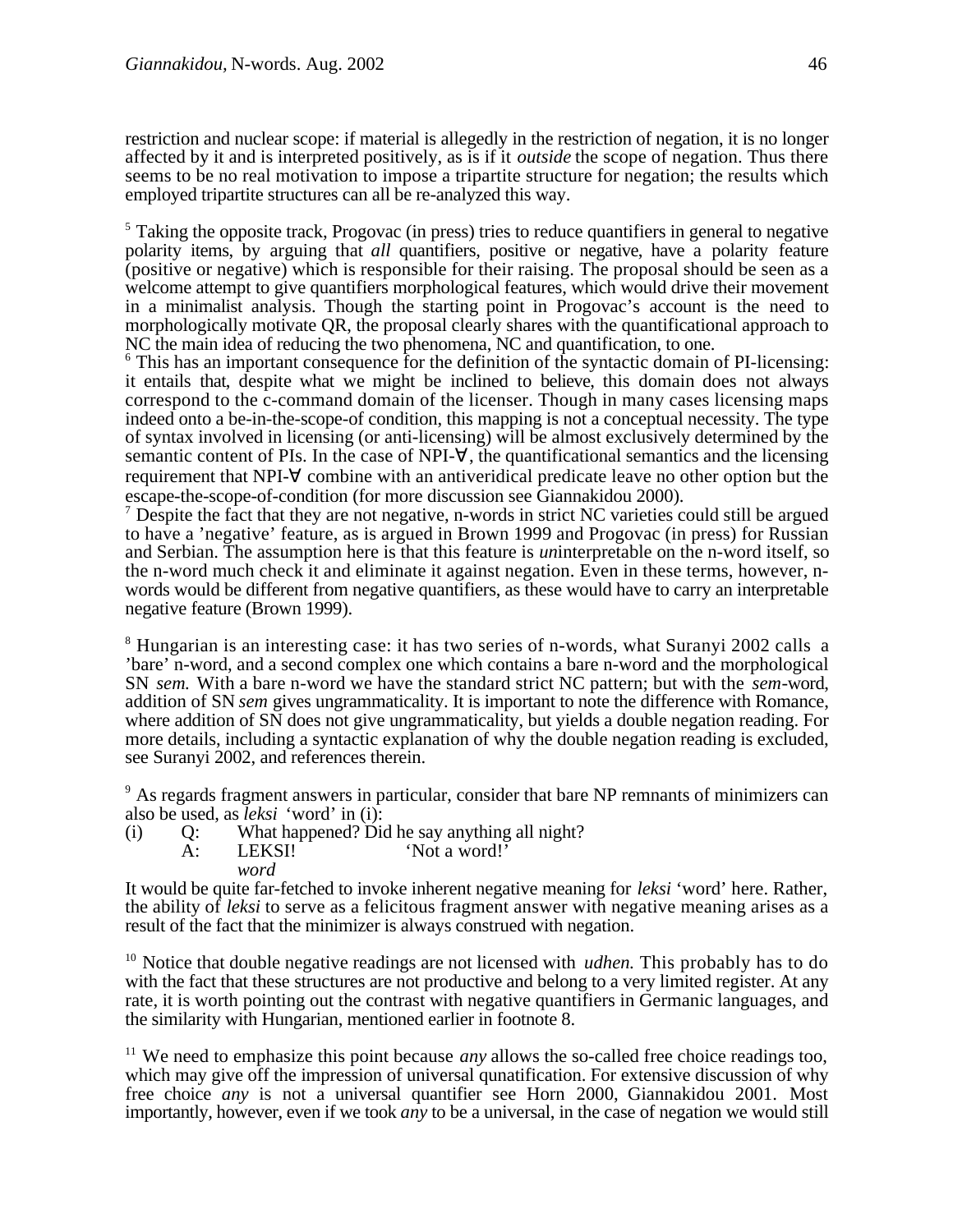restriction and nuclear scope: if material is allegedly in the restriction of negation, it is no longer affected by it and is interpreted positively, as is if it *outside* the scope of negation. Thus there seems to be no real motivation to impose a tripartite structure for negation; the results which employed tripartite structures can all be re-analyzed this way.

<sup>5</sup> Taking the opposite track, Progovac (in press) tries to reduce quantifiers in general to negative polarity items, by arguing that *all* quantifiers, positive or negative, have a polarity feature (positive or negative) which is responsible for their raising. The proposal should be seen as a welcome attempt to give quantifiers morphological features, which would drive their movement in a minimalist analysis. Though the starting point in Progovac's account is the need to morphologically motivate QR, the proposal clearly shares with the quantificational approach to NC the main idea of reducing the two phenomena, NC and quantification, to one.

<sup>6</sup> This has an important consequence for the definition of the syntactic domain of PI-licensing: it entails that, despite what we might be inclined to believe, this domain does not always correspond to the c-command domain of the licenser. Though in many cases licensing maps indeed onto a be-in-the-scope-of condition, this mapping is not a conceptual necessity. The type of syntax involved in licensing (or anti-licensing) will be almost exclusively determined by the semantic content of PIs. In the case of NPI- , the quantificational semantics and the licensing requirement that NPI- combine with an antiveridical predicate leave no other option but the escape-the-scope-of-condition (for more discussion see Giannakidou 2000).

<sup>7</sup> Despite the fact that they are not negative, n-words in strict NC varieties could still be argued to have a 'negative' feature, as is argued in Brown 1999 and Progovac (in press) for Russian and Serbian. The assumption here is that this feature is *un*interpretable on the n-word itself, so the n-word much check it and eliminate it against negation. Even in these terms, however, nwords would be different from negative quantifiers, as these would have to carry an interpretable negative feature (Brown 1999).

<sup>8</sup> Hungarian is an interesting case: it has two series of n-words, what Suranyi 2002 calls a 'bare' n-word, and a second complex one which contains a bare n-word and the morphological SN *sem.* With a bare n-word we have the standard strict NC pattern; but with the *sem*-word, addition of SN *sem* gives ungrammaticality. It is important to note the difference with Romance, where addition of SN does not give ungrammaticality, but yields a double negation reading. For more details, including a syntactic explanation of why the double negation reading is excluded, see Suranyi 2002, and references therein.

<sup>9</sup> As regards fragment answers in particular, consider that bare NP remnants of minimizers can also be used, as *leksi* 'word' in (i):

(i) Q: What happened? Did he say anything all night?

| LEKSI! | 'Not a word!' |
|--------|---------------|
|        |               |

*word*

It would be quite far-fetched to invoke inherent negative meaning for *leksi* 'word' here. Rather, the ability of *leksi* to serve as a felicitous fragment answer with negative meaning arises as a result of the fact that the minimizer is always construed with negation.

<sup>10</sup> Notice that double negative readings are not licensed with *udhen*. This probably has to do with the fact that these structures are not productive and belong to a very limited register. At any rate, it is worth pointing out the contrast with negative quantifiers in Germanic languages, and the similarity with Hungarian, mentioned earlier in footnote 8.

<sup>11</sup> We need to emphasize this point because *any* allows the so-called free choice readings too, which may give off the impression of universal qunatification. For extensive discussion of why free choice *any* is not a universal quantifier see Horn 2000, Giannakidou 2001. Most importantly, however, even if we took *any* to be a universal, in the case of negation we would still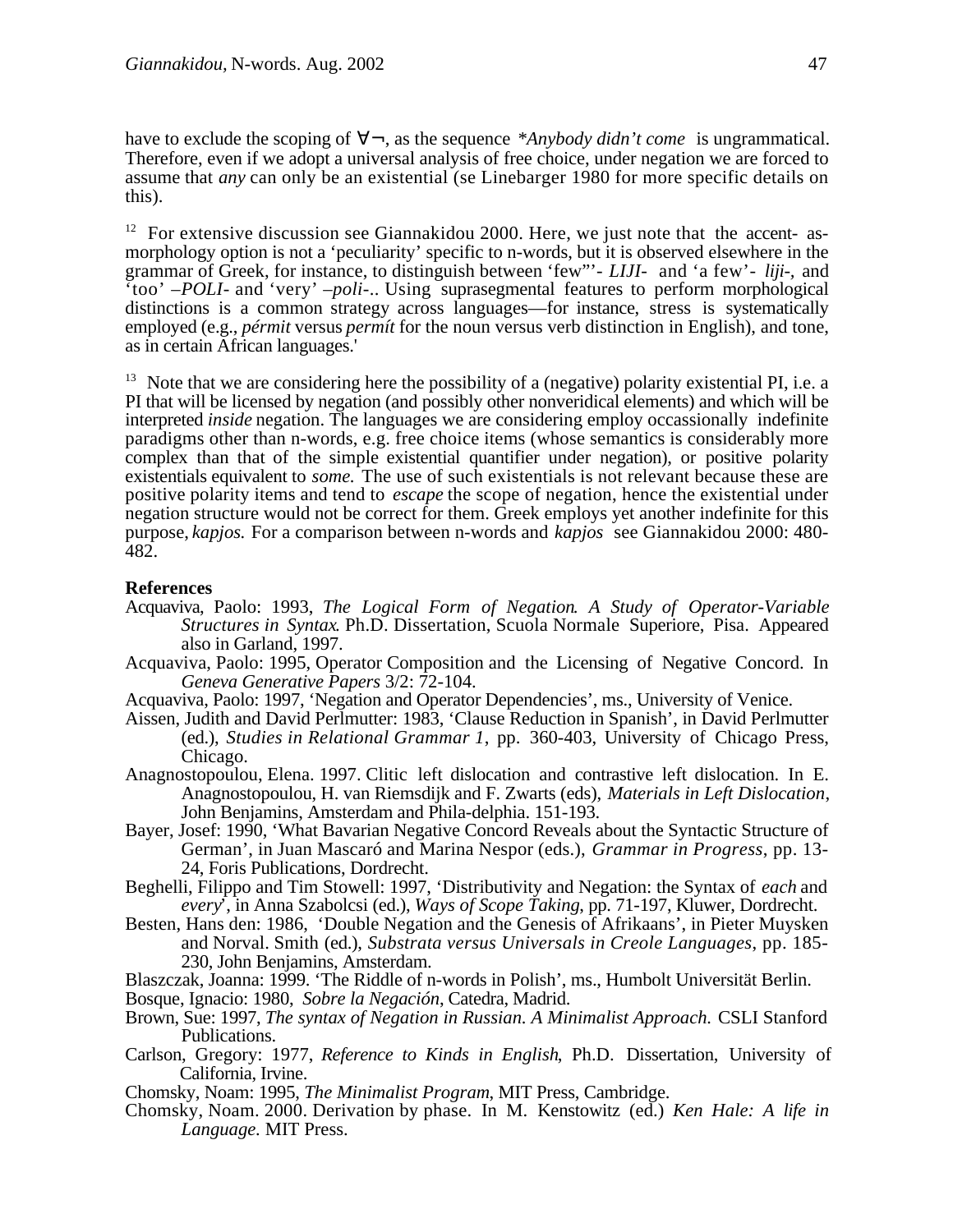have to exclude the scoping of ¬, as the sequence *\*Anybody didn't come* is ungrammatical. Therefore, even if we adopt a universal analysis of free choice, under negation we are forced to assume that *any* can only be an existential (se Linebarger 1980 for more specific details on this).

 $12$  For extensive discussion see Giannakidou 2000. Here, we just note that the accent- asmorphology option is not a 'peculiarity' specific to n-words, but it is observed elsewhere in the grammar of Greek, for instance, to distinguish between 'few"'- *LIJI-* and 'a few'- *liji-,* and 'too' –*POLI*- and 'very' *–poli-*.. Using suprasegmental features to perform morphological distinctions is a common strategy across languages—for instance, stress is systematically employed (e.g., *pérmit* versus *permít* for the noun versus verb distinction in English), and tone, as in certain African languages.'

<sup>13</sup> Note that we are considering here the possibility of a (negative) polarity existential PI, i.e. a PI that will be licensed by negation (and possibly other nonveridical elements) and which will be interpreted *inside* negation. The languages we are considering employ occassionally indefinite paradigms other than n-words, e.g. free choice items (whose semantics is considerably more complex than that of the simple existential quantifier under negation), or positive polarity existentials equivalent to *some.* The use of such existentials is not relevant because these are positive polarity items and tend to *escape* the scope of negation, hence the existential under negation structure would not be correct for them. Greek employs yet another indefinite for this purpose, *kapjos.* For a comparison between n-words and *kapjos* see Giannakidou 2000: 480- 482.

#### **References**

- Acquaviva, Paolo: 1993, *The Logical Form of Negation*. *A Study of Operator-Variable Structures in Syntax*. Ph.D. Dissertation, Scuola Normale Superiore, Pisa. Appeared also in Garland, 1997.
- Acquaviva, Paolo: 1995, Operator Composition and the Licensing of Negative Concord. In *Geneva Generative Papers* 3/2: 72-104.
- Acquaviva, Paolo: 1997, 'Negation and Operator Dependencies', ms., University of Venice.
- Aissen, Judith and David Perlmutter: 1983, 'Clause Reduction in Spanish', in David Perlmutter (ed.), *Studies in Relational Grammar 1*, pp. 360-403, University of Chicago Press, Chicago.
- Anagnostopoulou, Elena. 1997. Clitic left dislocation and contrastive left dislocation. In E. Anagnostopoulou, H. van Riemsdijk and F. Zwarts (eds), *Materials in Left Dislocation*, John Benjamins, Amsterdam and Phila-delphia. 151-193.
- Bayer, Josef: 1990, 'What Bavarian Negative Concord Reveals about the Syntactic Structure of German', in Juan Mascaró and Marina Nespor (eds.), *Grammar in Progress*, pp. 13- 24, Foris Publications, Dordrecht.
- Beghelli, Filippo and Tim Stowell: 1997, 'Distributivity and Negation: the Syntax of *each* and *every*', in Anna Szabolcsi (ed.), *Ways of Scope Taking*, pp. 71-197, Kluwer, Dordrecht.
- Besten, Hans den: 1986, 'Double Negation and the Genesis of Afrikaans', in Pieter Muysken and Norval. Smith (ed.), *Substrata versus Universals in Creole Languages*, pp. 185- 230, John Benjamins, Amsterdam.
- Blaszczak, Joanna: 1999. 'The Riddle of n-words in Polish', ms., Humbolt Universität Berlin. Bosque, Ignacio: 1980, *Sobre la Negación*, Catedra, Madrid.
- Brown, Sue: 1997, *The syntax of Negation in Russian. A Minimalist Approach.* CSLI Stanford Publications.
- Carlson, Gregory: 1977, *Reference to Kinds in English*, Ph.D. Dissertation, University of California, Irvine.
- Chomsky, Noam: 1995, *The Minimalist Program*, MIT Press, Cambridge.
- Chomsky, Noam. 2000. Derivation by phase. In M. Kenstowitz (ed.) *Ken Hale: A life in Language.* MIT Press.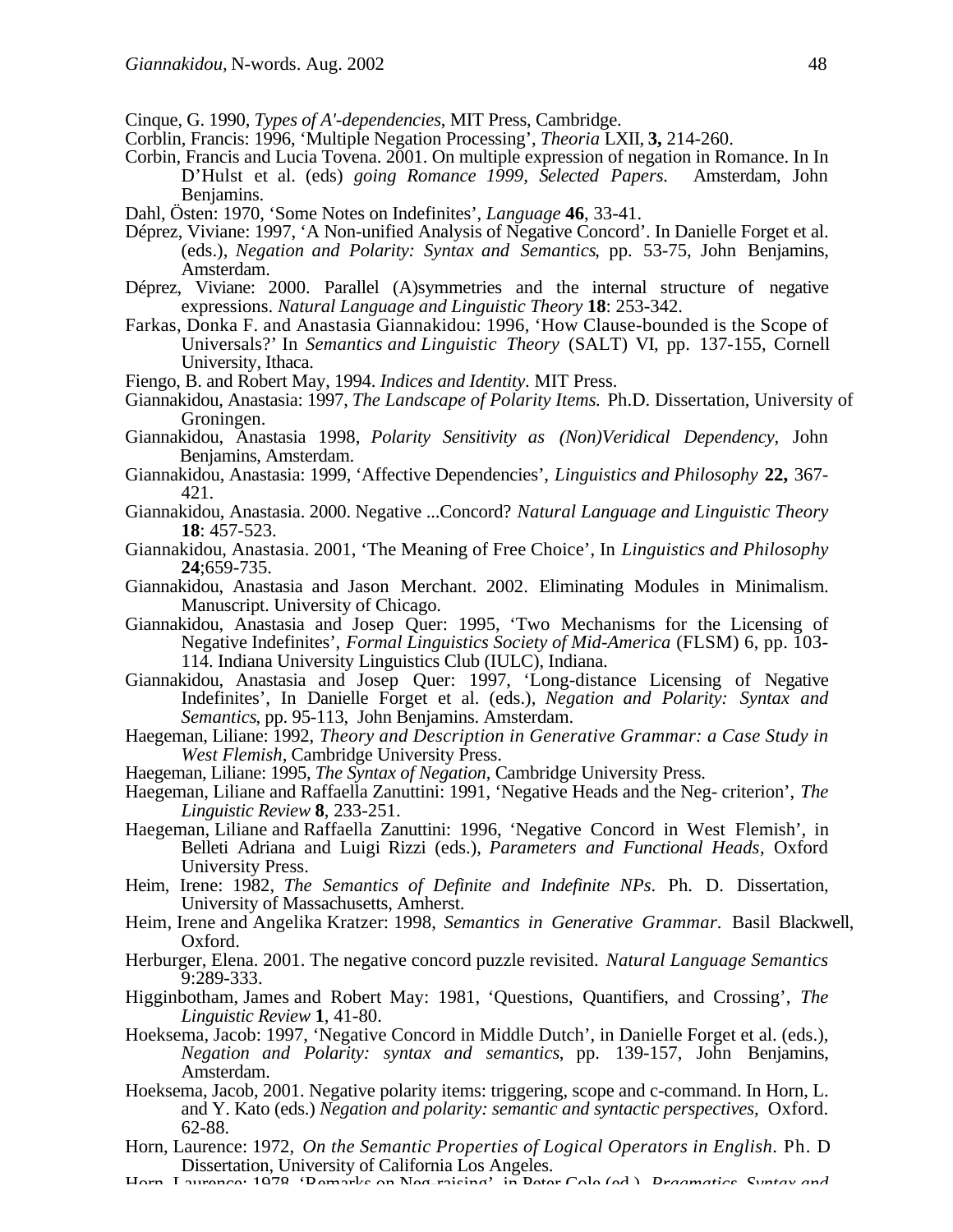Cinque, G. 1990, *Types of A'-dependencies*, MIT Press, Cambridge.

- Corblin, Francis: 1996, 'Multiple Negation Processing', *Theoria* LXII, **3,** 214-260.
- Corbin, Francis and Lucia Tovena. 2001. On multiple expression of negation in Romance. In In D'Hulst et al. (eds) *going Romance 1999, Selected Papers.* Amsterdam, John Benjamins.
- Dahl, Östen: 1970, 'Some Notes on Indefinites', *Language* **46**, 33-41.
- Déprez, Viviane: 1997, 'A Non-unified Analysis of Negative Concord'. In Danielle Forget et al. (eds.), *Negation and Polarity: Syntax and Semantics*, pp. 53-75, John Benjamins, Amsterdam.
- Déprez, Viviane: 2000. Parallel (A)symmetries and the internal structure of negative expressions. *Natural Language and Linguistic Theory* **18**: 253-342.
- Farkas, Donka F. and Anastasia Giannakidou: 1996, 'How Clause-bounded is the Scope of Universals?' In *Semantics and Linguistic Theory* (SALT) VI, pp. 137-155, Cornell University, Ithaca.
- Fiengo, B. and Robert May, 1994. *Indices and Identity*. MIT Press.
- Giannakidou, Anastasia: 1997, *The Landscape of Polarity Items.* Ph.D. Dissertation, University of Groningen.
- Giannakidou, Anastasia 1998, *Polarity Sensitivity as (Non)Veridical Dependency,* John Benjamins, Amsterdam.
- Giannakidou, Anastasia: 1999, 'Affective Dependencies', *Linguistics and Philosophy* **22,** 367- 421.
- Giannakidou, Anastasia. 2000. Negative ...Concord? *Natural Language and Linguistic Theory* **18**: 457-523.
- Giannakidou, Anastasia. 2001, 'The Meaning of Free Choice', In *Linguistics and Philosophy* **24**;659-735.
- Giannakidou, Anastasia and Jason Merchant. 2002. Eliminating Modules in Minimalism. Manuscript. University of Chicago.
- Giannakidou, Anastasia and Josep Quer: 1995, 'Two Mechanisms for the Licensing of Negative Indefinites', *Formal Linguistics Society of Mid-America* (FLSM) 6, pp. 103- 114. Indiana University Linguistics Club (IULC), Indiana.
- Giannakidou, Anastasia and Josep Quer: 1997, 'Long-distance Licensing of Negative Indefinites', In Danielle Forget et al. (eds.), *Negation and Polarity: Syntax and Semantics*, pp. 95-113, John Benjamins. Amsterdam.
- Haegeman, Liliane: 1992, *Theory and Description in Generative Grammar: a Case Study in West Flemish*, Cambridge University Press.
- Haegeman, Liliane: 1995, *The Syntax of Negation*, Cambridge University Press.
- Haegeman, Liliane and Raffaella Zanuttini: 1991, 'Negative Heads and the Neg- criterion', *The Linguistic Review* **8**, 233-251.
- Haegeman, Liliane and Raffaella Zanuttini: 1996, 'Negative Concord in West Flemish', in Belleti Adriana and Luigi Rizzi (eds.), *Parameters and Functional Heads*, Oxford University Press.
- Heim, Irene: 1982, *The Semantics of Definite and Indefinite NPs*. Ph. D. Dissertation, University of Massachusetts, Amherst.
- Heim, Irene and Angelika Kratzer: 1998, *Semantics in Generative Grammar.* Basil Blackwell, Oxford.
- Herburger, Elena. 2001. The negative concord puzzle revisited. *Natural Language Semantics* 9:289-333.
- Higginbotham, James and Robert May: 1981, 'Questions, Quantifiers, and Crossing', *The Linguistic Review* **1**, 41-80.
- Hoeksema, Jacob: 1997, 'Negative Concord in Middle Dutch', in Danielle Forget et al. (eds.), *Negation and Polarity: syntax and semantics*, pp. 139-157, John Benjamins, Amsterdam.
- Hoeksema, Jacob, 2001. Negative polarity items: triggering, scope and c-command. In Horn, L. and Y. Kato (eds.) *Negation and polarity: semantic and syntactic perspectives,* Oxford. 62-88.
- Horn, Laurence: 1972, *On the Semantic Properties of Logical Operators in English*. Ph. D Dissertation, University of California Los Angeles.
- Horn, Laurence: 1978, 'Remarks on Neg-raising', in Peter Cole (ed.), *Pragmatics*, *Syntax and*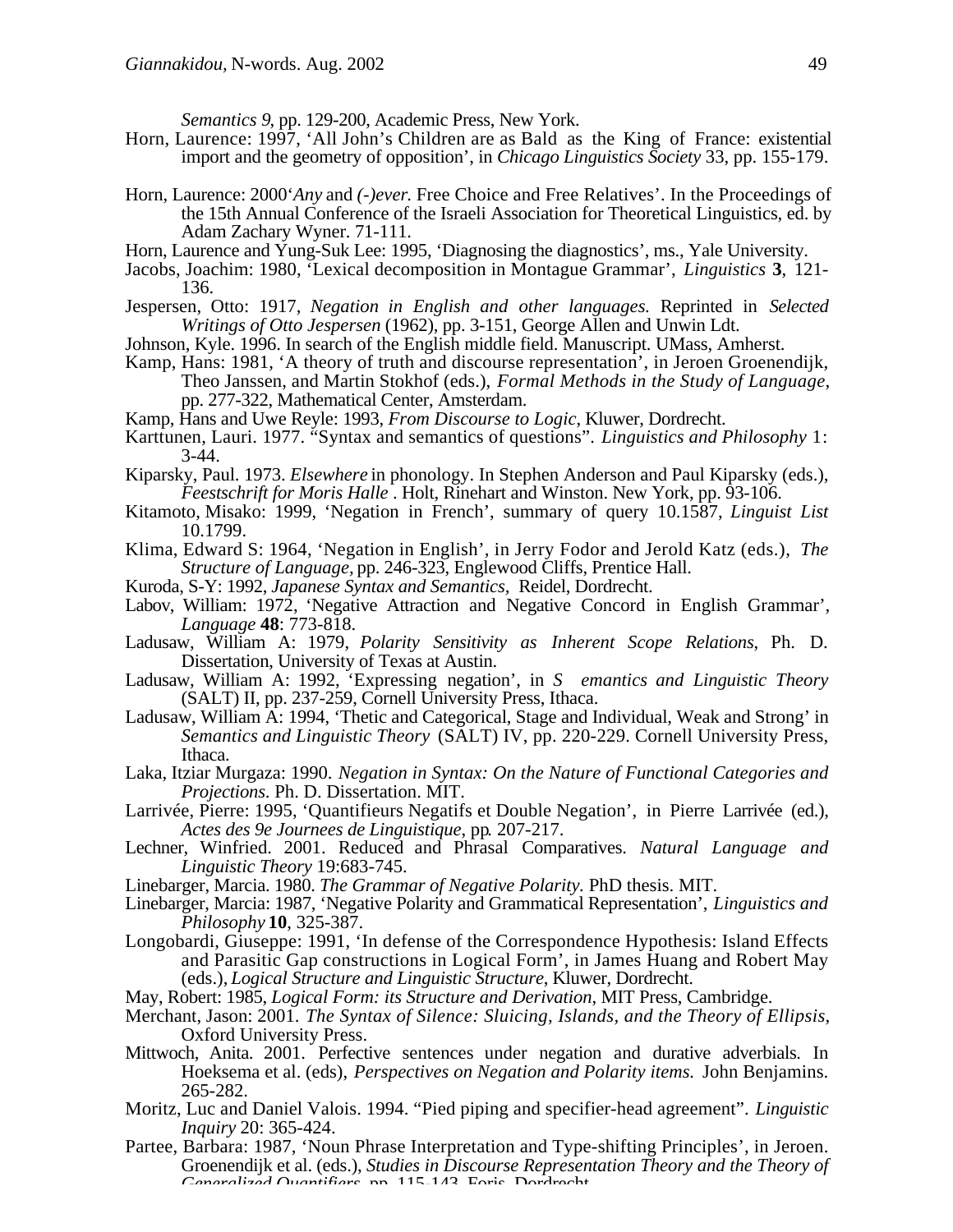*Semantics 9*, pp. 129-200, Academic Press, New York.

- Horn, Laurence: 1997, 'All John's Children are as Bald as the King of France: existential import and the geometry of opposition', in *Chicago Linguistics Society* 33, pp. 155-179.
- Horn, Laurence: 2000'*Any* and *(-)ever*. Free Choice and Free Relatives'. In the Proceedings of the 15th Annual Conference of the Israeli Association for Theoretical Linguistics, ed. by Adam Zachary Wyner. 71-111.
- Horn, Laurence and Yung-Suk Lee: 1995, 'Diagnosing the diagnostics', ms., Yale University.
- Jacobs, Joachim: 1980, 'Lexical decomposition in Montague Grammar', *Linguistics* **3**, 121- 136.
- Jespersen, Otto: 1917, *Negation in English and other languages*. Reprinted in *Selected Writings of Otto Jespersen* (1962), pp. 3-151, George Allen and Unwin Ldt.
- Johnson, Kyle. 1996. In search of the English middle field. Manuscript. UMass, Amherst.
- Kamp, Hans: 1981, 'A theory of truth and discourse representation', in Jeroen Groenendijk, Theo Janssen, and Martin Stokhof (eds.), *Formal Methods in the Study of Language*, pp. 277-322, Mathematical Center, Amsterdam.
- Kamp, Hans and Uwe Reyle: 1993, *From Discourse to Logic*, Kluwer, Dordrecht.
- Karttunen, Lauri. 1977. "Syntax and semantics of questions". *Linguistics and Philosophy* 1: 3-44.
- Kiparsky, Paul. 1973. *Elsewhere* in phonology. In Stephen Anderson and Paul Kiparsky (eds.), *Feestschrift for Moris Halle* . Holt, Rinehart and Winston. New York, pp. 93-106.
- Kitamoto, Misako: 1999, 'Negation in French', summary of query 10.1587, *Linguist List* 10.1799.
- Klima, Edward S: 1964, 'Negation in English'*,* in Jerry Fodor and Jerold Katz (eds.), *The Structure of Language,* pp. 246-323, Englewood Cliffs, Prentice Hall.
- Kuroda, S-Y: 1992, *Japanese Syntax and Semantics,* Reidel, Dordrecht.
- Labov, William: 1972, 'Negative Attraction and Negative Concord in English Grammar', *Language* **48**: 773-818.
- Ladusaw, William A: 1979, *Polarity Sensitivity as Inherent Scope Relations*, Ph. D. Dissertation, University of Texas at Austin.
- Ladusaw, William A: 1992, 'Expressing negation', in *S emantics and Linguistic Theory* (SALT) II, pp. 237-259, Cornell University Press, Ithaca.
- Ladusaw, William A: 1994, 'Thetic and Categorical, Stage and Individual, Weak and Strong' in *Semantics and Linguistic Theory* (SALT) IV, pp. 220-229. Cornell University Press, Ithaca.
- Laka, Itziar Murgaza: 1990. *Negation in Syntax: On the Nature of Functional Categories and Projections*. Ph. D. Dissertation. MIT.
- Larrivée, Pierre: 1995, 'Quantifieurs Negatifs et Double Negation', in Pierre Larrivée (ed.), *Actes des 9e Journees de Linguistique*, pp*.* 207-217.
- Lechner, Winfried. 2001. Reduced and Phrasal Comparatives. *Natural Language and Linguistic Theory* 19:683-745.
- Linebarger, Marcia. 1980. *The Grammar of Negative Polarity.* PhD thesis. MIT.
- Linebarger, Marcia: 1987, 'Negative Polarity and Grammatical Representation', *Linguistics and Philosophy* **10**, 325-387.
- Longobardi, Giuseppe: 1991, 'In defense of the Correspondence Hypothesis: Island Effects and Parasitic Gap constructions in Logical Form', in James Huang and Robert May (eds.), *Logical Structure and Linguistic Structure*, Kluwer, Dordrecht.
- May, Robert: 1985, *Logical Form: its Structure and Derivation*, MIT Press, Cambridge.
- Merchant, Jason: 2001. *The Syntax of Silence: Sluicing, Islands, and the Theory of Ellipsis*, Oxford University Press.
- Mittwoch, Anita. 2001. Perfective sentences under negation and durative adverbials. In Hoeksema et al. (eds), *Perspectives on Negation and Polarity items.* John Benjamins. 265-282.
- Moritz, Luc and Daniel Valois. 1994. "Pied piping and specifier-head agreement". *Linguistic Inquiry* 20: 365-424.
- Partee, Barbara: 1987, 'Noun Phrase Interpretation and Type-shifting Principles', in Jeroen. Groenendijk et al. (eds.), *Studies in Discourse Representation Theory and the Theory of Generalized Quantifiers,* pp. 115-143, Foris, Dordrecht.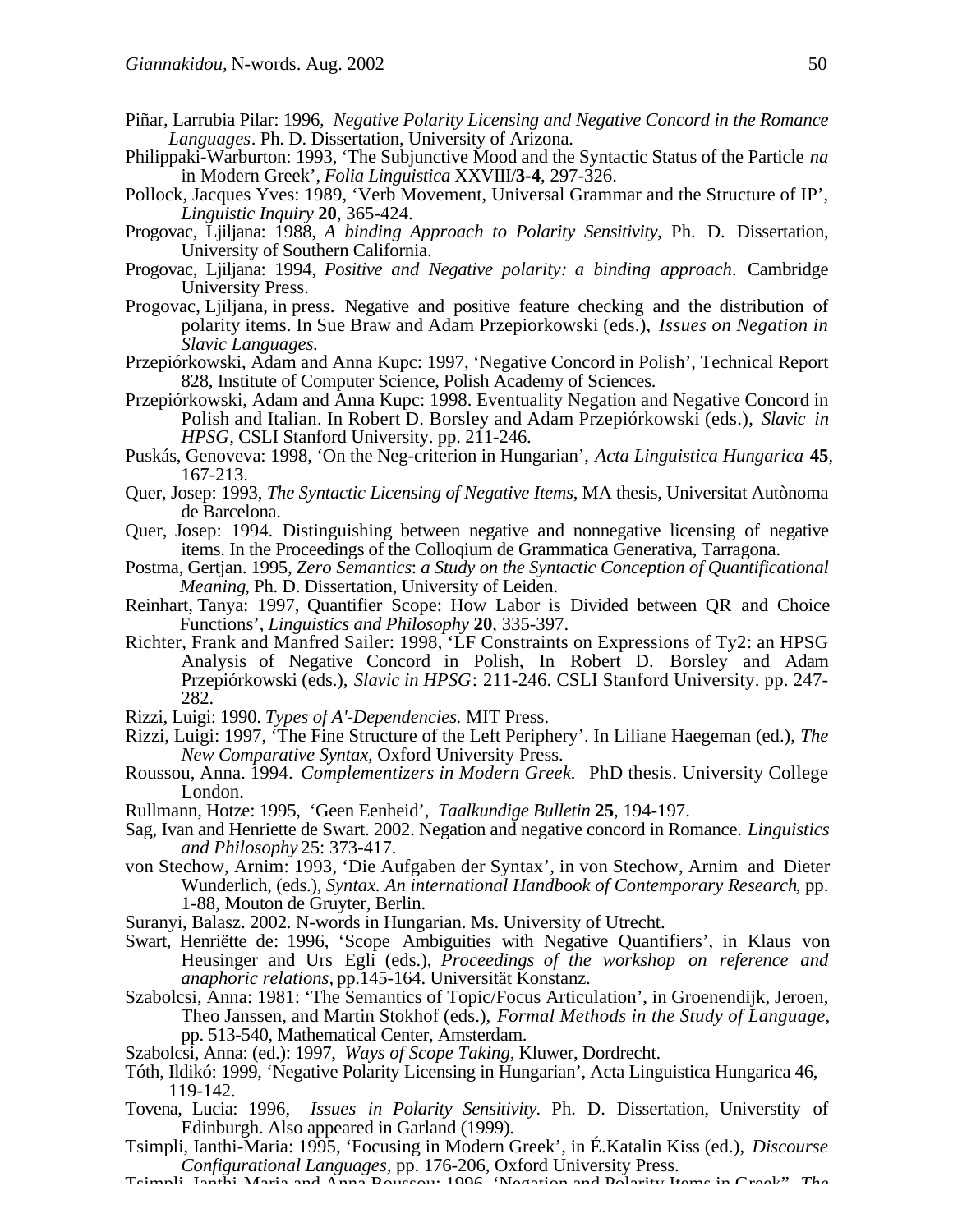- Piñar, Larrubia Pilar: 1996*, Negative Polarity Licensing and Negative Concord in the Romance Languages*. Ph. D. Dissertation, University of Arizona.
- Philippaki-Warburton: 1993, 'The Subjunctive Mood and the Syntactic Status of the Particle *na* in Modern Greek', *Folia Linguistica* XXVIII/**3-4**, 297-326.
- Pollock, Jacques Yves: 1989, 'Verb Movement, Universal Grammar and the Structure of IP', *Linguistic Inquiry* **20**, 365-424.
- Progovac, Ljiljana: 1988, *A binding Approach to Polarity Sensitivity*, Ph. D. Dissertation, University of Southern California.
- Progovac, Ljiljana: 1994, *Positive and Negative polarity: a binding approach*. Cambridge University Press.
- Progovac, Ljiljana, in press. Negative and positive feature checking and the distribution of polarity items. In Sue Braw and Adam Przepiorkowski (eds.), *Issues on Negation in Slavic Languages.*
- Przepiórkowski, Adam and Anna Kupc: 1997, 'Negative Concord in Polish', Technical Report 828, Institute of Computer Science, Polish Academy of Sciences.
- Przepiórkowski, Adam and Anna Kupc: 1998. Eventuality Negation and Negative Concord in Polish and Italian. In Robert D. Borsley and Adam Przepiórkowski (eds.), *Slavic in HPSG*, CSLI Stanford University. pp. 211-246.
- Puskás, Genoveva: 1998, 'On the Neg-criterion in Hungarian', *Acta Linguistica Hungarica* **45**, 167-213.
- Quer, Josep: 1993, *The Syntactic Licensing of Negative Items*, MA thesis, Universitat Autònoma de Barcelona.
- Quer, Josep: 1994. Distinguishing between negative and nonnegative licensing of negative items. In the Proceedings of the Colloqium de Grammatica Generativa, Tarragona.
- Postma, Gertjan. 1995, *Zero Semantics*: *a Study on the Syntactic Conception of Quantificational Meaning*, Ph. D. Dissertation, University of Leiden.
- Reinhart, Tanya: 1997, Quantifier Scope: How Labor is Divided between QR and Choice Functions', *Linguistics and Philosophy* **20**, 335-397.
- Richter, Frank and Manfred Sailer: 1998, 'LF Constraints on Expressions of Ty2: an HPSG Analysis of Negative Concord in Polish, In Robert D. Borsley and Adam Przepiórkowski (eds.), *Slavic in HPSG*: 211-246. CSLI Stanford University. pp. 247- 282.
- Rizzi, Luigi: 1990. *Types of A'-Dependencies.* MIT Press.
- Rizzi, Luigi: 1997, 'The Fine Structure of the Left Periphery'. In Liliane Haegeman (ed.), *The New Comparative Syntax,* Oxford University Press.
- Roussou, Anna. 1994. *Complementizers in Modern Greek.* PhD thesis. University College London.
- Rullmann, Hotze: 1995, 'Geen Eenheid', *Taalkundige Bulletin* **25**, 194-197.
- Sag, Ivan and Henriette de Swart. 2002. Negation and negative concord in Romance. *Linguistics and Philosophy* 25: 373-417.
- von Stechow, Arnim: 1993, 'Die Aufgaben der Syntax', in von Stechow, Arnim and Dieter Wunderlich, (eds.), *Syntax. An international Handbook of Contemporary Research*, pp. 1-88*,* Mouton de Gruyter, Berlin.
- Suranyi, Balasz. 2002. N-words in Hungarian. Ms. University of Utrecht.
- Swart, Henriëtte de: 1996, 'Scope Ambiguities with Negative Quantifiers', in Klaus von Heusinger and Urs Egli (eds.), *Proceedings of the workshop on reference and anaphoric relations,* pp.145-164. Universität Konstanz.
- Szabolcsi, Anna: 1981: 'The Semantics of Topic/Focus Articulation', in Groenendijk, Jeroen, Theo Janssen, and Martin Stokhof (eds.), *Formal Methods in the Study of Language*, pp. 513-540, Mathematical Center, Amsterdam.
- Szabolcsi, Anna: (ed.): 1997, *Ways of Scope Taking,* Kluwer, Dordrecht.
- Tóth, Ildikó: 1999, 'Negative Polarity Licensing in Hungarian', Acta Linguistica Hungarica 46, 119-142.
- Tovena, Lucia: 1996, *Issues in Polarity Sensitivity.* Ph. D. Dissertation, Universtity of Edinburgh. Also appeared in Garland (1999).
- Tsimpli, Ianthi-Maria: 1995, 'Focusing in Modern Greek', in É.Katalin Kiss (ed.), *Discourse Configurational Languages,* pp. 176-206, Oxford University Press.
- Tsimpli, Ianthi-Maria and Anna Roussou: 1996, 'Negation and Polarity Items in Greek". *The*